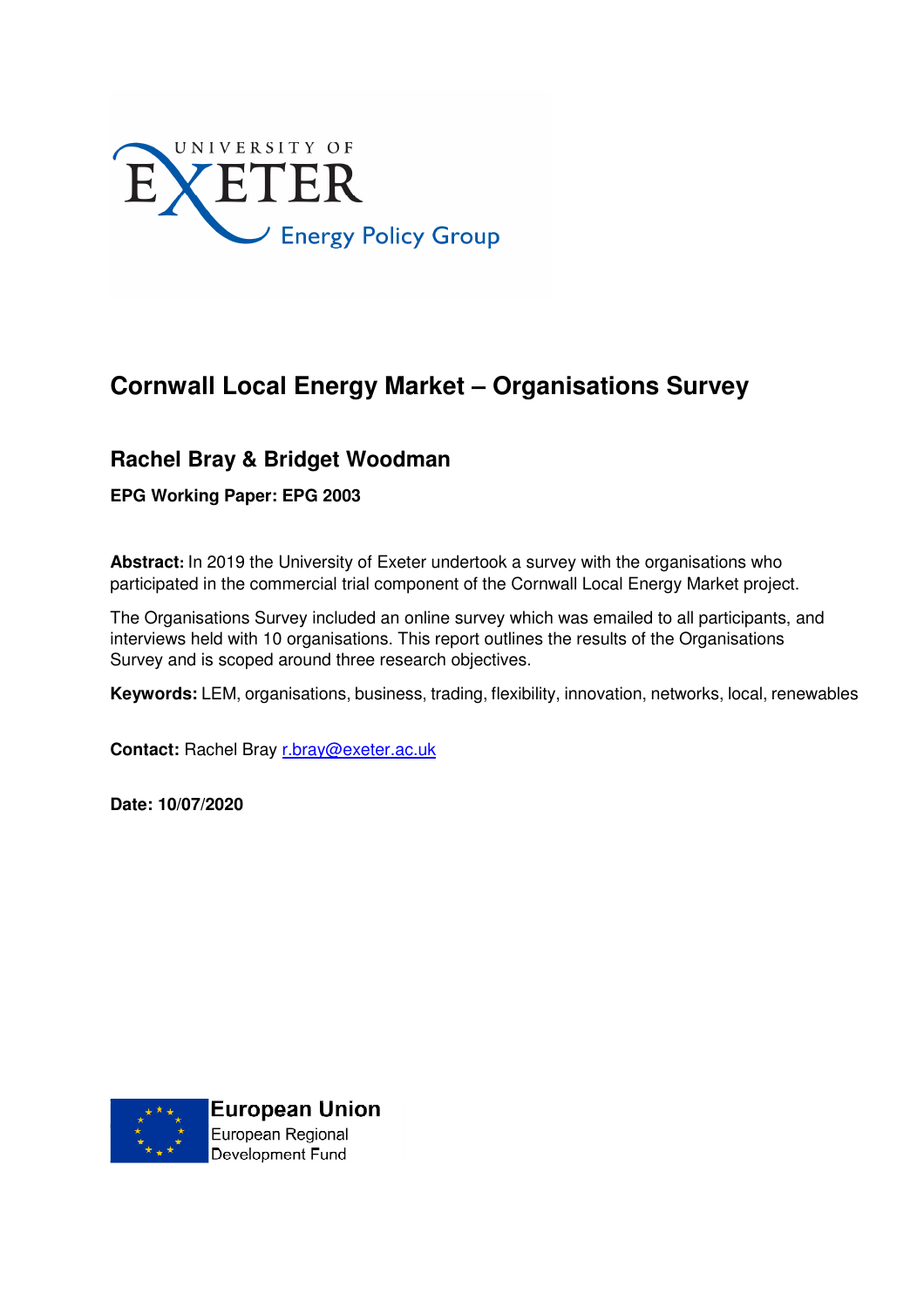

# **Cornwall Local Energy Market – Organisations Survey**

# **Rachel Bray & Bridget Woodman**

**EPG Working Paper: EPG 2003** 

**Abstract:** In 2019 the University of Exeter undertook a survey with the organisations who participated in the commercial trial component of the Cornwall Local Energy Market project.

The Organisations Survey included an online survey which was emailed to all participants, and interviews held with 10 organisations. This report outlines the results of the Organisations Survey and is scoped around three research objectives.

**Keywords:** LEM, organisations, business, trading, flexibility, innovation, networks, local, renewables

**Contact:** Rachel Bray r.bray@exeter.ac.uk

**Date: 10/07/2020** 

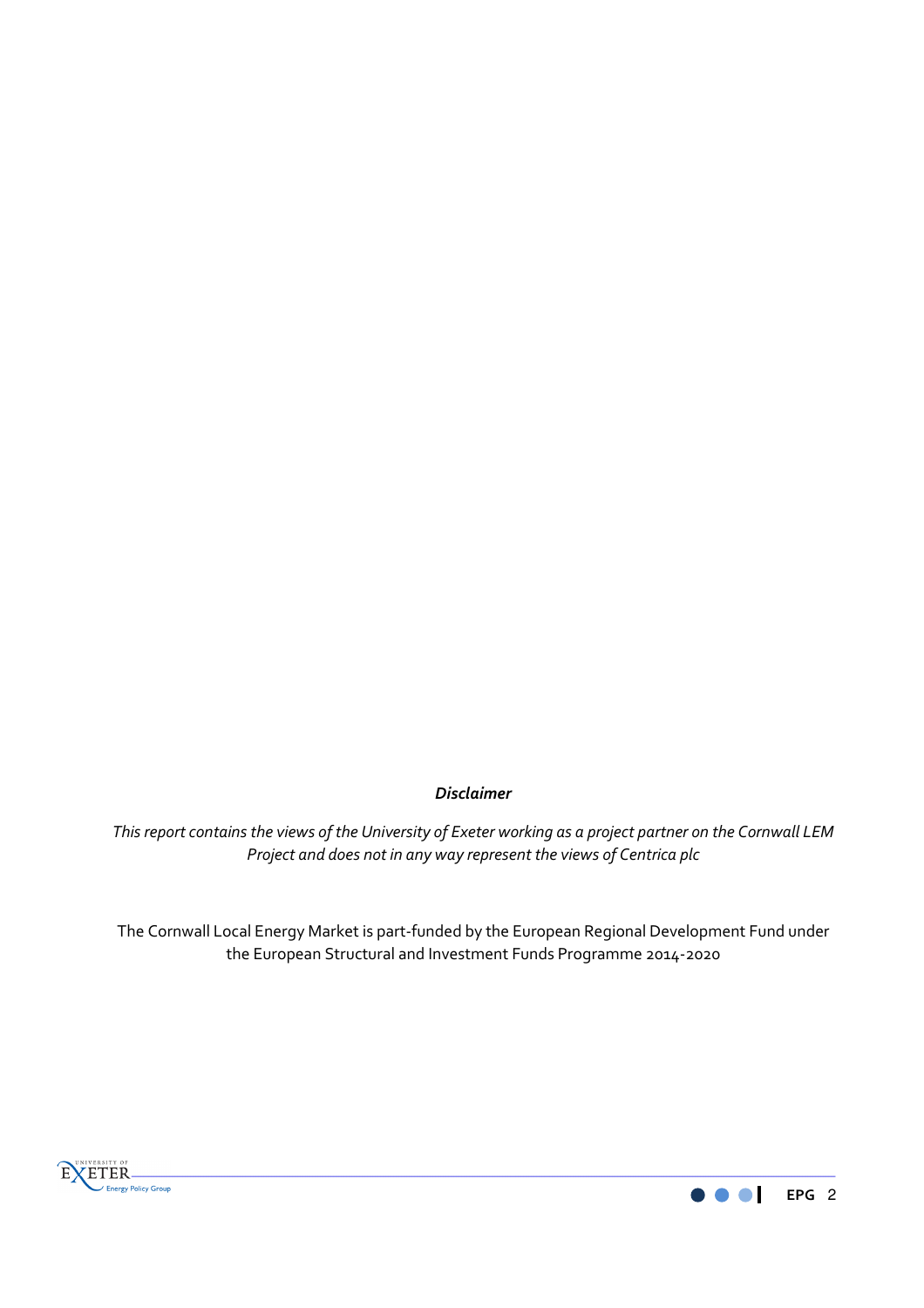# *Disclaimer*

*This report contains the views of the University of Exeter working as a project partner on the Cornwall LEM Project and does not in any way represent the views of Centrica plc* 

The Cornwall Local Energy Market is part-funded by the European Regional Development Fund under the European Structural and Investment Funds Programme 2014-2020



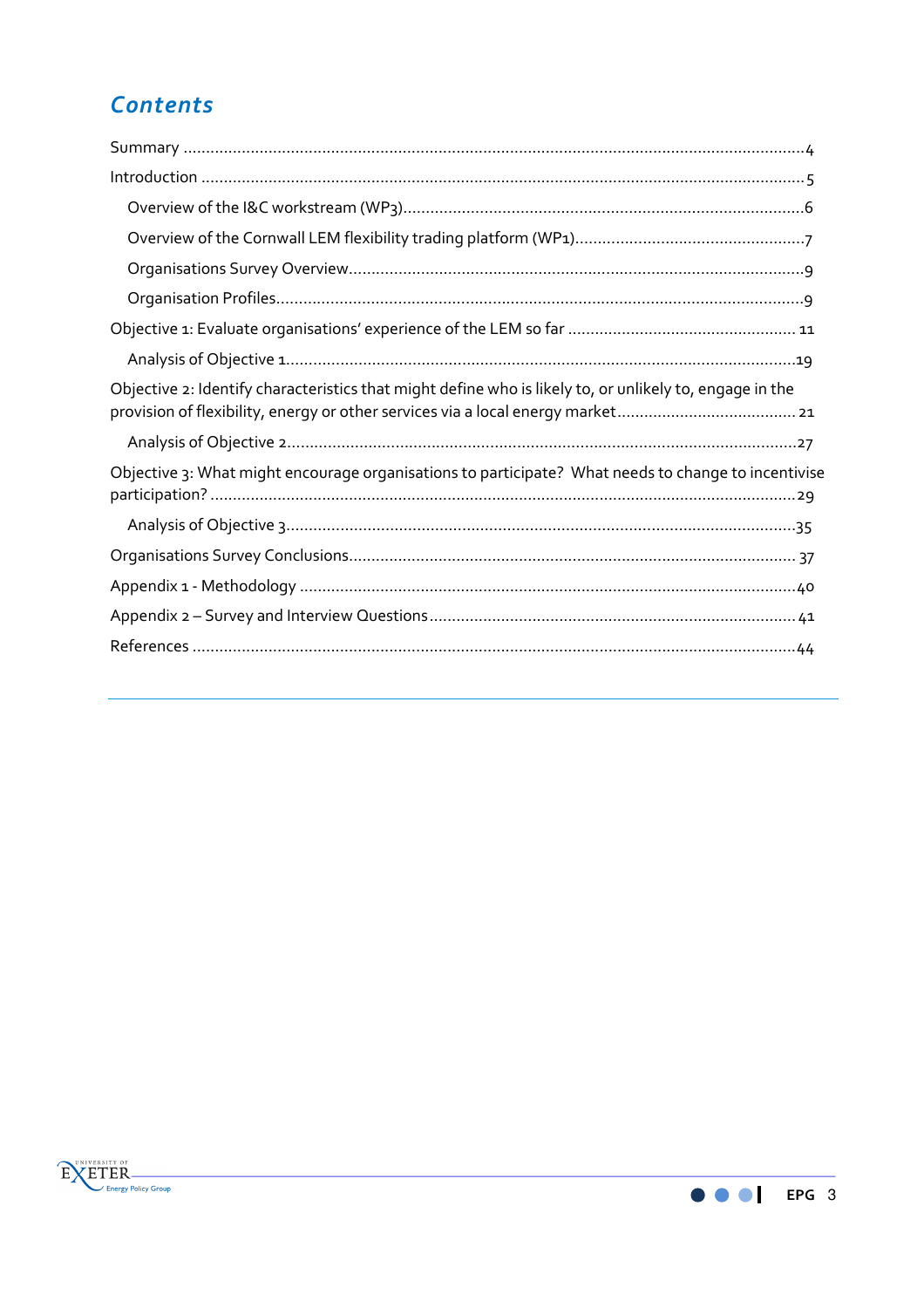# *Contents*

| Objective 2: Identify characteristics that might define who is likely to, or unlikely to, engage in the |
|---------------------------------------------------------------------------------------------------------|
|                                                                                                         |
| Objective 3: What might encourage organisations to participate? What needs to change to incentivise     |
|                                                                                                         |
|                                                                                                         |
|                                                                                                         |
|                                                                                                         |
|                                                                                                         |



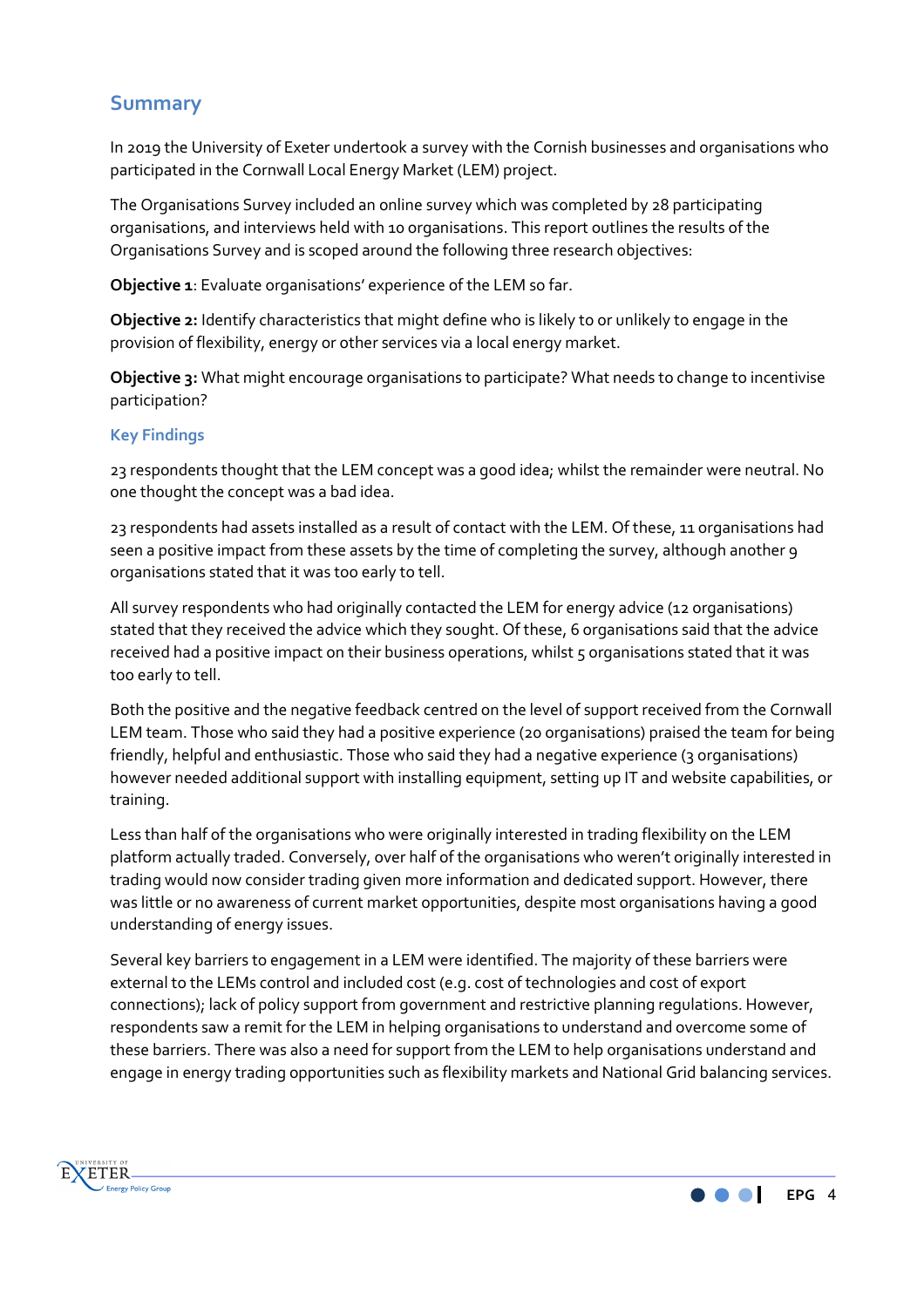# **Summary**

In 2019 the University of Exeter undertook a survey with the Cornish businesses and organisations who participated in the Cornwall Local Energy Market (LEM) project.

The Organisations Survey included an online survey which was completed by 28 participating organisations, and interviews held with 10 organisations. This report outlines the results of the Organisations Survey and is scoped around the following three research objectives:

**Objective 1**: Evaluate organisations' experience of the LEM so far.

**Objective 2:** Identify characteristics that might define who is likely to or unlikely to engage in the provision of flexibility, energy or other services via a local energy market.

**Objective 3:** What might encourage organisations to participate? What needs to change to incentivise participation?

# **Key Findings**

23 respondents thought that the LEM concept was a good idea; whilst the remainder were neutral. No one thought the concept was a bad idea.

23 respondents had assets installed as a result of contact with the LEM. Of these, 11 organisations had seen a positive impact from these assets by the time of completing the survey, although another 9 organisations stated that it was too early to tell.

All survey respondents who had originally contacted the LEM for energy advice (12 organisations) stated that they received the advice which they sought. Of these, 6 organisations said that the advice received had a positive impact on their business operations, whilst 5 organisations stated that it was too early to tell.

Both the positive and the negative feedback centred on the level of support received from the Cornwall LEM team. Those who said they had a positive experience (20 organisations) praised the team for being friendly, helpful and enthusiastic. Those who said they had a negative experience (3 organisations) however needed additional support with installing equipment, setting up IT and website capabilities, or training.

Less than half of the organisations who were originally interested in trading flexibility on the LEM platform actually traded. Conversely, over half of the organisations who weren't originally interested in trading would now consider trading given more information and dedicated support. However, there was little or no awareness of current market opportunities, despite most organisations having a good understanding of energy issues.

Several key barriers to engagement in a LEM were identified. The majority of these barriers were external to the LEMs control and included cost (e.g. cost of technologies and cost of export connections); lack of policy support from government and restrictive planning regulations. However, respondents saw a remit for the LEM in helping organisations to understand and overcome some of these barriers. There was also a need for support from the LEM to help organisations understand and engage in energy trading opportunities such as flexibility markets and National Grid balancing services.



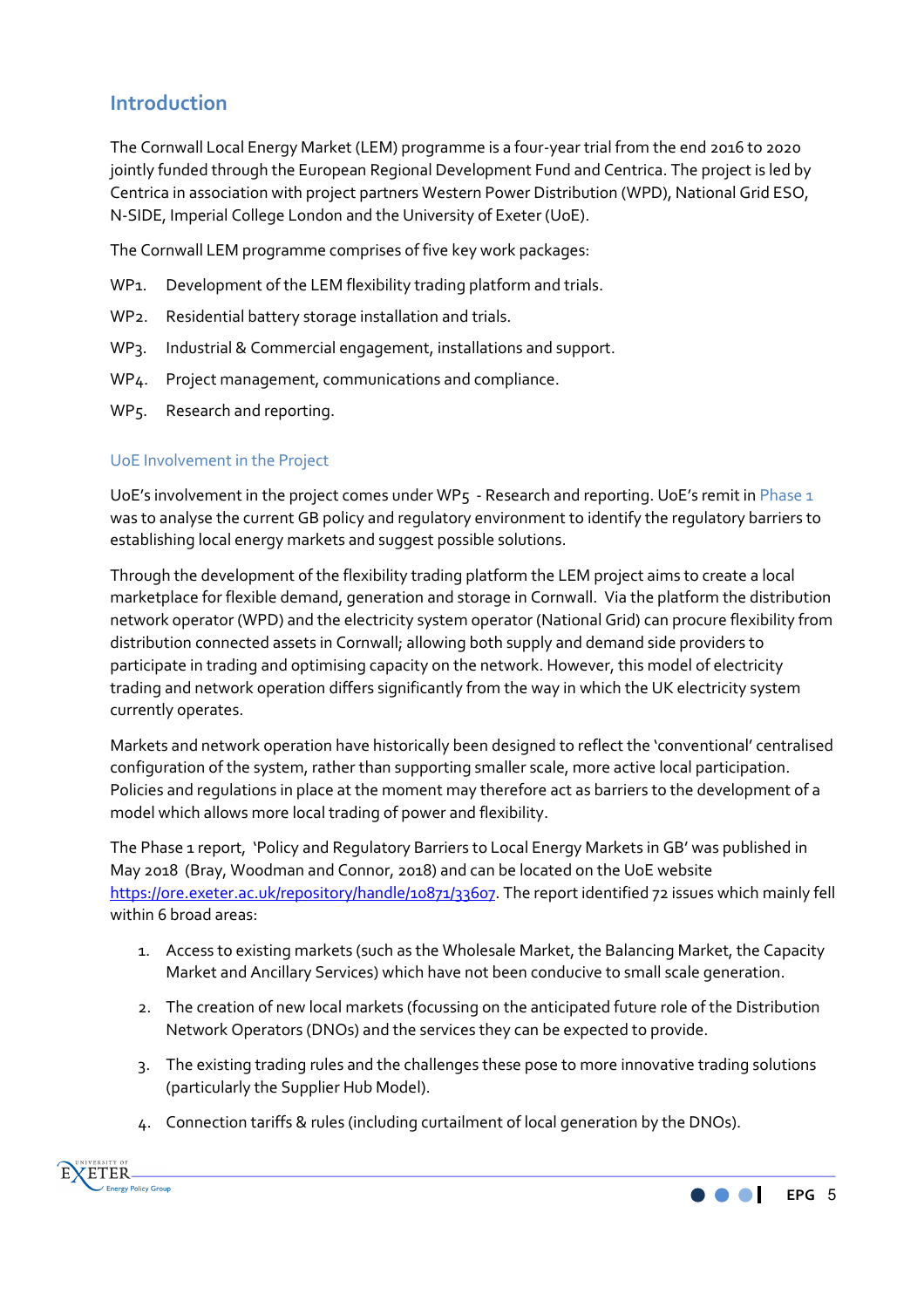# **Introduction**

The Cornwall Local Energy Market (LEM) programme is a four-year trial from the end 2016 to 2020 jointly funded through the European Regional Development Fund and Centrica. The project is led by Centrica in association with project partners Western Power Distribution (WPD), National Grid ESO, N-SIDE, Imperial College London and the University of Exeter (UoE).

The Cornwall LEM programme comprises of five key work packages:

- WP1. Development of the LEM flexibility trading platform and trials.
- WP2. Residential battery storage installation and trials.
- WP3. Industrial & Commercial engagement, installations and support.
- WP4. Project management, communications and compliance.
- WP5. Research and reporting.

#### UoE Involvement in the Project

UoE's involvement in the project comes under WP5 - Research and reporting. UoE's remit in Phase  $1$ was to analyse the current GB policy and regulatory environment to identify the regulatory barriers to establishing local energy markets and suggest possible solutions.

Through the development of the flexibility trading platform the LEM project aims to create a local marketplace for flexible demand, generation and storage in Cornwall. Via the platform the distribution network operator (WPD) and the electricity system operator (National Grid) can procure flexibility from distribution connected assets in Cornwall; allowing both supply and demand side providers to participate in trading and optimising capacity on the network. However, this model of electricity trading and network operation differs significantly from the way in which the UK electricity system currently operates.

Markets and network operation have historically been designed to reflect the 'conventional' centralised configuration of the system, rather than supporting smaller scale, more active local participation. Policies and regulations in place at the moment may therefore act as barriers to the development of a model which allows more local trading of power and flexibility.

The Phase 1 report, 'Policy and Regulatory Barriers to Local Energy Markets in GB' was published in May 2018 (Bray, Woodman and Connor, 2018) and can be located on the UoE website https://ore.exeter.ac.uk/repository/handle/10871/33607. The report identified 72 issues which mainly fell within 6 broad areas:

- 1. Access to existing markets (such as the Wholesale Market, the Balancing Market, the Capacity Market and Ancillary Services) which have not been conducive to small scale generation.
- 2. The creation of new local markets (focussing on the anticipated future role of the Distribution Network Operators (DNOs) and the services they can be expected to provide.
- 3. The existing trading rules and the challenges these pose to more innovative trading solutions (particularly the Supplier Hub Model).
- 4. Connection tariffs & rules (including curtailment of local generation by the DNOs).



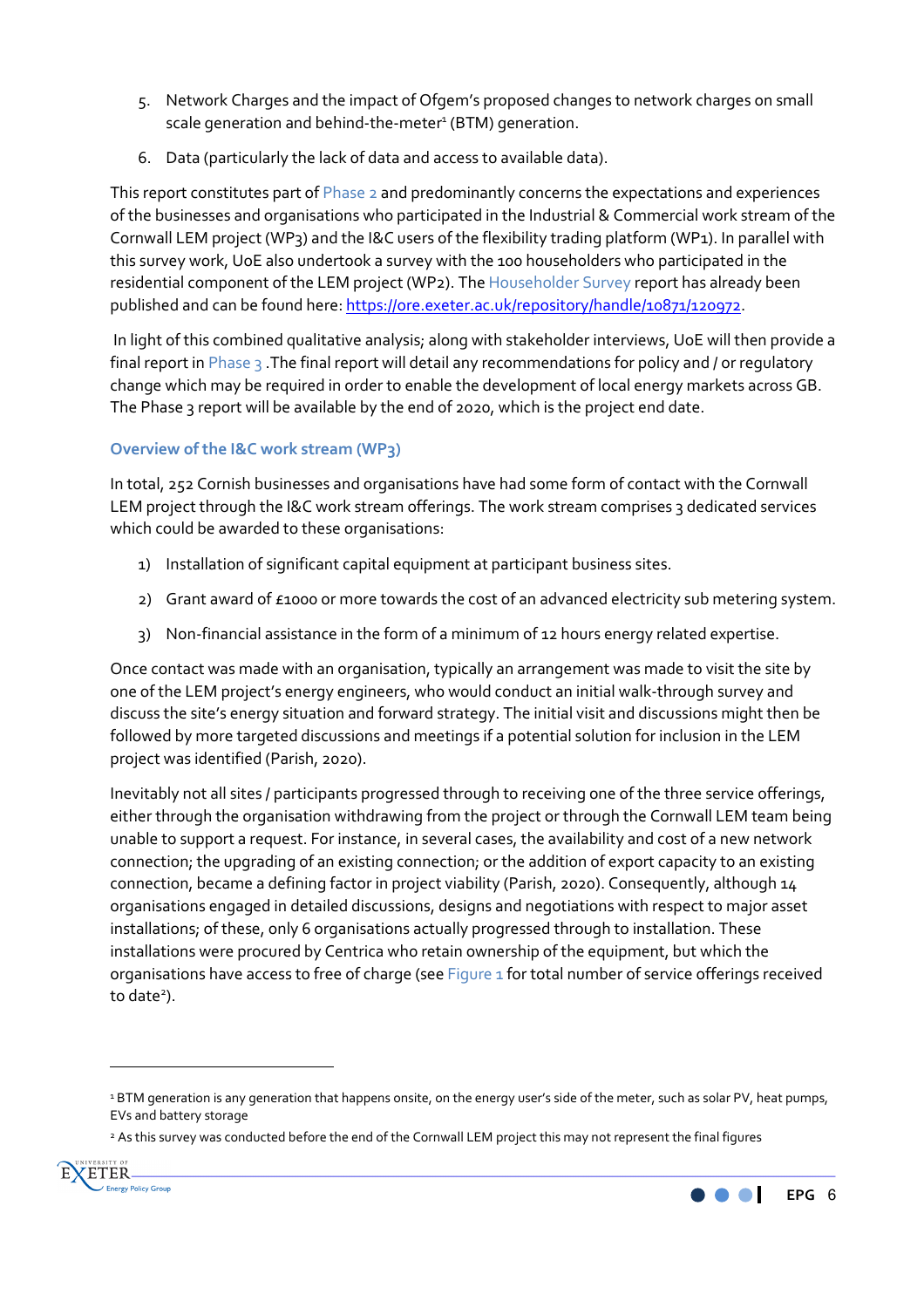- 5. Network Charges and the impact of Ofgem's proposed changes to network charges on small scale generation and behind-the-meter<sup>1</sup> (BTM) generation.
- 6. Data (particularly the lack of data and access to available data).

This report constitutes part of Phase 2 and predominantly concerns the expectations and experiences of the businesses and organisations who participated in the Industrial & Commercial work stream of the Cornwall LEM project (WP3) and the I&C users of the flexibility trading platform (WP1). In parallel with this survey work, UoE also undertook a survey with the 100 householders who participated in the residential component of the LEM project (WP2). The Householder Survey report has already been published and can be found here: https://ore.exeter.ac.uk/repository/handle/10871/120972.

 In light of this combined qualitative analysis; along with stakeholder interviews, UoE will then provide a final report in Phase 3. The final report will detail any recommendations for policy and / or regulatory change which may be required in order to enable the development of local energy markets across GB. The Phase 3 report will be available by the end of 2020, which is the project end date.

# **Overview of the I&C work stream (WP3)**

In total, 252 Cornish businesses and organisations have had some form of contact with the Cornwall LEM project through the I&C work stream offerings. The work stream comprises 3 dedicated services which could be awarded to these organisations:

- 1) Installation of significant capital equipment at participant business sites.
- 2) Grant award of £1000 or more towards the cost of an advanced electricity sub metering system.
- 3) Non-financial assistance in the form of a minimum of 12 hours energy related expertise.

Once contact was made with an organisation, typically an arrangement was made to visit the site by one of the LEM project's energy engineers, who would conduct an initial walk-through survey and discuss the site's energy situation and forward strategy. The initial visit and discussions might then be followed by more targeted discussions and meetings if a potential solution for inclusion in the LEM project was identified (Parish, 2020).

Inevitably not all sites / participants progressed through to receiving one of the three service offerings, either through the organisation withdrawing from the project or through the Cornwall LEM team being unable to support a request. For instance, in several cases, the availability and cost of a new network connection; the upgrading of an existing connection; or the addition of export capacity to an existing connection, became a defining factor in project viability (Parish, 2020). Consequently, although 14 organisations engaged in detailed discussions, designs and negotiations with respect to major asset installations; of these, only 6 organisations actually progressed through to installation. These installations were procured by Centrica who retain ownership of the equipment, but which the organisations have access to free of charge (see Figure 1 for total number of service offerings received to date<sup>2</sup>).

<sup>2</sup> As this survey was conducted before the end of the Cornwall LEM project this may not represent the final figures



 $\overline{\phantom{a}}$ 



<sup>1</sup> BTM generation is any generation that happens onsite, on the energy user's side of the meter, such as solar PV, heat pumps, EVs and battery storage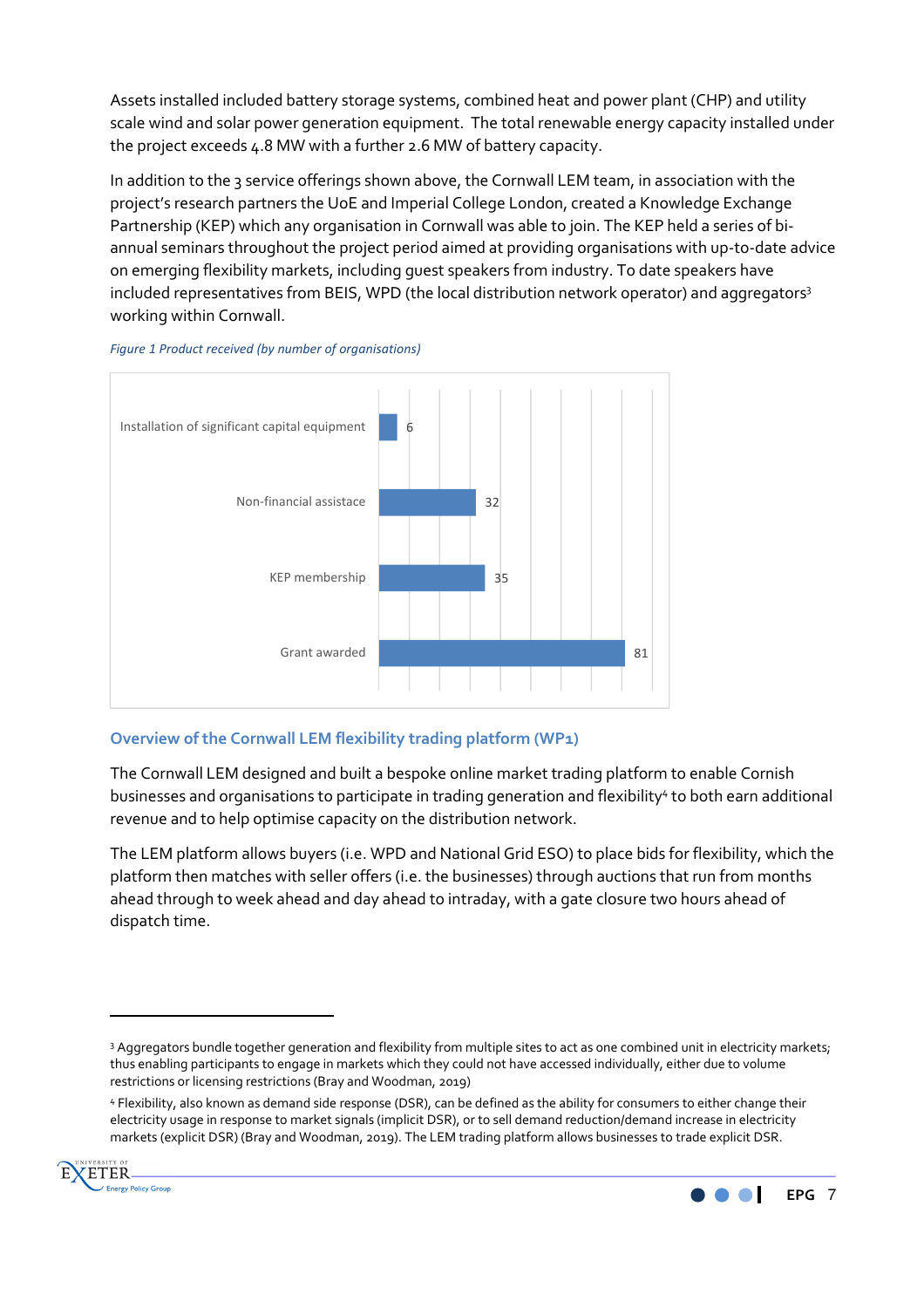Assets installed included battery storage systems, combined heat and power plant (CHP) and utility scale wind and solar power generation equipment. The total renewable energy capacity installed under the project exceeds 4.8 MW with a further 2.6 MW of battery capacity.

In addition to the 3 service offerings shown above, the Cornwall LEM team, in association with the project's research partners the UoE and Imperial College London, created a Knowledge Exchange Partnership (KEP) which any organisation in Cornwall was able to join. The KEP held a series of biannual seminars throughout the project period aimed at providing organisations with up-to-date advice on emerging flexibility markets, including guest speakers from industry. To date speakers have included representatives from BEIS, WPD (the local distribution network operator) and aggregators<sup>3</sup> working within Cornwall.

#### *Figure 1 Product received (by number of organisations)*



# **Overview of the Cornwall LEM flexibility trading platform (WP1)**

The Cornwall LEM designed and built a bespoke online market trading platform to enable Cornish businesses and organisations to participate in trading generation and flexibility<sup>4</sup> to both earn additional revenue and to help optimise capacity on the distribution network.

The LEM platform allows buyers (i.e. WPD and National Grid ESO) to place bids for flexibility, which the platform then matches with seller offers (i.e. the businesses) through auctions that run from months ahead through to week ahead and day ahead to intraday, with a gate closure two hours ahead of dispatch time.

<sup>4</sup> Flexibility, also known as demand side response (DSR), can be defined as the ability for consumers to either change their electricity usage in response to market signals (implicit DSR), or to sell demand reduction/demand increase in electricity markets (explicit DSR) (Bray and Woodman, 2019). The LEM trading platform allows businesses to trade explicit DSR.



 $\overline{a}$ 



<sup>3</sup> Aggregators bundle together generation and flexibility from multiple sites to act as one combined unit in electricity markets; thus enabling participants to engage in markets which they could not have accessed individually, either due to volume restrictions or licensing restrictions (Bray and Woodman, 2019)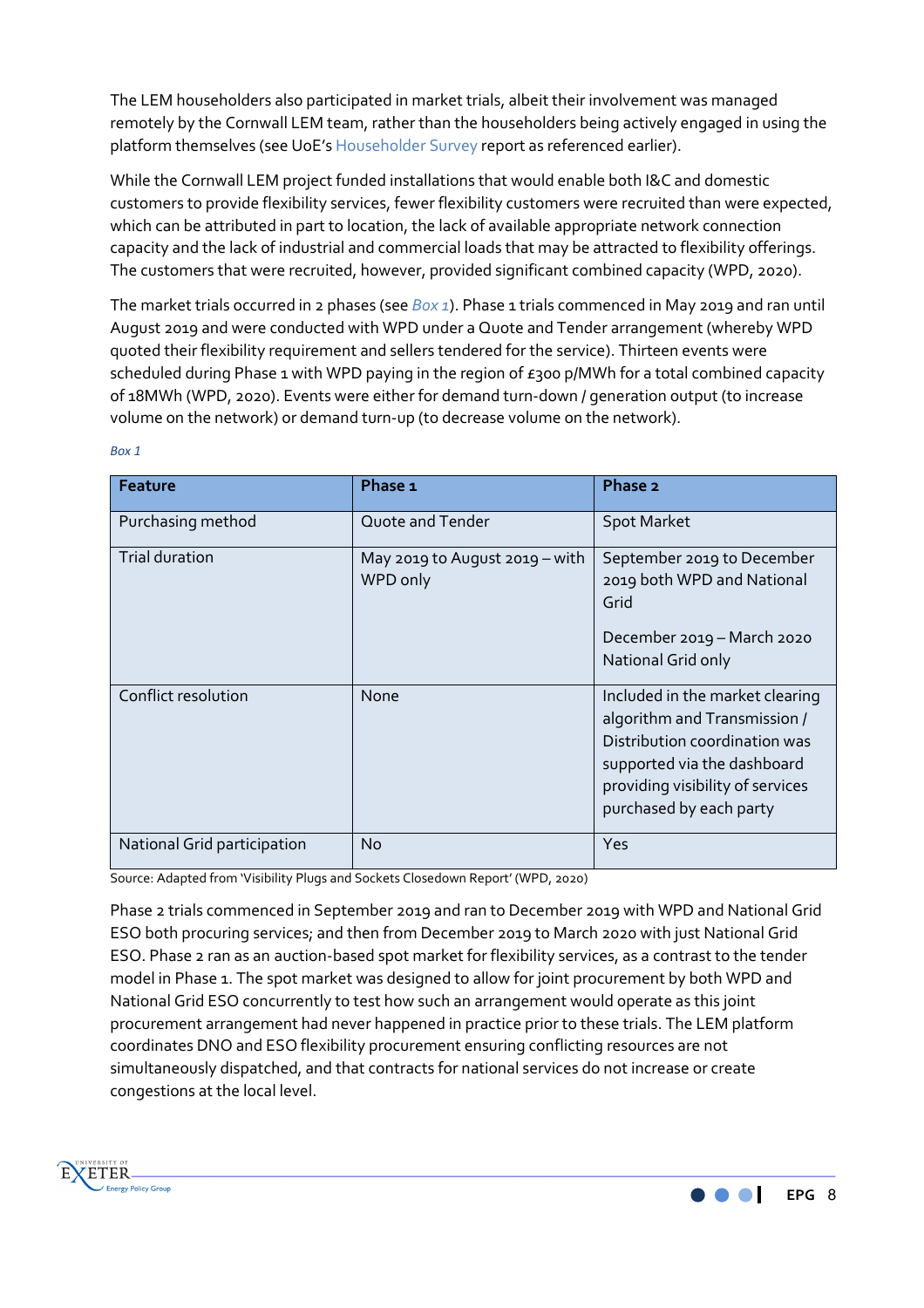The LEM householders also participated in market trials, albeit their involvement was managed remotely by the Cornwall LEM team, rather than the householders being actively engaged in using the platform themselves (see UoE's Householder Survey report as referenced earlier).

While the Cornwall LEM project funded installations that would enable both I&C and domestic customers to provide flexibility services, fewer flexibility customers were recruited than were expected, which can be attributed in part to location, the lack of available appropriate network connection capacity and the lack of industrial and commercial loads that may be attracted to flexibility offerings. The customers that were recruited, however, provided significant combined capacity (WPD, 2020).

The market trials occurred in 2 phases (see *Box 1*). Phase 1 trials commenced in May 2019 and ran until August 2019 and were conducted with WPD under a Quote and Tender arrangement (whereby WPD quoted their flexibility requirement and sellers tendered for the service). Thirteen events were scheduled during Phase 1 with WPD paying in the region of  $\epsilon$ 300 p/MWh for a total combined capacity of 18MWh (WPD, 2020). Events were either for demand turn-down / generation output (to increase volume on the network) or demand turn-up (to decrease volume on the network).

| <b>Feature</b>              | Phase 1                                    | Phase 2                                                                                                                                                                                        |
|-----------------------------|--------------------------------------------|------------------------------------------------------------------------------------------------------------------------------------------------------------------------------------------------|
| Purchasing method           | Quote and Tender                           | <b>Spot Market</b>                                                                                                                                                                             |
| Trial duration              | May 2019 to August 2019 - with<br>WPD only | September 2019 to December<br>2019 both WPD and National<br>Grid<br>December 2019 - March 2020<br>National Grid only                                                                           |
| Conflict resolution         | None                                       | Included in the market clearing<br>algorithm and Transmission /<br>Distribution coordination was<br>supported via the dashboard<br>providing visibility of services<br>purchased by each party |
| National Grid participation | No.                                        | Yes                                                                                                                                                                                            |

*Box 1* 

Source: Adapted from 'Visibility Plugs and Sockets Closedown Report' (WPD, 2020)

Phase 2 trials commenced in September 2019 and ran to December 2019 with WPD and National Grid ESO both procuring services; and then from December 2019 to March 2020 with just National Grid ESO. Phase 2 ran as an auction-based spot market for flexibility services, as a contrast to the tender model in Phase 1. The spot market was designed to allow for joint procurement by both WPD and National Grid ESO concurrently to test how such an arrangement would operate as this joint procurement arrangement had never happened in practice prior to these trials. The LEM platform coordinates DNO and ESO flexibility procurement ensuring conflicting resources are not simultaneously dispatched, and that contracts for national services do not increase or create congestions at the local level.

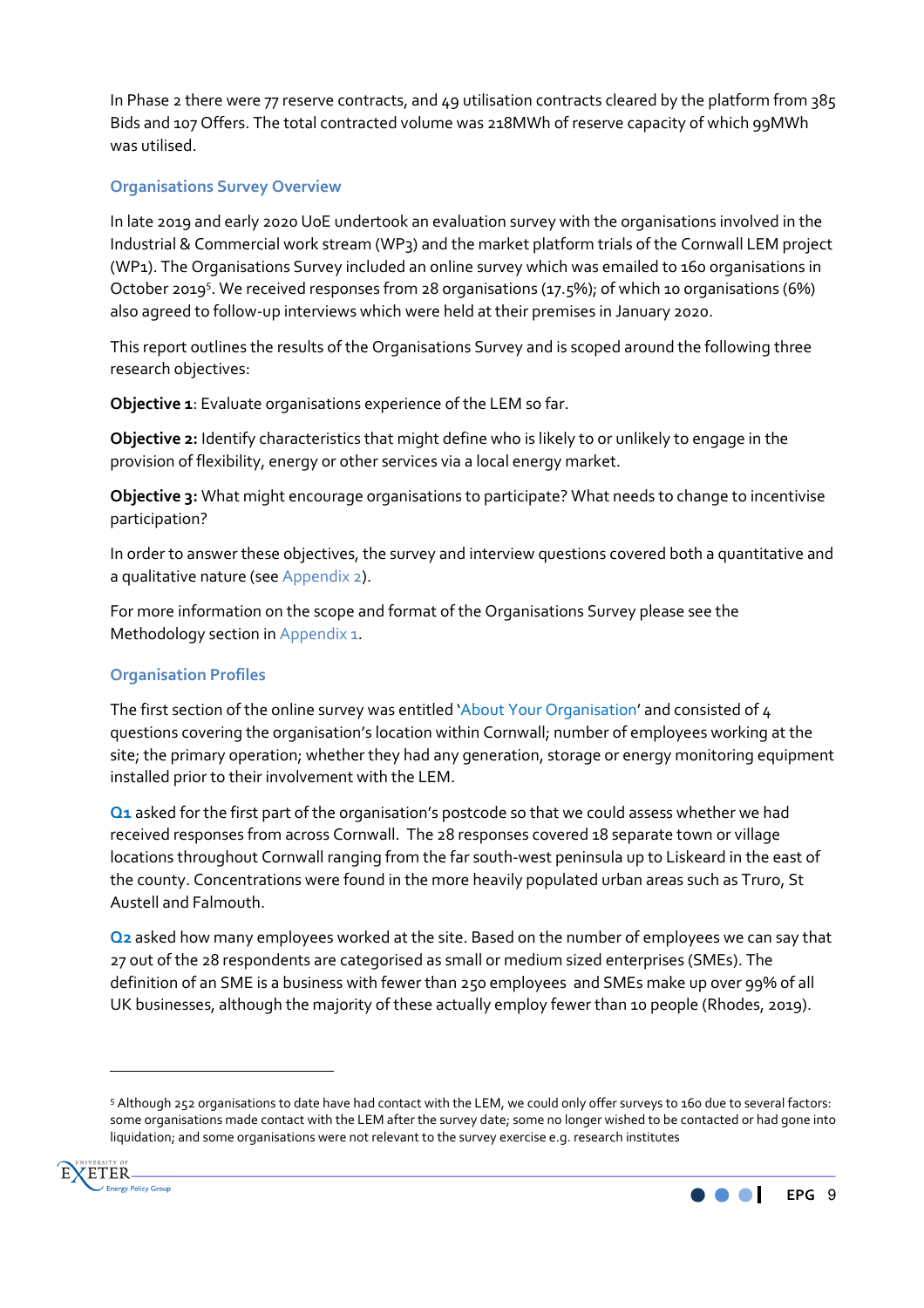In Phase 2 there were 77 reserve contracts, and 49 utilisation contracts cleared by the platform from 385 Bids and 107 Offers. The total contracted volume was 218MWh of reserve capacity of which 99MWh was utilised.

### **Organisations Survey Overview**

In late 2019 and early 2020 UoE undertook an evaluation survey with the organisations involved in the Industrial & Commercial work stream (WP3) and the market platform trials of the Cornwall LEM project (WP1). The Organisations Survey included an online survey which was emailed to 160 organisations in October 2019<sup>5</sup>. We received responses from 28 organisations (17.5%); of which 10 organisations (6%) also agreed to follow-up interviews which were held at their premises in January 2020.

This report outlines the results of the Organisations Survey and is scoped around the following three research objectives:

**Objective 1**: Evaluate organisations experience of the LEM so far.

**Objective 2:** Identify characteristics that might define who is likely to or unlikely to engage in the provision of flexibility, energy or other services via a local energy market.

**Objective 3:** What might encourage organisations to participate? What needs to change to incentivise participation?

In order to answer these objectives, the survey and interview questions covered both a quantitative and a qualitative nature (see Appendix 2).

For more information on the scope and format of the Organisations Survey please see the Methodology section in Appendix 1.

#### **Organisation Profiles**

The first section of the online survey was entitled 'About Your Organisation' and consisted of 4 questions covering the organisation's location within Cornwall; number of employees working at the site; the primary operation; whether they had any generation, storage or energy monitoring equipment installed prior to their involvement with the LEM.

**Q1** asked for the first part of the organisation's postcode so that we could assess whether we had received responses from across Cornwall. The 28 responses covered 18 separate town or village locations throughout Cornwall ranging from the far south-west peninsula up to Liskeard in the east of the county. Concentrations were found in the more heavily populated urban areas such as Truro, St Austell and Falmouth.

**Q2** asked how many employees worked at the site. Based on the number of employees we can say that 27 out of the 28 respondents are categorised as small or medium sized enterprises (SMEs). The definition of an SME is a business with fewer than 250 employees and SMEs make up over 99% of all UK businesses, although the majority of these actually employ fewer than 10 people (Rhodes, 2019).

<sup>5</sup> Although 252 organisations to date have had contact with the LEM, we could only offer surveys to 160 due to several factors: some organisations made contact with the LEM after the survey date; some no longer wished to be contacted or had gone into liquidation; and some organisations were not relevant to the survey exercise e.g. research institutes



 $\overline{\phantom{a}}$ 

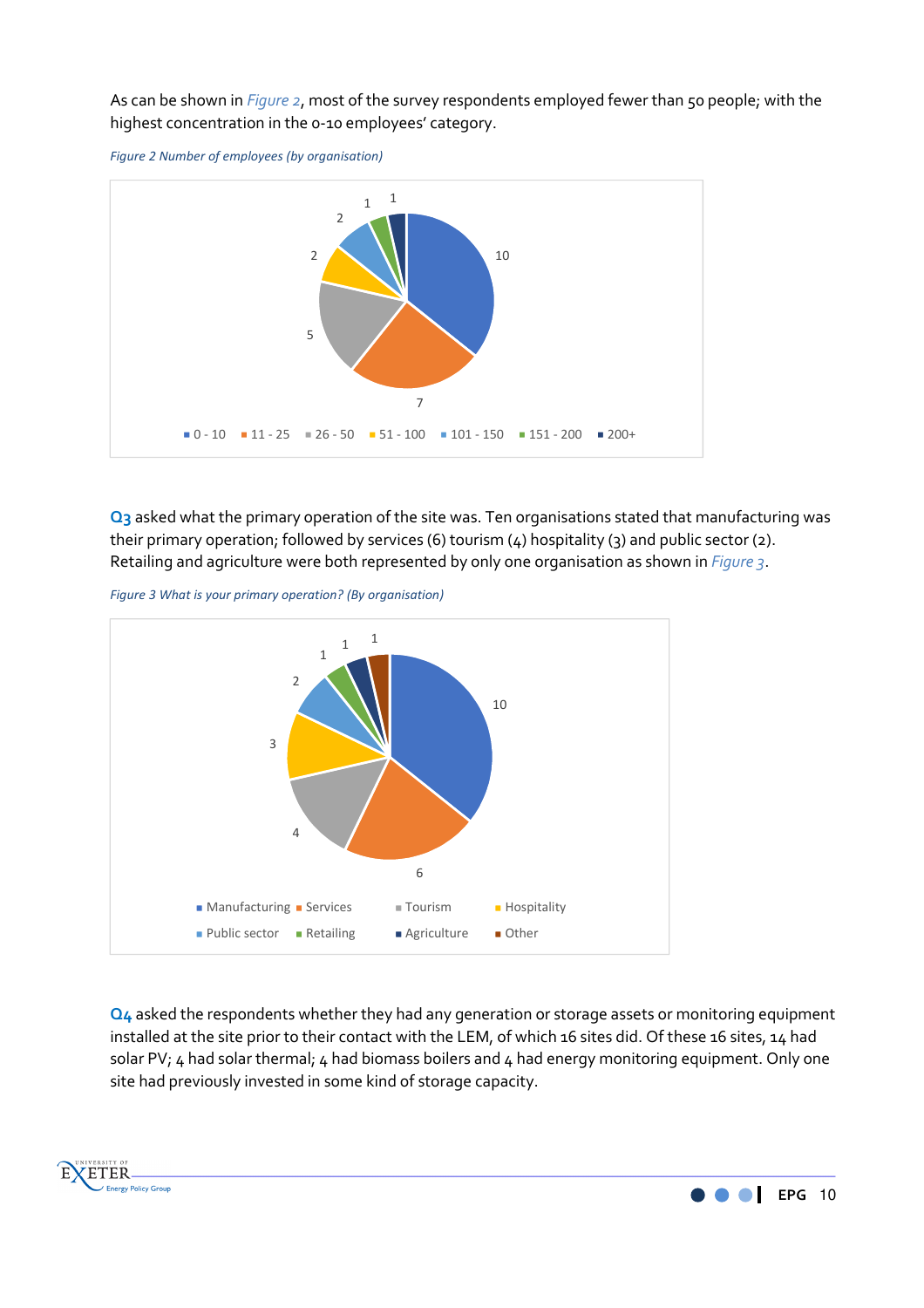As can be shown in *Figure 2*, most of the survey respondents employed fewer than 50 people; with the highest concentration in the 0-10 employees' category.





**Q3** asked what the primary operation of the site was. Ten organisations stated that manufacturing was their primary operation; followed by services (6) tourism (4) hospitality (3) and public sector (2). Retailing and agriculture were both represented by only one organisation as shown in *Figure 3*.

*Figure 3 What is your primary operation? (By organisation)* 

E

**XETER** 

Energy Policy Group



**Q4** asked the respondents whether they had any generation or storage assets or monitoring equipment installed at the site prior to their contact with the LEM, of which 16 sites did. Of these 16 sites, 14 had solar PV; 4 had solar thermal; 4 had biomass boilers and 4 had energy monitoring equipment. Only one site had previously invested in some kind of storage capacity.

**EPG** 10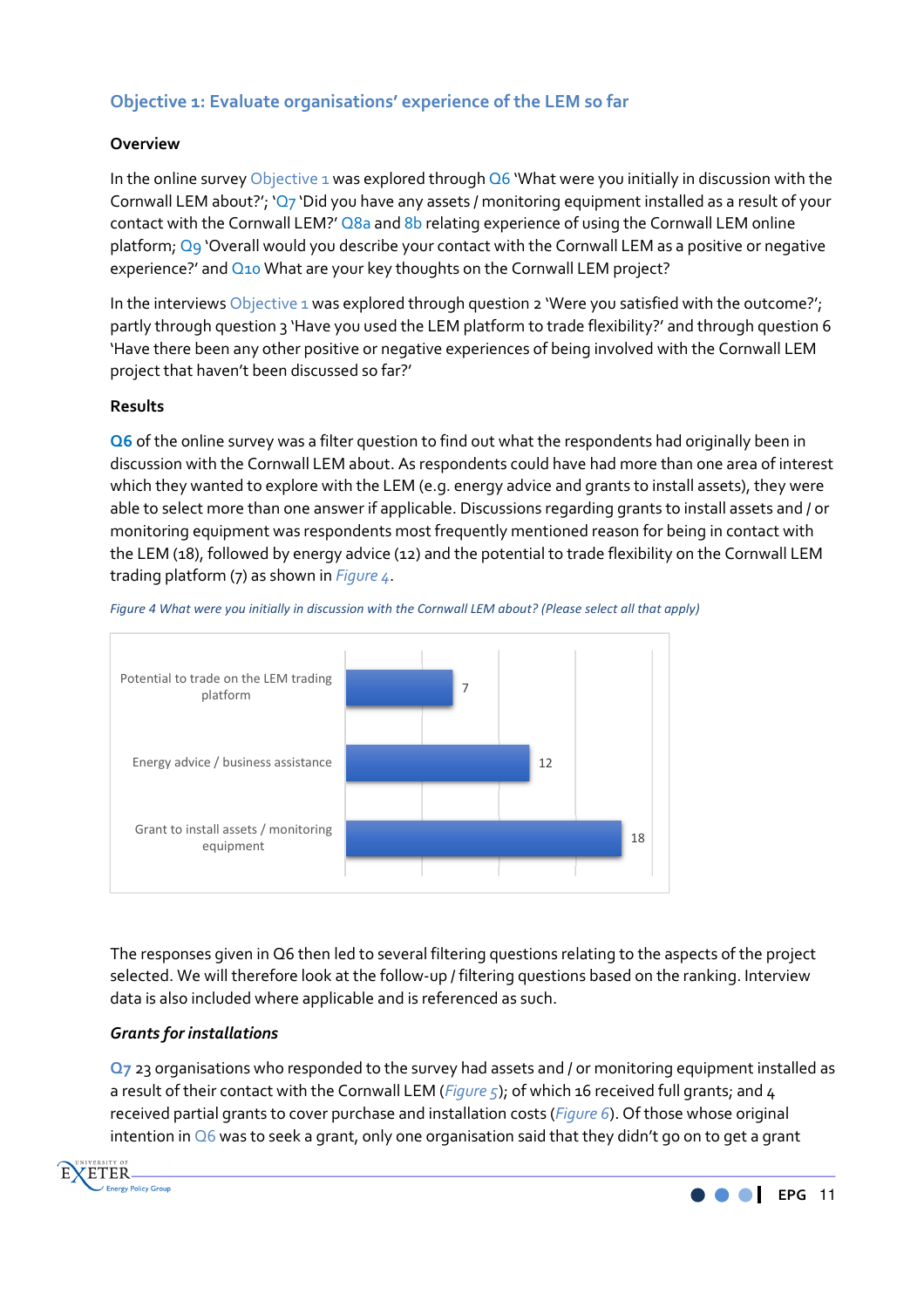# **Objective 1: Evaluate organisations' experience of the LEM so far**

# **Overview**

In the online survey Objective 1 was explored through  $Q6$  'What were you initially in discussion with the Cornwall LEM about?'; 'Q7 'Did you have any assets / monitoring equipment installed as a result of your contact with the Cornwall LEM?' Q8a and 8b relating experience of using the Cornwall LEM online platform; Q9 'Overall would you describe your contact with the Cornwall LEM as a positive or negative experience?' and  $Q_{10}$  What are your key thoughts on the Cornwall LEM project?

In the interviews Objective 1 was explored through question 2 'Were you satisfied with the outcome?'; partly through question 3 'Have you used the LEM platform to trade flexibility?' and through question 6 'Have there been any other positive or negative experiences of being involved with the Cornwall LEM project that haven't been discussed so far?'

#### **Results**

**Q6** of the online survey was a filter question to find out what the respondents had originally been in discussion with the Cornwall LEM about. As respondents could have had more than one area of interest which they wanted to explore with the LEM (e.g. energy advice and grants to install assets), they were able to select more than one answer if applicable. Discussions regarding grants to install assets and / or monitoring equipment was respondents most frequently mentioned reason for being in contact with the LEM (18), followed by energy advice (12) and the potential to trade flexibility on the Cornwall LEM trading platform (7) as shown in *Figure 4*.



*Figure 4 What were you initially in discussion with the Cornwall LEM about? (Please select all that apply)* 

The responses given in Q6 then led to several filtering questions relating to the aspects of the project selected. We will therefore look at the follow-up / filtering questions based on the ranking. Interview data is also included where applicable and is referenced as such.

# *Grants for installations*

**Q7** 23 organisations who responded to the survey had assets and / or monitoring equipment installed as a result of their contact with the Cornwall LEM (*Figure 5*); of which 16 received full grants; and 4 received partial grants to cover purchase and installation costs (*Figure 6*). Of those whose original intention in Q6 was to seek a grant, only one organisation said that they didn't go on to get a grant



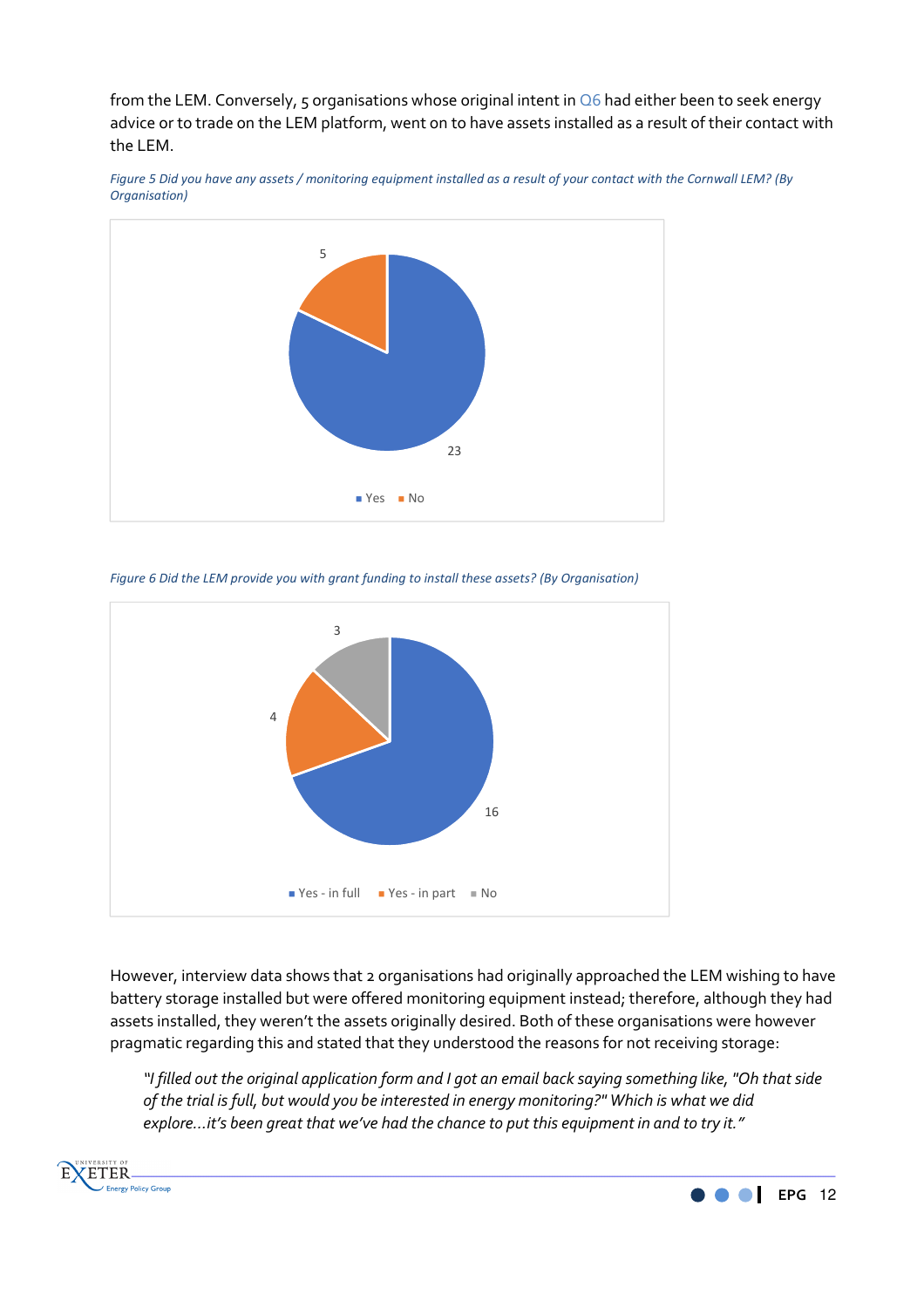from the LEM. Conversely, 5 organisations whose original intent in  $\overline{06}$  had either been to seek energy advice or to trade on the LEM platform, went on to have assets installed as a result of their contact with the LEM.



*Figure 5 Did you have any assets / monitoring equipment installed as a result of your contact with the Cornwall LEM? (By Organisation)*

*Figure 6 Did the LEM provide you with grant funding to install these assets? (By Organisation)*



However, interview data shows that 2 organisations had originally approached the LEM wishing to have battery storage installed but were offered monitoring equipment instead; therefore, although they had assets installed, they weren't the assets originally desired. Both of these organisations were however pragmatic regarding this and stated that they understood the reasons for not receiving storage:

*"I filled out the original application form and I got an email back saying something like, "Oh that side of the trial is full, but would you be interested in energy monitoring?" Which is what we did explore…it's been great that we've had the chance to put this equipment in and to try it."*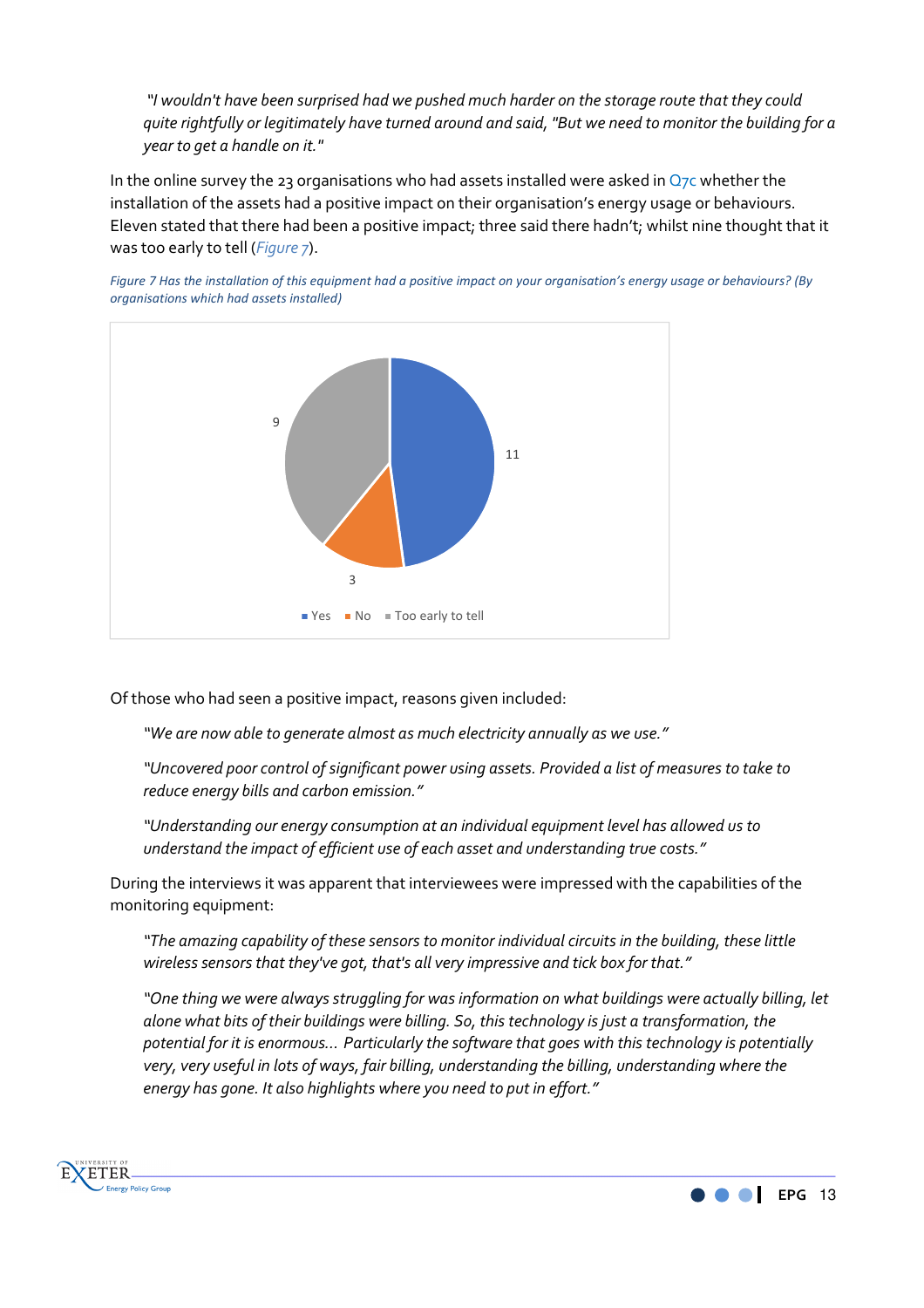*"I wouldn't have been surprised had we pushed much harder on the storage route that they could quite rightfully or legitimately have turned around and said, "But we need to monitor the building for a year to get a handle on it."* 

In the online survey the 23 organisations who had assets installed were asked in  $Q_7c$  whether the installation of the assets had a positive impact on their organisation's energy usage or behaviours. Eleven stated that there had been a positive impact; three said there hadn't; whilst nine thought that it was too early to tell (*Figure 7*).



*Figure 7 Has the installation of this equipment had a positive impact on your organisation's energy usage or behaviours? (By organisations which had assets installed)*

Of those who had seen a positive impact, reasons given included:

*"We are now able to generate almost as much electricity annually as we use."* 

*"Uncovered poor control of significant power using assets. Provided a list of measures to take to reduce energy bills and carbon emission."* 

*"Understanding our energy consumption at an individual equipment level has allowed us to understand the impact of efficient use of each asset and understanding true costs."* 

During the interviews it was apparent that interviewees were impressed with the capabilities of the monitoring equipment:

*"The amazing capability of these sensors to monitor individual circuits in the building, these little wireless sensors that they've got, that's all very impressive and tick box for that."* 

*"One thing we were always struggling for was information on what buildings were actually billing, let alone what bits of their buildings were billing. So, this technology is just a transformation, the potential for it is enormous… Particularly the software that goes with this technology is potentially very, very useful in lots of ways, fair billing, understanding the billing, understanding where the energy has gone. It also highlights where you need to put in effort."* 



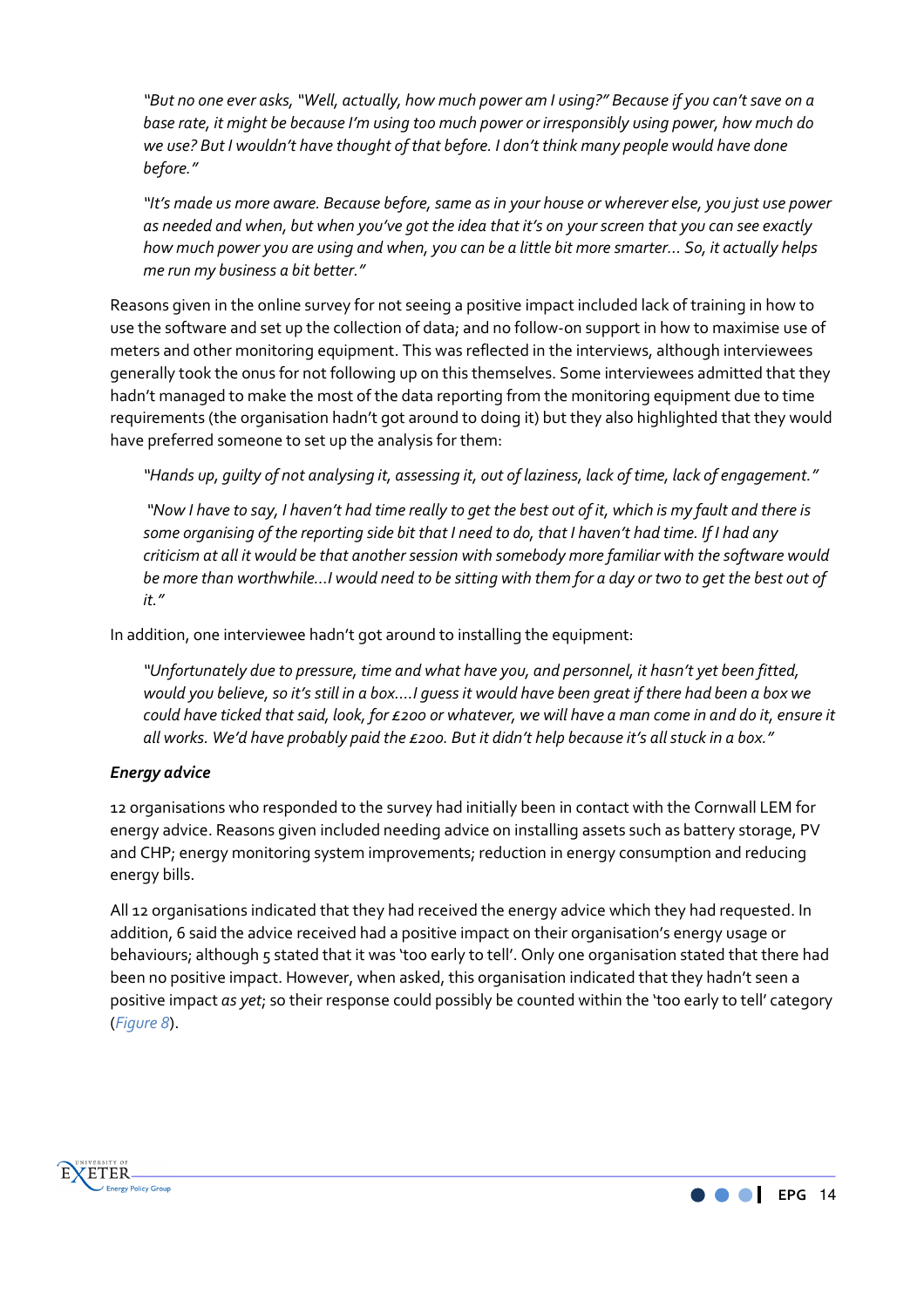*"But no one ever asks, "Well, actually, how much power am I using?" Because if you can't save on a base rate, it might be because I'm using too much power or irresponsibly using power, how much do we use? But I wouldn't have thought of that before. I don't think many people would have done before."* 

*"It's made us more aware. Because before, same as in your house or wherever else, you just use power as needed and when, but when you've got the idea that it's on your screen that you can see exactly how much power you are using and when, you can be a little bit more smarter… So, it actually helps me run my business a bit better."* 

Reasons given in the online survey for not seeing a positive impact included lack of training in how to use the software and set up the collection of data; and no follow-on support in how to maximise use of meters and other monitoring equipment. This was reflected in the interviews, although interviewees generally took the onus for not following up on this themselves. Some interviewees admitted that they hadn't managed to make the most of the data reporting from the monitoring equipment due to time requirements (the organisation hadn't got around to doing it) but they also highlighted that they would have preferred someone to set up the analysis for them:

*"Hands up, guilty of not analysing it, assessing it, out of laziness, lack of time, lack of engagement."* 

 *"Now I have to say, I haven't had time really to get the best out of it, which is my fault and there is some organising of the reporting side bit that I need to do, that I haven't had time. If I had any criticism at all it would be that another session with somebody more familiar with the software would be more than worthwhile…I would need to be sitting with them for a day or two to get the best out of it."* 

In addition, one interviewee hadn't got around to installing the equipment:

*"Unfortunately due to pressure, time and what have you, and personnel, it hasn't yet been fitted, would you believe, so it's still in a box….I guess it would have been great if there had been a box we could have ticked that said, look, for £200 or whatever, we will have a man come in and do it, ensure it all works. We'd have probably paid the £200. But it didn't help because it's all stuck in a box."* 

# *Energy advice*

12 organisations who responded to the survey had initially been in contact with the Cornwall LEM for energy advice. Reasons given included needing advice on installing assets such as battery storage, PV and CHP; energy monitoring system improvements; reduction in energy consumption and reducing energy bills.

All 12 organisations indicated that they had received the energy advice which they had requested. In addition, 6 said the advice received had a positive impact on their organisation's energy usage or behaviours; although 5 stated that it was 'too early to tell'. Only one organisation stated that there had been no positive impact. However, when asked, this organisation indicated that they hadn't seen a positive impact *as yet*; so their response could possibly be counted within the 'too early to tell' category (*Figure 8*).



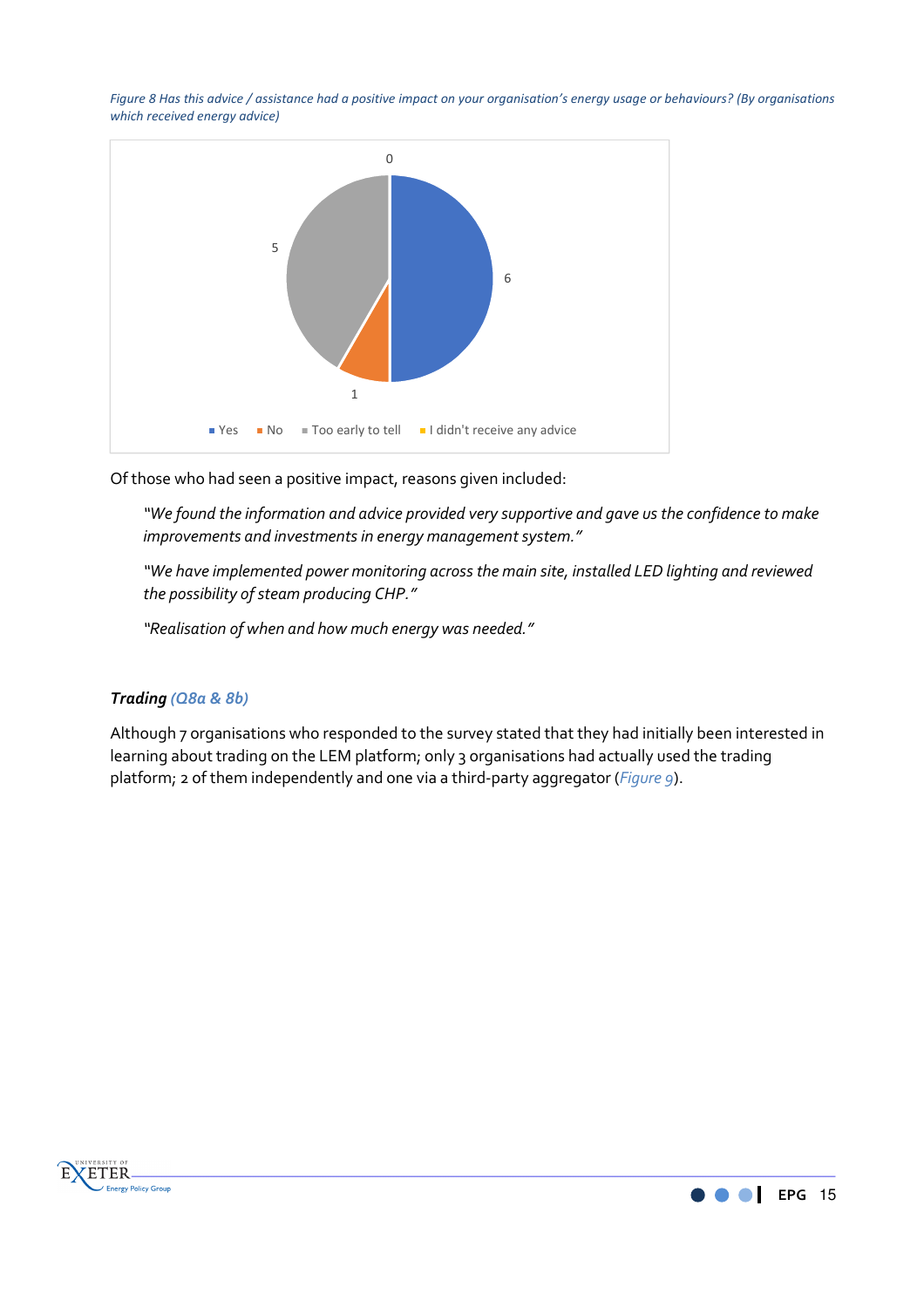*Figure 8 Has this advice / assistance had a positive impact on your organisation's energy usage or behaviours? (By organisations which received energy advice)*



Of those who had seen a positive impact, reasons given included:

*"We found the information and advice provided very supportive and gave us the confidence to make improvements and investments in energy management system."* 

*"We have implemented power monitoring across the main site, installed LED lighting and reviewed the possibility of steam producing CHP."* 

*"Realisation of when and how much energy was needed."* 

#### *Trading (Q8a & 8b)*

Although 7 organisations who responded to the survey stated that they had initially been interested in learning about trading on the LEM platform; only 3 organisations had actually used the trading platform; 2 of them independently and one via a third-party aggregator (*Figure 9*).



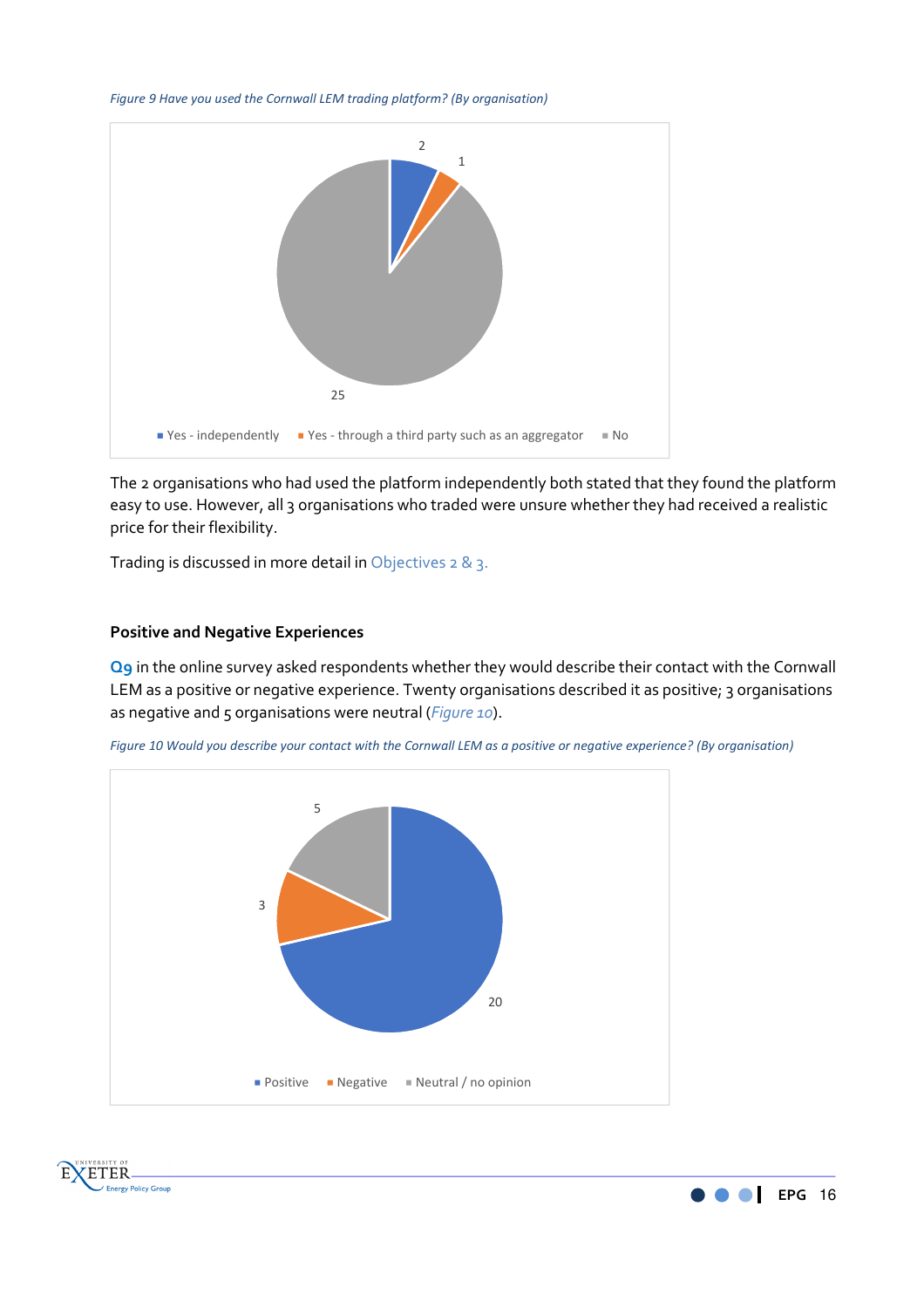*Figure 9 Have you used the Cornwall LEM trading platform? (By organisation)*



The 2 organisations who had used the platform independently both stated that they found the platform easy to use. However, all 3 organisations who traded were unsure whether they had received a realistic price for their flexibility.

Trading is discussed in more detail in Objectives 2 & 3.

#### **Positive and Negative Experiences**

**Q9** in the online survey asked respondents whether they would describe their contact with the Cornwall LEM as a positive or negative experience. Twenty organisations described it as positive; 3 organisations as negative and 5 organisations were neutral (*Figure 10*).







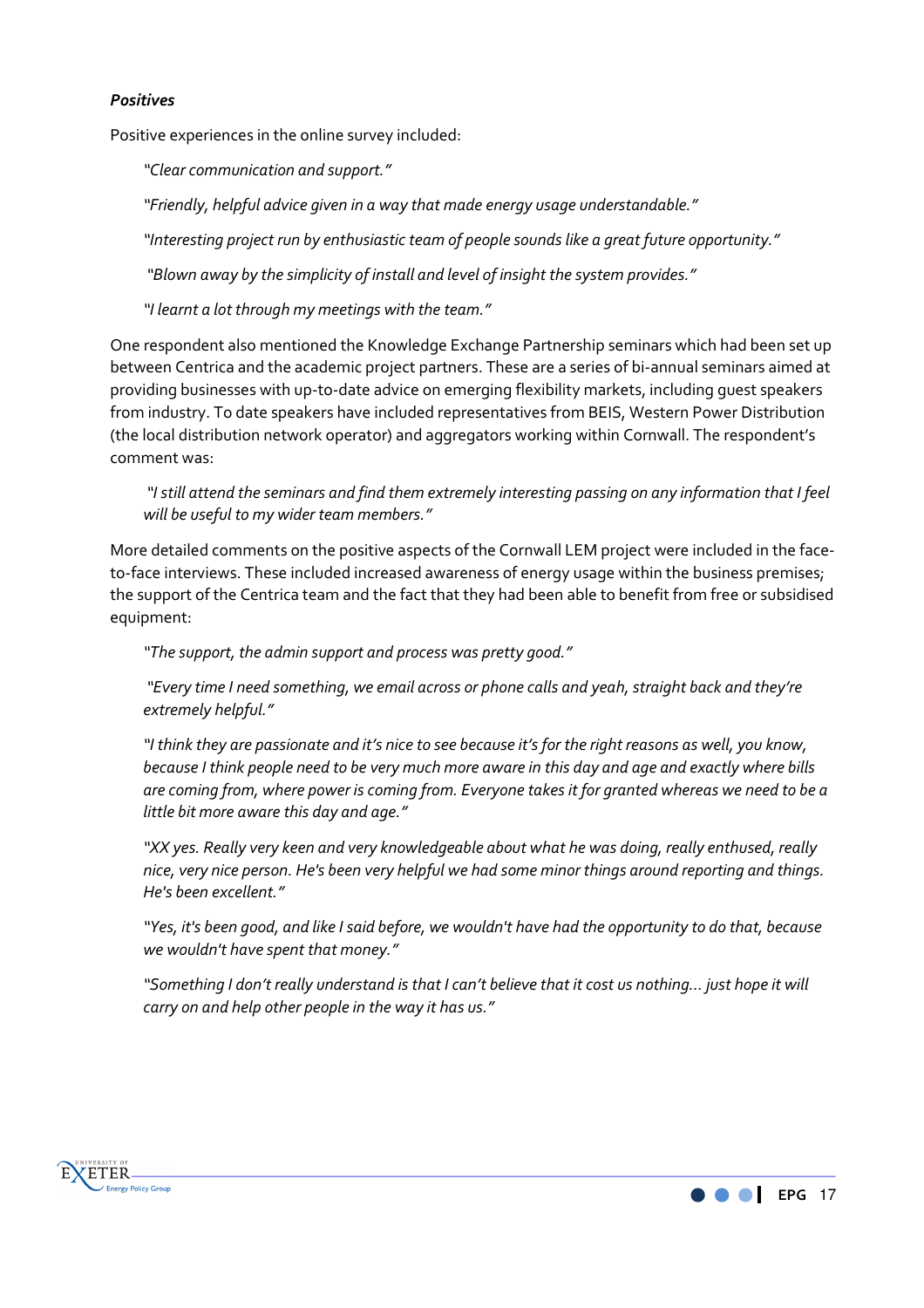#### *Positives*

Positive experiences in the online survey included:

*"Clear communication and support."* 

*"Friendly, helpful advice given in a way that made energy usage understandable."* 

*"Interesting project run by enthusiastic team of people sounds like a great future opportunity."* 

 *"Blown away by the simplicity of install and level of insight the system provides."* 

*"I learnt a lot through my meetings with the team."*

One respondent also mentioned the Knowledge Exchange Partnership seminars which had been set up between Centrica and the academic project partners. These are a series of bi-annual seminars aimed at providing businesses with up-to-date advice on emerging flexibility markets, including guest speakers from industry. To date speakers have included representatives from BEIS, Western Power Distribution (the local distribution network operator) and aggregators working within Cornwall. The respondent's comment was:

 *"I still attend the seminars and find them extremely interesting passing on any information that I feel will be useful to my wider team members."* 

More detailed comments on the positive aspects of the Cornwall LEM project were included in the faceto-face interviews. These included increased awareness of energy usage within the business premises; the support of the Centrica team and the fact that they had been able to benefit from free or subsidised equipment:

*"The support, the admin support and process was pretty good."* 

 *"Every time I need something, we email across or phone calls and yeah, straight back and they're extremely helpful."* 

*"I think they are passionate and it's nice to see because it's for the right reasons as well, you know, because I think people need to be very much more aware in this day and age and exactly where bills are coming from, where power is coming from. Everyone takes it for granted whereas we need to be a little bit more aware this day and age."* 

*"XX yes. Really very keen and very knowledgeable about what he was doing, really enthused, really nice, very nice person. He's been very helpful we had some minor things around reporting and things. He's been excellent."* 

*"Yes, it's been good, and like I said before, we wouldn't have had the opportunity to do that, because we wouldn't have spent that money."* 

*"Something I don't really understand is that I can't believe that it cost us nothing… just hope it will carry on and help other people in the way it has us."* 



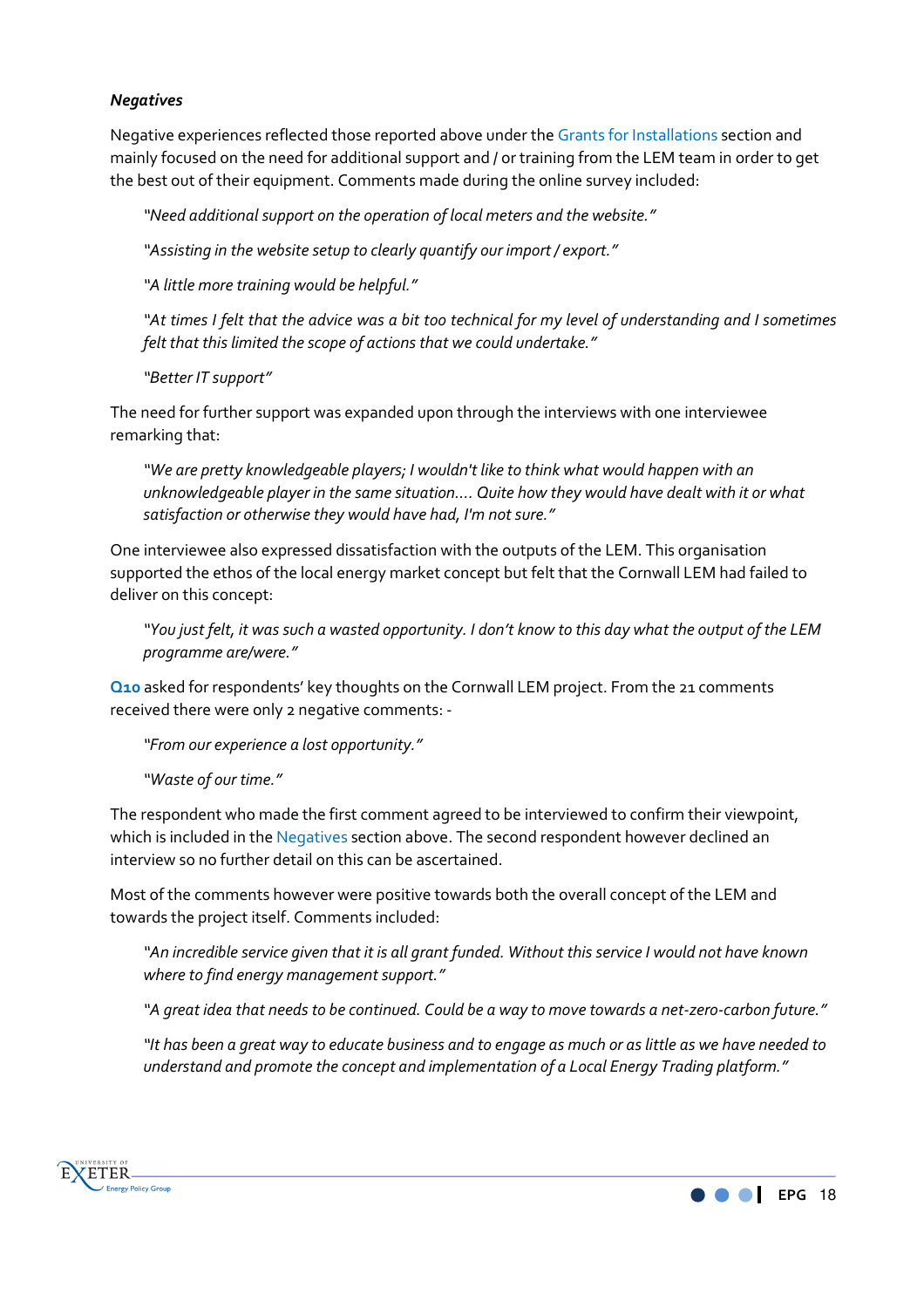#### *Negatives*

Negative experiences reflected those reported above under the Grants for Installations section and mainly focused on the need for additional support and / or training from the LEM team in order to get the best out of their equipment. Comments made during the online survey included:

*"Need additional support on the operation of local meters and the website."* 

*"Assisting in the website setup to clearly quantify our import / export."* 

*"A little more training would be helpful."* 

*"At times I felt that the advice was a bit too technical for my level of understanding and I sometimes felt that this limited the scope of actions that we could undertake."* 

*"Better IT support"* 

The need for further support was expanded upon through the interviews with one interviewee remarking that:

*"We are pretty knowledgeable players; I wouldn't like to think what would happen with an unknowledgeable player in the same situation…. Quite how they would have dealt with it or what satisfaction or otherwise they would have had, I'm not sure."* 

One interviewee also expressed dissatisfaction with the outputs of the LEM. This organisation supported the ethos of the local energy market concept but felt that the Cornwall LEM had failed to deliver on this concept:

*"You just felt, it was such a wasted opportunity. I don't know to this day what the output of the LEM programme are/were."* 

**Q10** asked for respondents' key thoughts on the Cornwall LEM project. From the 21 comments received there were only 2 negative comments: -

*"From our experience a lost opportunity."* 

*"Waste of our time."* 

The respondent who made the first comment agreed to be interviewed to confirm their viewpoint, which is included in the Negatives section above. The second respondent however declined an interview so no further detail on this can be ascertained.

Most of the comments however were positive towards both the overall concept of the LEM and towards the project itself. Comments included:

*"An incredible service given that it is all grant funded. Without this service I would not have known where to find energy management support."* 

*"A great idea that needs to be continued. Could be a way to move towards a net-zero-carbon future."* 

*"It has been a great way to educate business and to engage as much or as little as we have needed to understand and promote the concept and implementation of a Local Energy Trading platform."* 



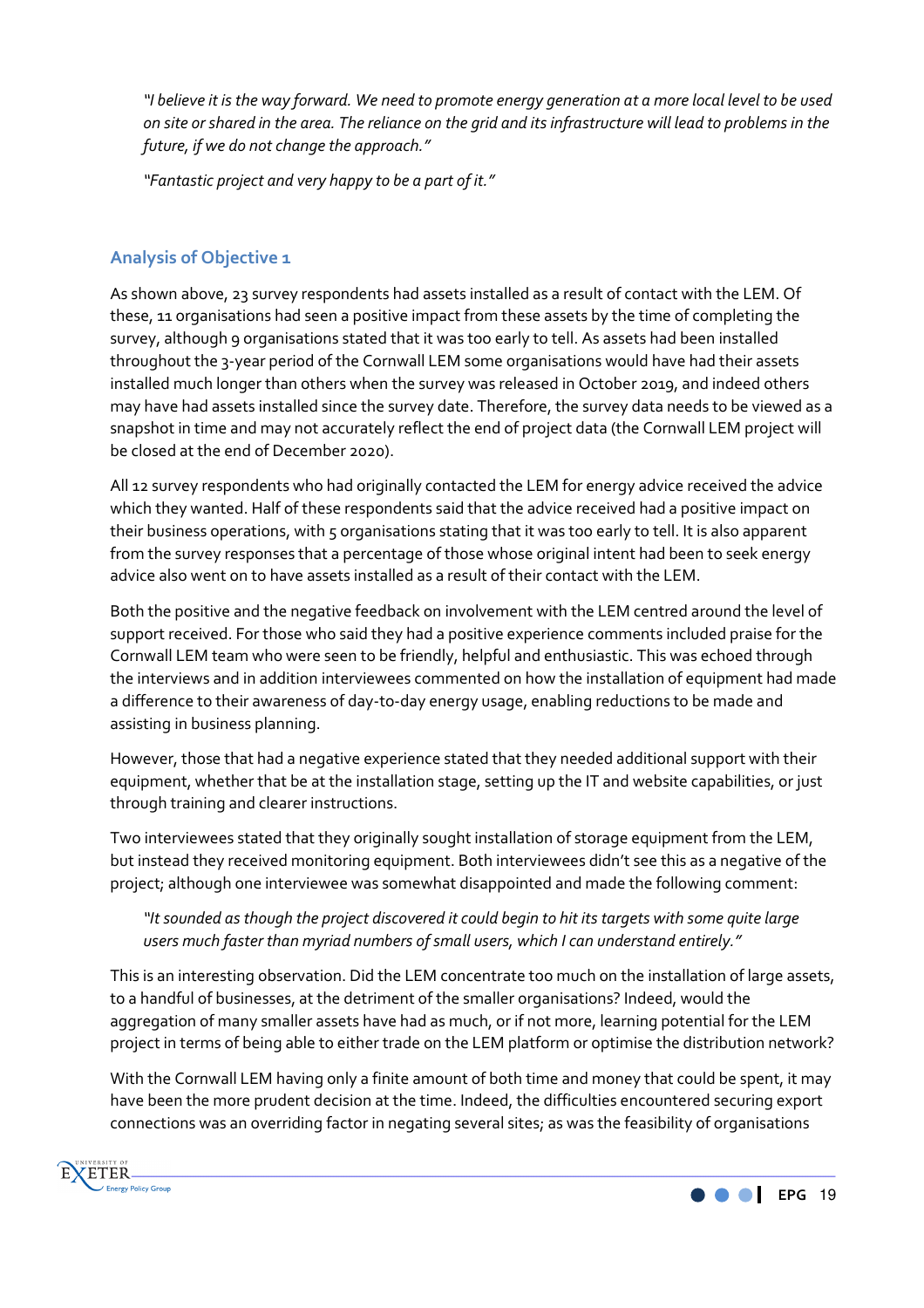*"I believe it is the way forward. We need to promote energy generation at a more local level to be used on site or shared in the area. The reliance on the grid and its infrastructure will lead to problems in the future, if we do not change the approach."* 

*"Fantastic project and very happy to be a part of it."*

# **Analysis of Objective 1**

As shown above, 23 survey respondents had assets installed as a result of contact with the LEM. Of these, 11 organisations had seen a positive impact from these assets by the time of completing the survey, although 9 organisations stated that it was too early to tell. As assets had been installed throughout the 3-year period of the Cornwall LEM some organisations would have had their assets installed much longer than others when the survey was released in October 2019, and indeed others may have had assets installed since the survey date. Therefore, the survey data needs to be viewed as a snapshot in time and may not accurately reflect the end of project data (the Cornwall LEM project will be closed at the end of December 2020).

All 12 survey respondents who had originally contacted the LEM for energy advice received the advice which they wanted. Half of these respondents said that the advice received had a positive impact on their business operations, with 5 organisations stating that it was too early to tell. It is also apparent from the survey responses that a percentage of those whose original intent had been to seek energy advice also went on to have assets installed as a result of their contact with the LEM.

Both the positive and the negative feedback on involvement with the LEM centred around the level of support received. For those who said they had a positive experience comments included praise for the Cornwall LEM team who were seen to be friendly, helpful and enthusiastic. This was echoed through the interviews and in addition interviewees commented on how the installation of equipment had made a difference to their awareness of day-to-day energy usage, enabling reductions to be made and assisting in business planning.

However, those that had a negative experience stated that they needed additional support with their equipment, whether that be at the installation stage, setting up the IT and website capabilities, or just through training and clearer instructions.

Two interviewees stated that they originally sought installation of storage equipment from the LEM, but instead they received monitoring equipment. Both interviewees didn't see this as a negative of the project; although one interviewee was somewhat disappointed and made the following comment:

# *"It sounded as though the project discovered it could begin to hit its targets with some quite large users much faster than myriad numbers of small users, which I can understand entirely."*

This is an interesting observation. Did the LEM concentrate too much on the installation of large assets, to a handful of businesses, at the detriment of the smaller organisations? Indeed, would the aggregation of many smaller assets have had as much, or if not more, learning potential for the LEM project in terms of being able to either trade on the LEM platform or optimise the distribution network?

With the Cornwall LEM having only a finite amount of both time and money that could be spent, it may have been the more prudent decision at the time. Indeed, the difficulties encountered securing export connections was an overriding factor in negating several sites; as was the feasibility of organisations

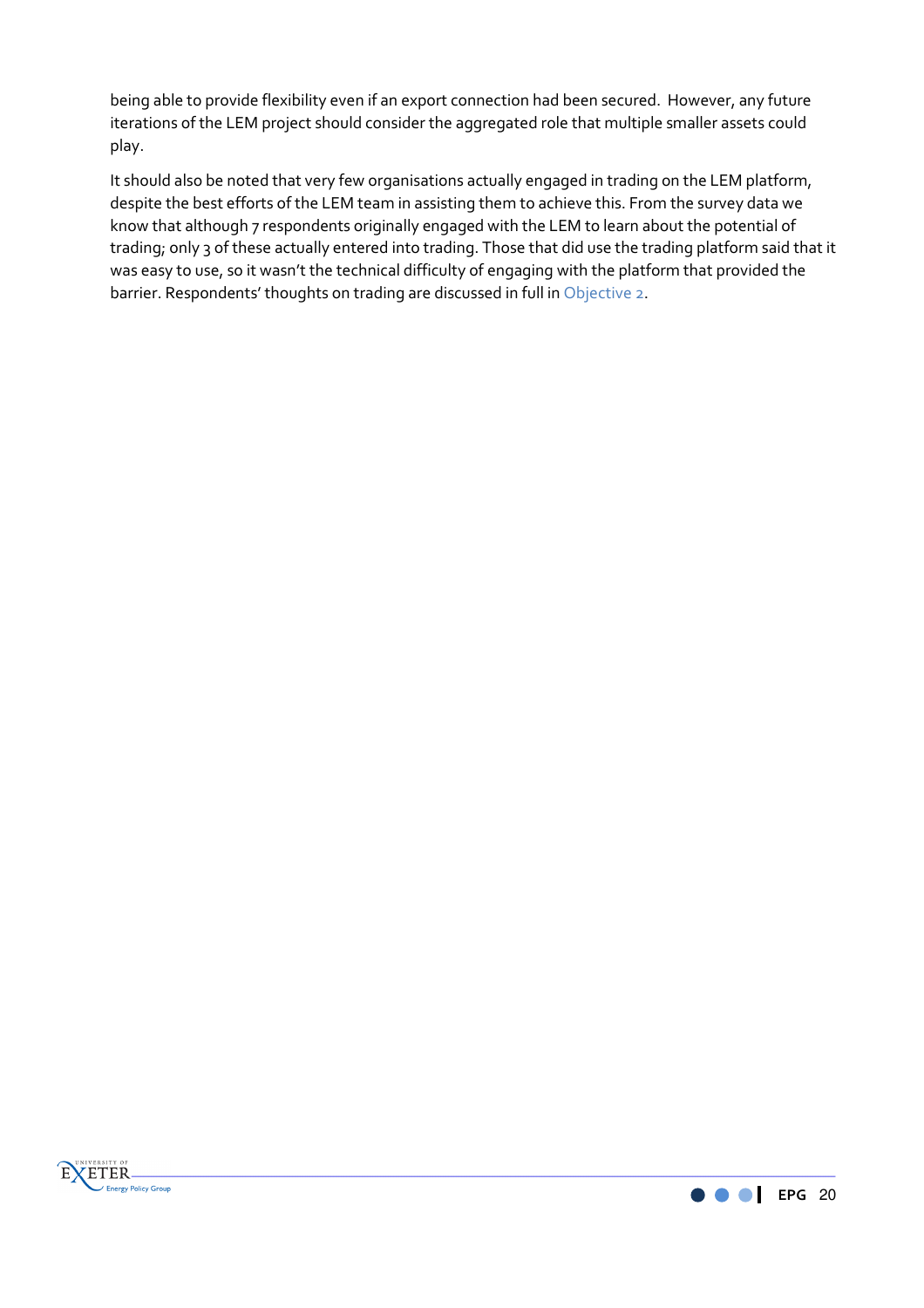being able to provide flexibility even if an export connection had been secured. However, any future iterations of the LEM project should consider the aggregated role that multiple smaller assets could play.

It should also be noted that very few organisations actually engaged in trading on the LEM platform, despite the best efforts of the LEM team in assisting them to achieve this. From the survey data we know that although 7 respondents originally engaged with the LEM to learn about the potential of trading; only 3 of these actually entered into trading. Those that did use the trading platform said that it was easy to use, so it wasn't the technical difficulty of engaging with the platform that provided the barrier. Respondents' thoughts on trading are discussed in full in Objective 2.



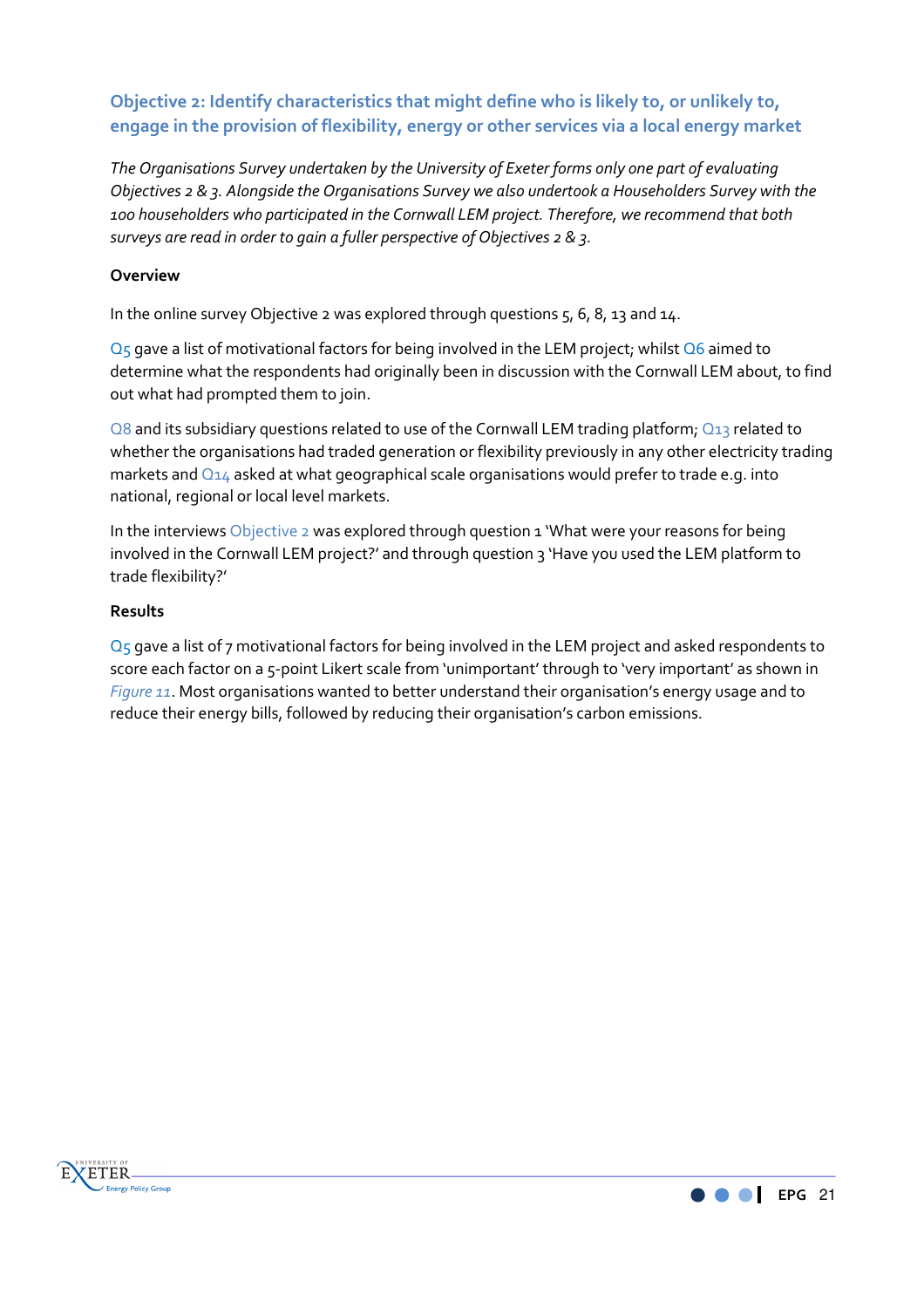**Objective 2: Identify characteristics that might define who is likely to, or unlikely to, engage in the provision of flexibility, energy or other services via a local energy market** 

*The Organisations Survey undertaken by the University of Exeter forms only one part of evaluating Objectives 2 & 3. Alongside the Organisations Survey we also undertook a Householders Survey with the 100 householders who participated in the Cornwall LEM project. Therefore, we recommend that both surveys are read in order to gain a fuller perspective of Objectives 2 & 3.* 

#### **Overview**

In the online survey Objective 2 was explored through questions 5, 6, 8, 13 and 14.

Q<sub>5</sub> gave a list of motivational factors for being involved in the LEM project; whilst Q6 aimed to determine what the respondents had originally been in discussion with the Cornwall LEM about, to find out what had prompted them to join.

Q8 and its subsidiary questions related to use of the Cornwall LEM trading platform; Q13 related to whether the organisations had traded generation or flexibility previously in any other electricity trading markets and  $Q_{14}$  asked at what geographical scale organisations would prefer to trade e.g. into national, regional or local level markets.

In the interviews Objective 2 was explored through question 1 'What were your reasons for being involved in the Cornwall LEM project?' and through question 3 'Have you used the LEM platform to trade flexibility?'

#### **Results**

 $Q_5$  gave a list of 7 motivational factors for being involved in the LEM project and asked respondents to score each factor on a 5-point Likert scale from 'unimportant' through to 'very important' as shown in *Figure 11*. Most organisations wanted to better understand their organisation's energy usage and to reduce their energy bills, followed by reducing their organisation's carbon emissions.



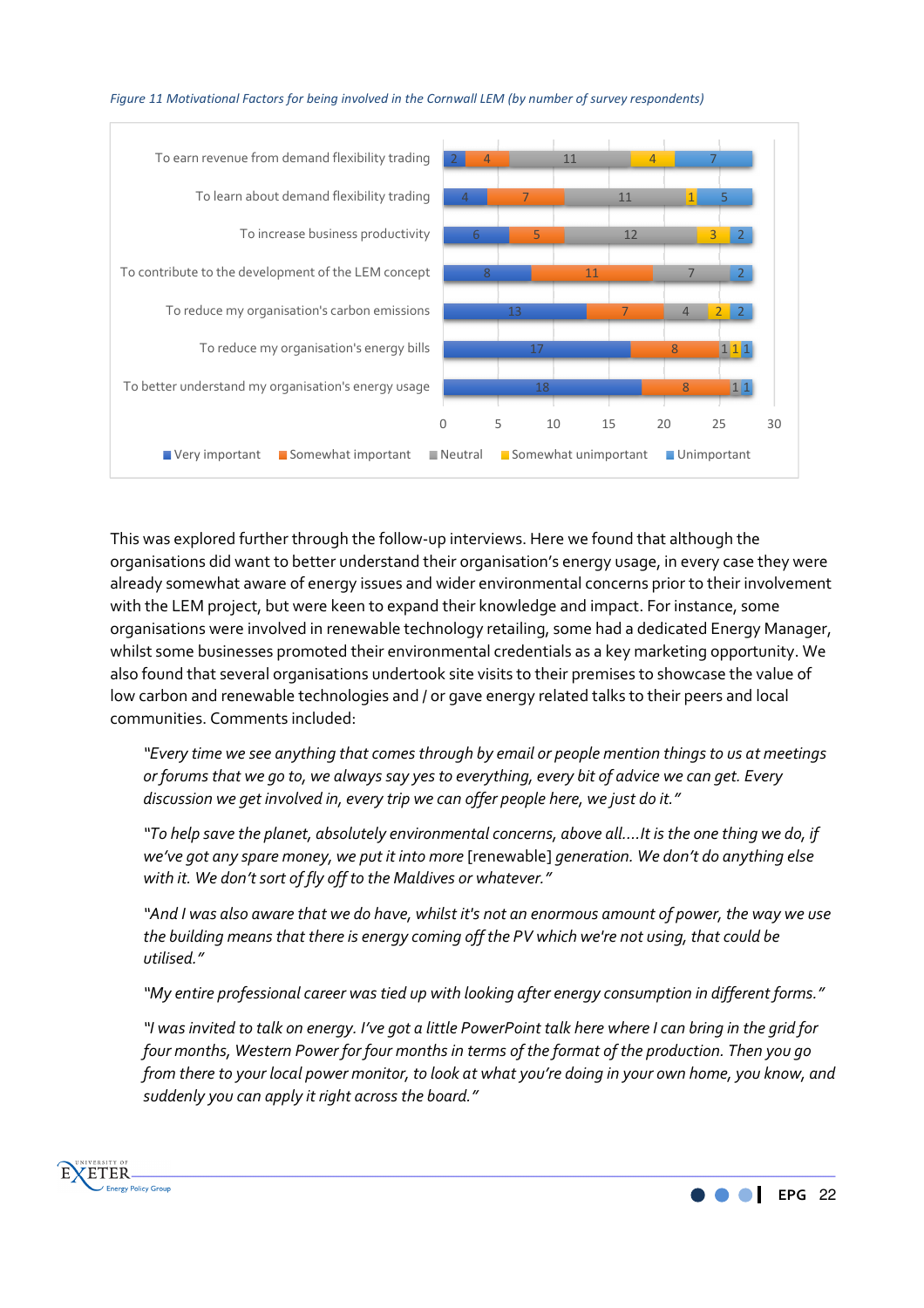

#### *Figure 11 Motivational Factors for being involved in the Cornwall LEM (by number of survey respondents)*

This was explored further through the follow-up interviews. Here we found that although the organisations did want to better understand their organisation's energy usage, in every case they were already somewhat aware of energy issues and wider environmental concerns prior to their involvement with the LEM project, but were keen to expand their knowledge and impact. For instance, some organisations were involved in renewable technology retailing, some had a dedicated Energy Manager, whilst some businesses promoted their environmental credentials as a key marketing opportunity. We also found that several organisations undertook site visits to their premises to showcase the value of low carbon and renewable technologies and / or gave energy related talks to their peers and local communities. Comments included:

*"Every time we see anything that comes through by email or people mention things to us at meetings or forums that we go to, we always say yes to everything, every bit of advice we can get. Every discussion we get involved in, every trip we can offer people here, we just do it."* 

*"To help save the planet, absolutely environmental concerns, above all….It is the one thing we do, if we've got any spare money, we put it into more* [renewable] *generation. We don't do anything else with it. We don't sort of fly off to the Maldives or whatever."* 

*"And I was also aware that we do have, whilst it's not an enormous amount of power, the way we use the building means that there is energy coming off the PV which we're not using, that could be utilised."* 

*"My entire professional career was tied up with looking after energy consumption in different forms."* 

*"I was invited to talk on energy. I've got a little PowerPoint talk here where I can bring in the grid for four months, Western Power for four months in terms of the format of the production. Then you go from there to your local power monitor, to look at what you're doing in your own home, you know, and suddenly you can apply it right across the board."*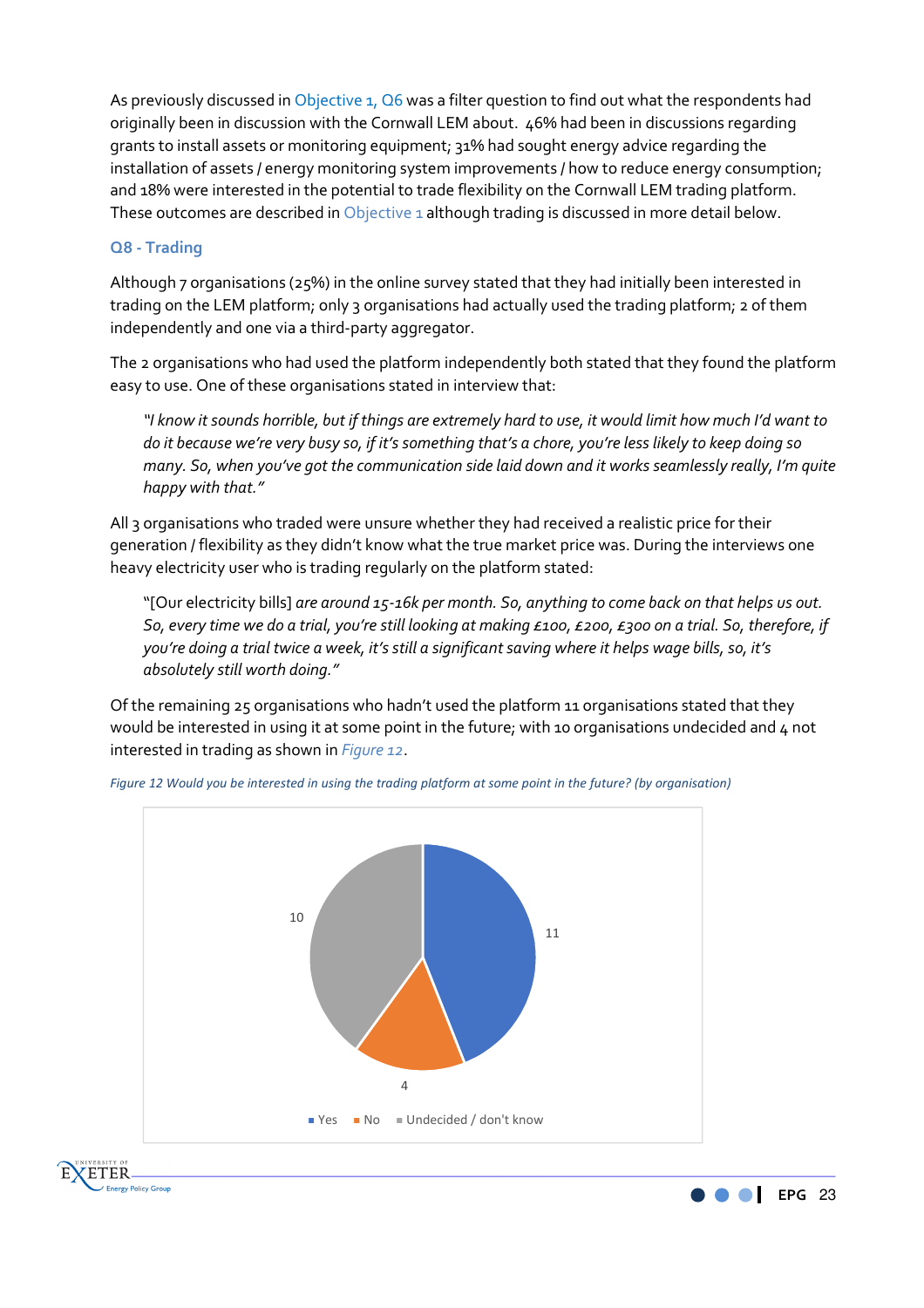As previously discussed in Objective 1, Q6 was a filter question to find out what the respondents had originally been in discussion with the Cornwall LEM about. 46% had been in discussions regarding grants to install assets or monitoring equipment; 31% had sought energy advice regarding the installation of assets / energy monitoring system improvements / how to reduce energy consumption; and 18% were interested in the potential to trade flexibility on the Cornwall LEM trading platform. These outcomes are described in Objective 1 although trading is discussed in more detail below.

#### **Q8 - Trading**

Although 7 organisations (25%) in the online survey stated that they had initially been interested in trading on the LEM platform; only 3 organisations had actually used the trading platform; 2 of them independently and one via a third-party aggregator.

The 2 organisations who had used the platform independently both stated that they found the platform easy to use. One of these organisations stated in interview that:

*"I know it sounds horrible, but if things are extremely hard to use, it would limit how much I'd want to do it because we're very busy so, if it's something that's a chore, you're less likely to keep doing so many. So, when you've got the communication side laid down and it works seamlessly really, I'm quite happy with that."* 

All 3 organisations who traded were unsure whether they had received a realistic price for their generation / flexibility as they didn't know what the true market price was. During the interviews one heavy electricity user who is trading regularly on the platform stated:

"[Our electricity bills] *are around 15-16k per month. So, anything to come back on that helps us out. So, every time we do a trial, you're still looking at making £100, £200, £300 on a trial. So, therefore, if you're doing a trial twice a week, it's still a significant saving where it helps wage bills, so, it's absolutely still worth doing."* 

Of the remaining 25 organisations who hadn't used the platform 11 organisations stated that they would be interested in using it at some point in the future; with 10 organisations undecided and 4 not interested in trading as shown in *Figure 12*.



*Figure 12 Would you be interested in using the trading platform at some point in the future? (by organisation)*



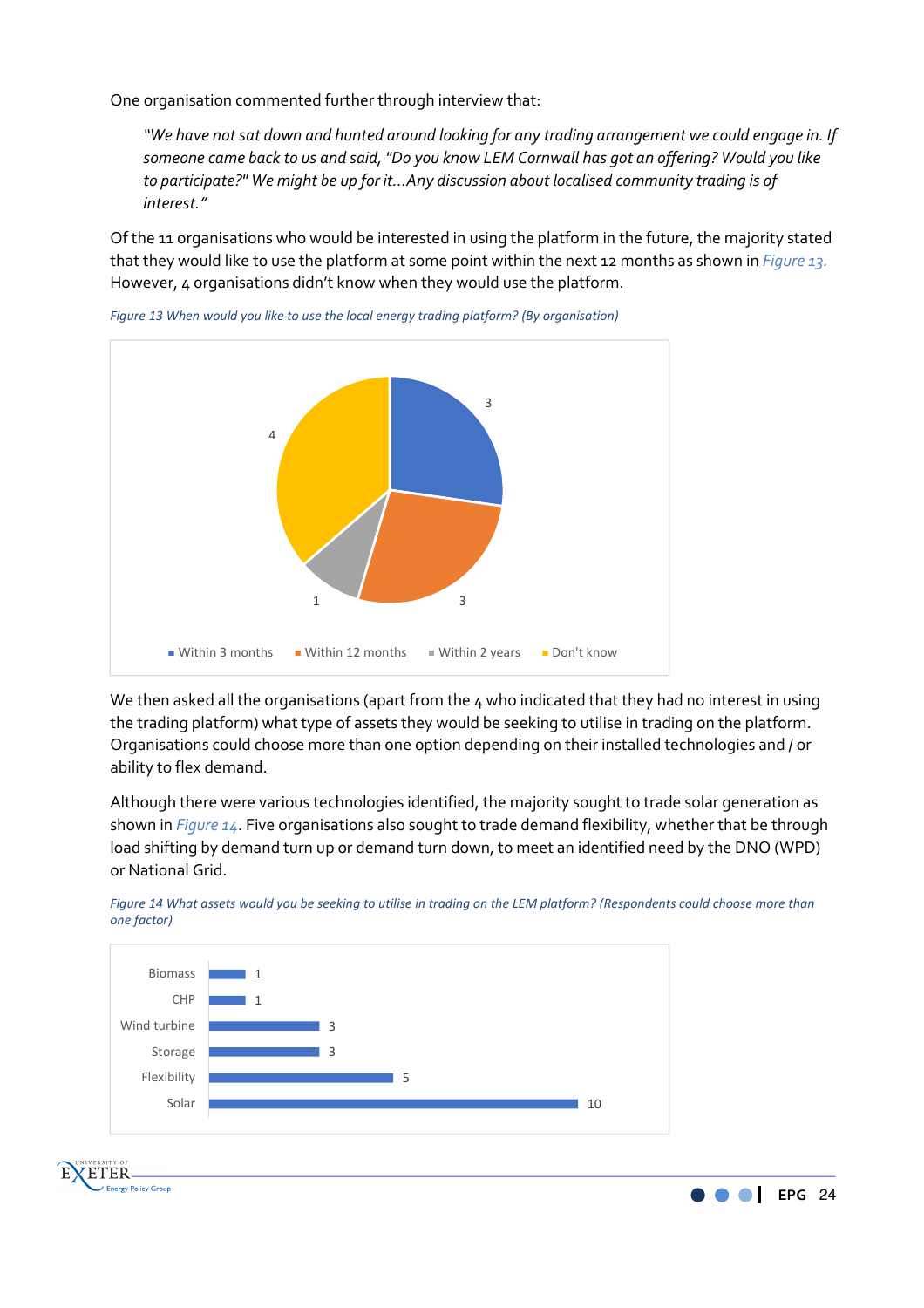One organisation commented further through interview that:

*"We have not sat down and hunted around looking for any trading arrangement we could engage in. If someone came back to us and said, "Do you know LEM Cornwall has got an offering? Would you like to participate?" We might be up for it…Any discussion about localised community trading is of interest."* 

Of the 11 organisations who would be interested in using the platform in the future, the majority stated that they would like to use the platform at some point within the next 12 months as shown in *Figure 13.*  However, 4 organisations didn't know when they would use the platform.



*Figure 13 When would you like to use the local energy trading platform? (By organisation)*

We then asked all the organisations (apart from the 4 who indicated that they had no interest in using the trading platform) what type of assets they would be seeking to utilise in trading on the platform. Organisations could choose more than one option depending on their installed technologies and / or ability to flex demand.

Although there were various technologies identified, the majority sought to trade solar generation as shown in *Figure 14*. Five organisations also sought to trade demand flexibility, whether that be through load shifting by demand turn up or demand turn down, to meet an identified need by the DNO (WPD) or National Grid.

*Figure 14 What assets would you be seeking to utilise in trading on the LEM platform? (Respondents could choose more than* 





**ZETER** 

**Energy Policy Group** 

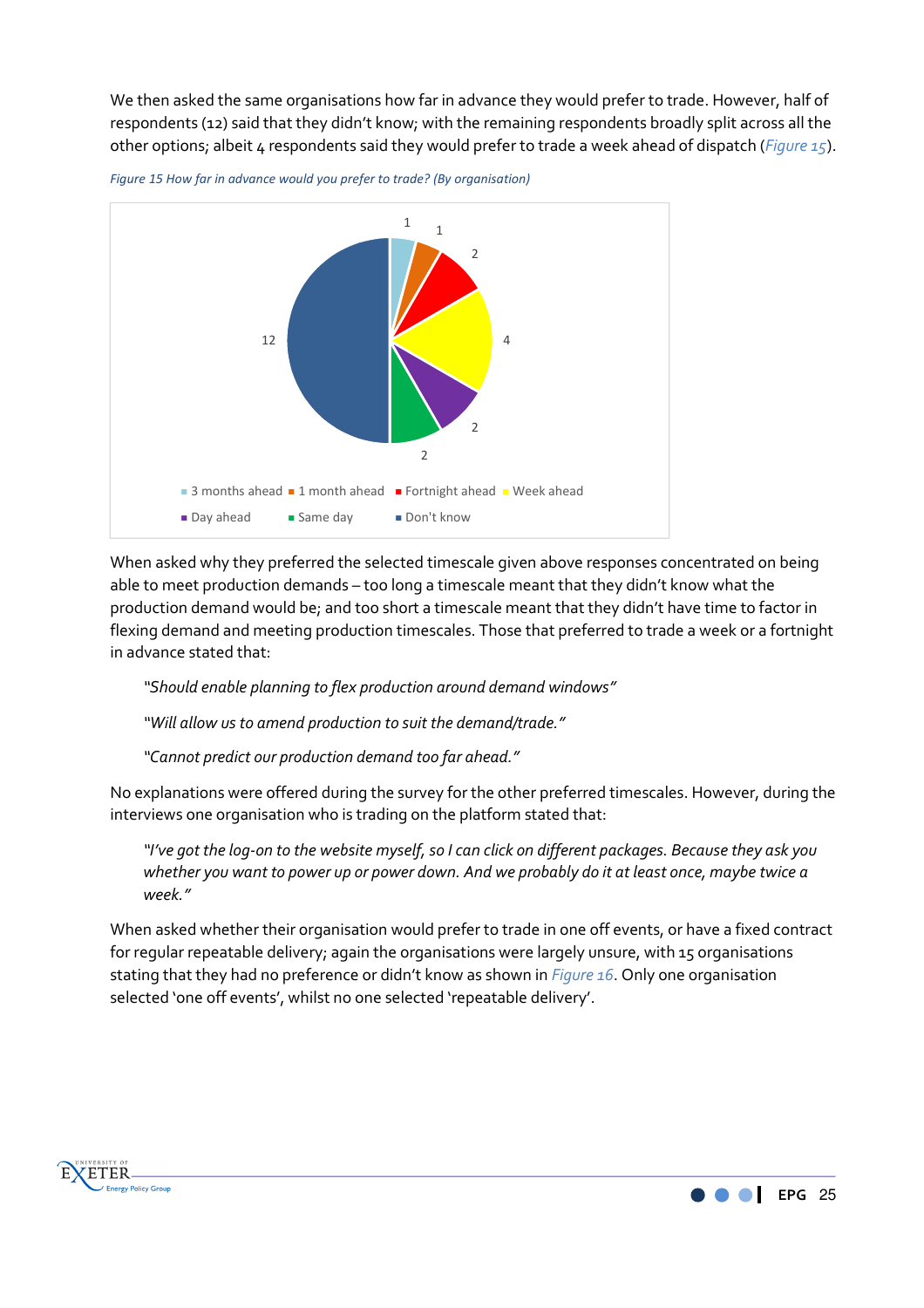We then asked the same organisations how far in advance they would prefer to trade. However, half of respondents (12) said that they didn't know; with the remaining respondents broadly split across all the other options; albeit 4 respondents said they would prefer to trade a week ahead of dispatch (*Figure 15*).





When asked why they preferred the selected timescale given above responses concentrated on being able to meet production demands – too long a timescale meant that they didn't know what the production demand would be; and too short a timescale meant that they didn't have time to factor in flexing demand and meeting production timescales. Those that preferred to trade a week or a fortnight in advance stated that:

*"Should enable planning to flex production around demand windows"* 

*"Will allow us to amend production to suit the demand/trade."* 

*"Cannot predict our production demand too far ahead."* 

No explanations were offered during the survey for the other preferred timescales. However, during the interviews one organisation who is trading on the platform stated that:

*"I've got the log-on to the website myself, so I can click on different packages. Because they ask you whether you want to power up or power down. And we probably do it at least once, maybe twice a week."* 

When asked whether their organisation would prefer to trade in one off events, or have a fixed contract for regular repeatable delivery; again the organisations were largely unsure, with 15 organisations stating that they had no preference or didn't know as shown in *Figure 16*. Only one organisation selected 'one off events', whilst no one selected 'repeatable delivery'.



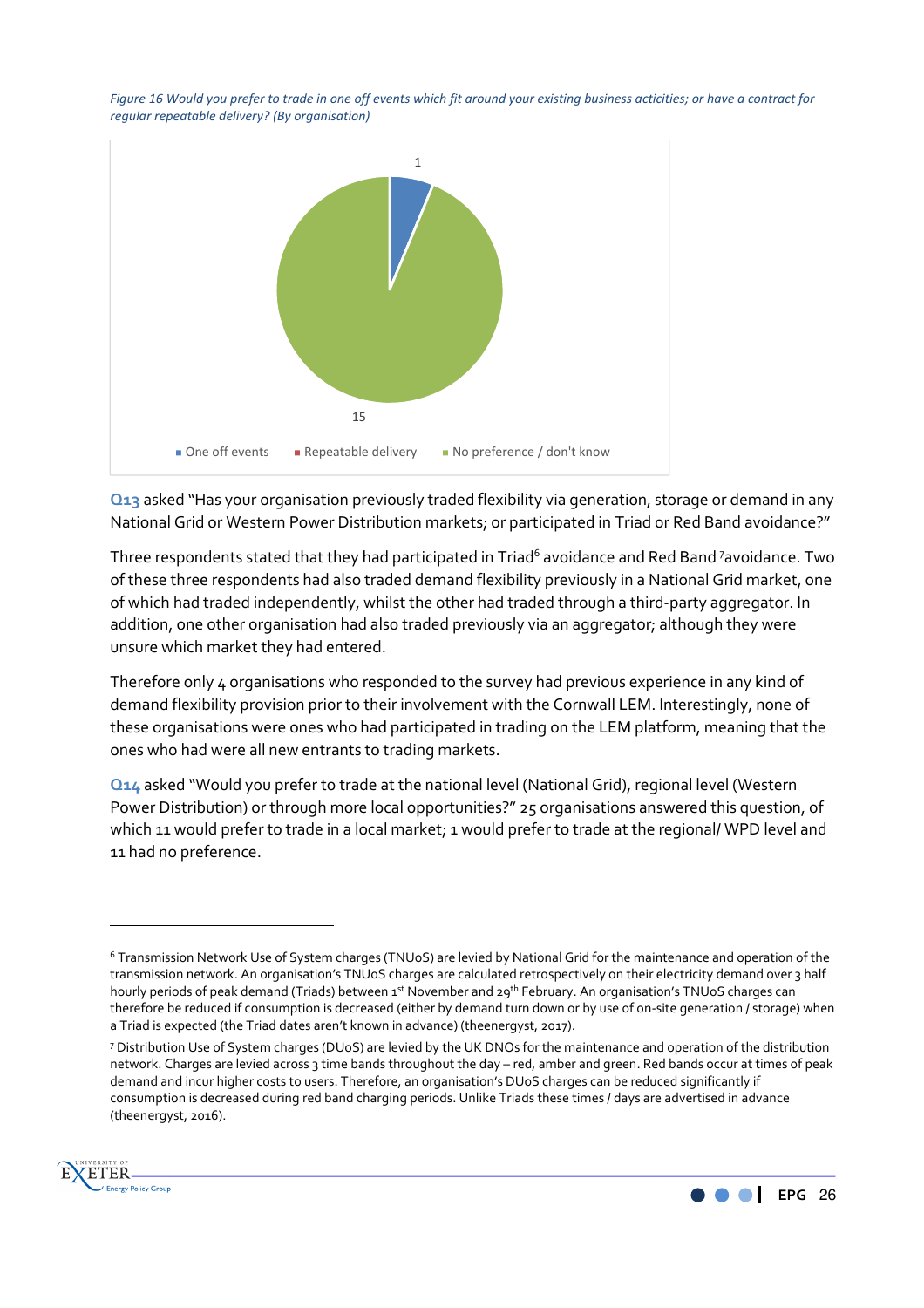*Figure 16 Would you prefer to trade in one off events which fit around your existing business acticities; or have a contract for regular repeatable delivery? (By organisation)*



**Q13** asked "Has your organisation previously traded flexibility via generation, storage or demand in any National Grid or Western Power Distribution markets; or participated in Triad or Red Band avoidance?"

Three respondents stated that they had participated in Triad<sup>6</sup> avoidance and Red Band <sup>7</sup>avoidance. Two of these three respondents had also traded demand flexibility previously in a National Grid market, one of which had traded independently, whilst the other had traded through a third-party aggregator. In addition, one other organisation had also traded previously via an aggregator; although they were unsure which market they had entered.

Therefore only 4 organisations who responded to the survey had previous experience in any kind of demand flexibility provision prior to their involvement with the Cornwall LEM. Interestingly, none of these organisations were ones who had participated in trading on the LEM platform, meaning that the ones who had were all new entrants to trading markets.

**Q14** asked "Would you prefer to trade at the national level (National Grid), regional level (Western Power Distribution) or through more local opportunities?" 25 organisations answered this question, of which 11 would prefer to trade in a local market; 1 would prefer to trade at the regional/ WPD level and 11 had no preference.

<sup>7</sup> Distribution Use of System charges (DUoS) are levied by the UK DNOs for the maintenance and operation of the distribution network. Charges are levied across 3 time bands throughout the day – red, amber and green. Red bands occur at times of peak demand and incur higher costs to users. Therefore, an organisation's DUoS charges can be reduced significantly if consumption is decreased during red band charging periods. Unlike Triads these times / days are advertised in advance (theenergyst, 2016).



 $\overline{\phantom{a}}$ 



<sup>6</sup> Transmission Network Use of System charges (TNUoS) are levied by National Grid for the maintenance and operation of the transmission network. An organisation's TNUoS charges are calculated retrospectively on their electricity demand over 3 half hourly periods of peak demand (Triads) between 1st November and 29th February. An organisation's TNUoS charges can therefore be reduced if consumption is decreased (either by demand turn down or by use of on-site generation / storage) when a Triad is expected (the Triad dates aren't known in advance) (theenergyst, 2017).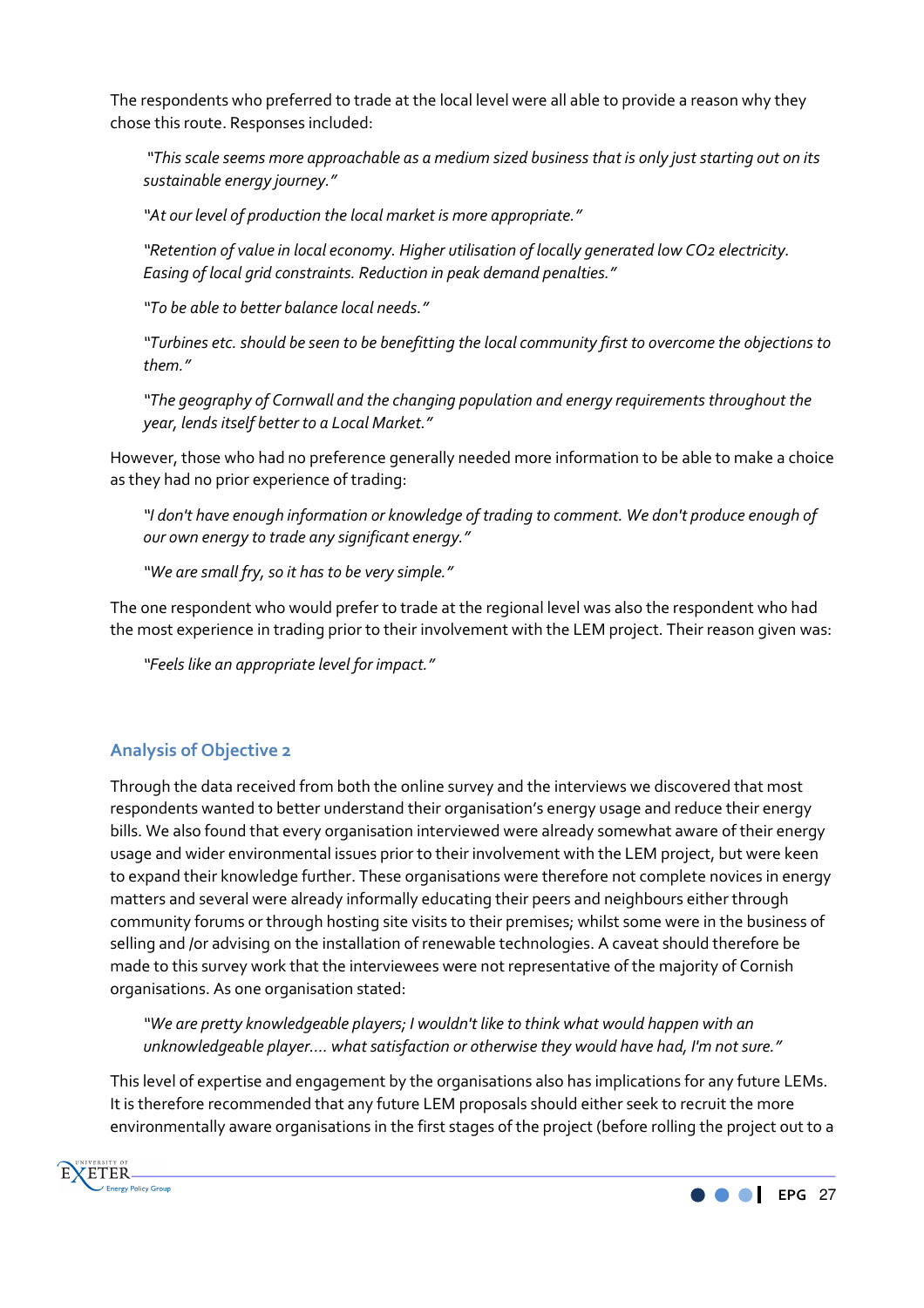The respondents who preferred to trade at the local level were all able to provide a reason why they chose this route. Responses included:

 *"This scale seems more approachable as a medium sized business that is only just starting out on its sustainable energy journey."* 

*"At our level of production the local market is more appropriate."* 

*"Retention of value in local economy. Higher utilisation of locally generated low CO2 electricity. Easing of local grid constraints. Reduction in peak demand penalties."* 

*"To be able to better balance local needs."* 

*"Turbines etc. should be seen to be benefitting the local community first to overcome the objections to them."* 

*"The geography of Cornwall and the changing population and energy requirements throughout the year, lends itself better to a Local Market."* 

However, those who had no preference generally needed more information to be able to make a choice as they had no prior experience of trading:

*"I don't have enough information or knowledge of trading to comment. We don't produce enough of our own energy to trade any significant energy."* 

*"We are small fry, so it has to be very simple."* 

The one respondent who would prefer to trade at the regional level was also the respondent who had the most experience in trading prior to their involvement with the LEM project. Their reason given was:

*"Feels like an appropriate level for impact."* 

# **Analysis of Objective 2**

Through the data received from both the online survey and the interviews we discovered that most respondents wanted to better understand their organisation's energy usage and reduce their energy bills. We also found that every organisation interviewed were already somewhat aware of their energy usage and wider environmental issues prior to their involvement with the LEM project, but were keen to expand their knowledge further. These organisations were therefore not complete novices in energy matters and several were already informally educating their peers and neighbours either through community forums or through hosting site visits to their premises; whilst some were in the business of selling and /or advising on the installation of renewable technologies. A caveat should therefore be made to this survey work that the interviewees were not representative of the majority of Cornish organisations. As one organisation stated:

*"We are pretty knowledgeable players; I wouldn't like to think what would happen with an unknowledgeable player…. what satisfaction or otherwise they would have had, I'm not sure."* 

This level of expertise and engagement by the organisations also has implications for any future LEMs. It is therefore recommended that any future LEM proposals should either seek to recruit the more environmentally aware organisations in the first stages of the project (before rolling the project out to a



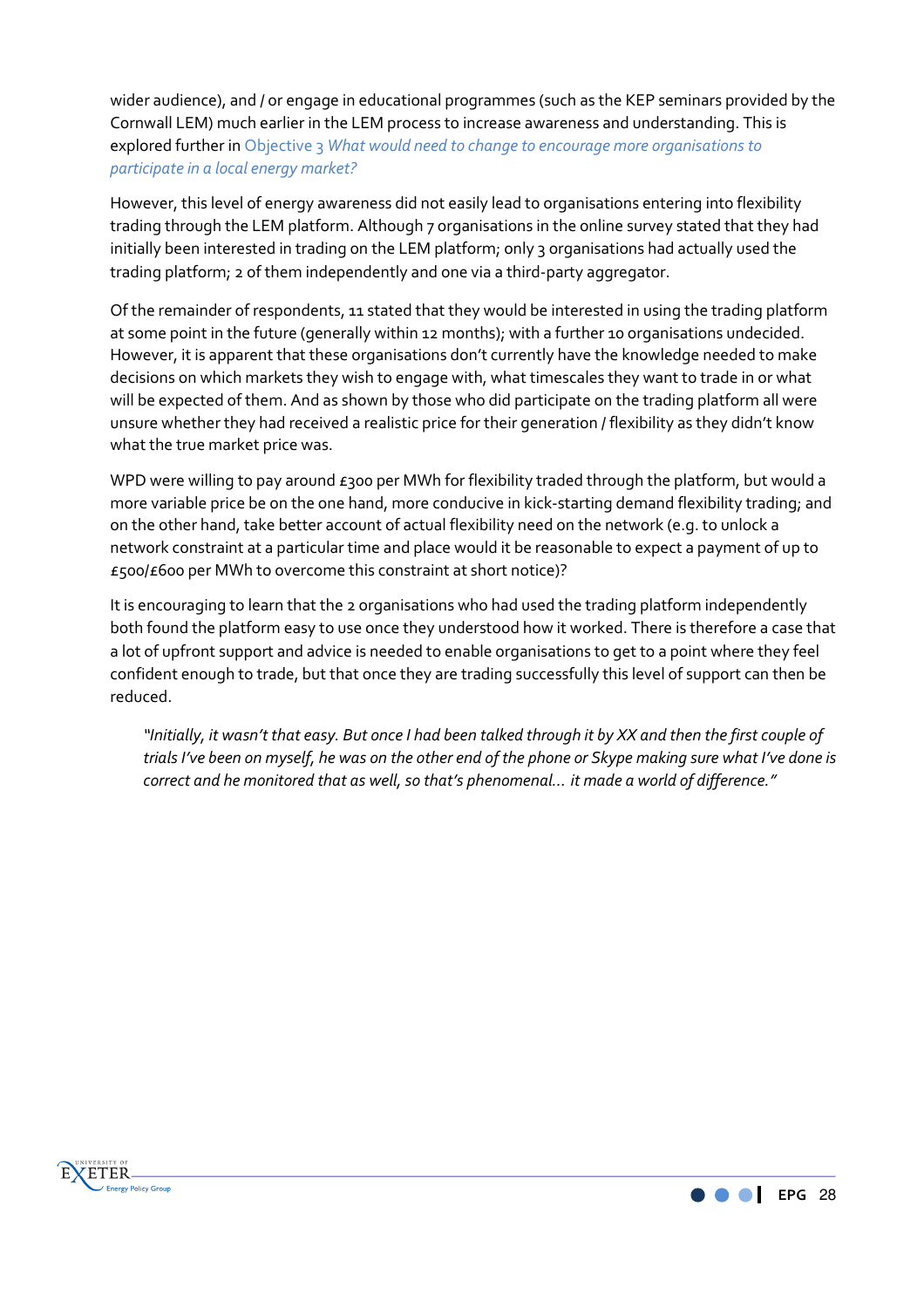wider audience), and / or engage in educational programmes (such as the KEP seminars provided by the Cornwall LEM) much earlier in the LEM process to increase awareness and understanding. This is explored further in Objective 3 *What would need to change to encourage more organisations to participate in a local energy market?*

However, this level of energy awareness did not easily lead to organisations entering into flexibility trading through the LEM platform. Although 7 organisations in the online survey stated that they had initially been interested in trading on the LEM platform; only 3 organisations had actually used the trading platform; 2 of them independently and one via a third-party aggregator.

Of the remainder of respondents, 11 stated that they would be interested in using the trading platform at some point in the future (generally within 12 months); with a further 10 organisations undecided. However, it is apparent that these organisations don't currently have the knowledge needed to make decisions on which markets they wish to engage with, what timescales they want to trade in or what will be expected of them. And as shown by those who did participate on the trading platform all were unsure whether they had received a realistic price for their generation / flexibility as they didn't know what the true market price was.

WPD were willing to pay around  $\epsilon$ 300 per MWh for flexibility traded through the platform, but would a more variable price be on the one hand, more conducive in kick-starting demand flexibility trading; and on the other hand, take better account of actual flexibility need on the network (e.g. to unlock a network constraint at a particular time and place would it be reasonable to expect a payment of up to £500/£600 per MWh to overcome this constraint at short notice)?

It is encouraging to learn that the 2 organisations who had used the trading platform independently both found the platform easy to use once they understood how it worked. There is therefore a case that a lot of upfront support and advice is needed to enable organisations to get to a point where they feel confident enough to trade, but that once they are trading successfully this level of support can then be reduced.

*"Initially, it wasn't that easy. But once I had been talked through it by XX and then the first couple of trials I've been on myself, he was on the other end of the phone or Skype making sure what I've done is correct and he monitored that as well, so that's phenomenal… it made a world of difference."* 



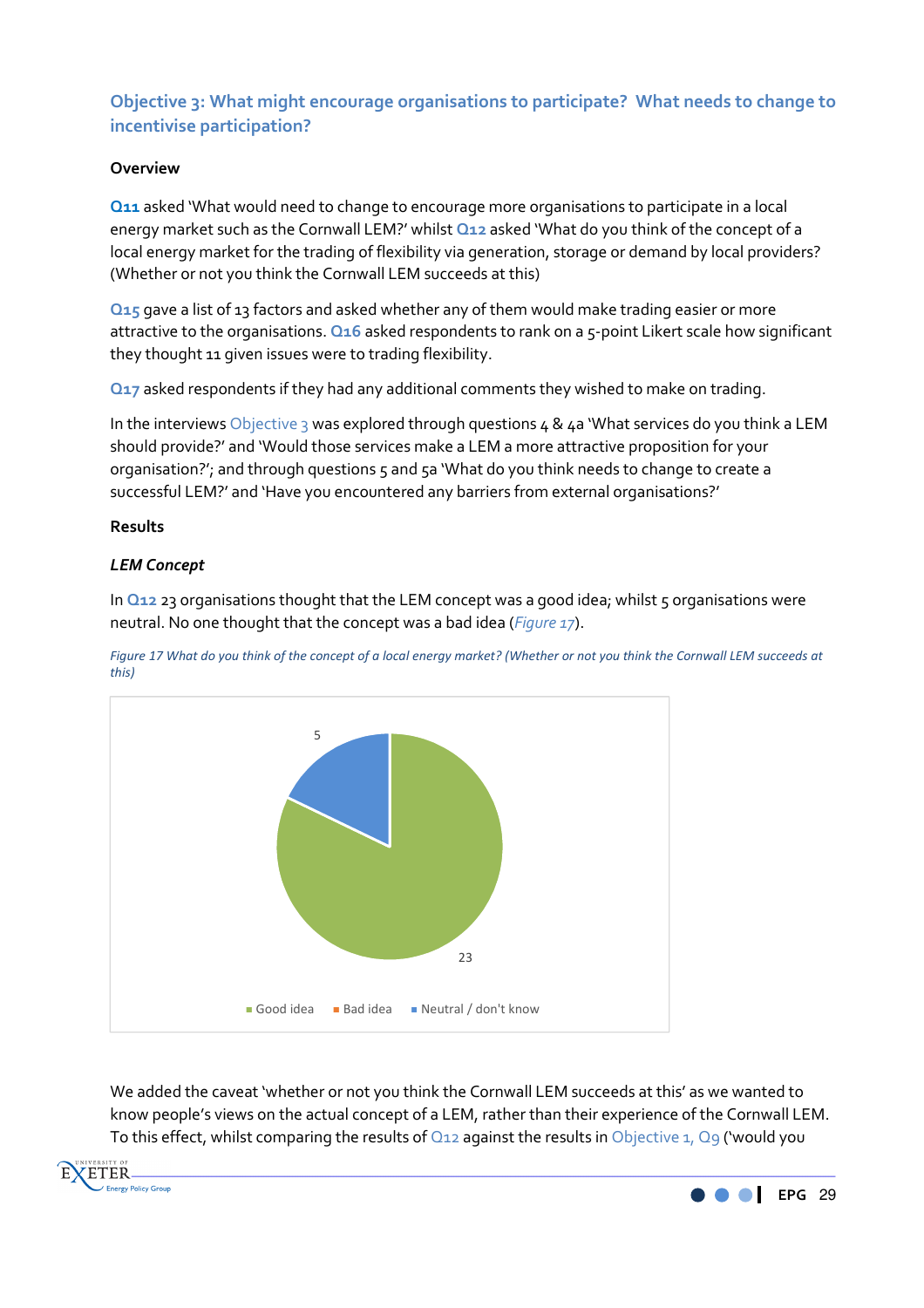# **Objective 3: What might encourage organisations to participate? What needs to change to incentivise participation?**

# **Overview**

**Q11** asked 'What would need to change to encourage more organisations to participate in a local energy market such as the Cornwall LEM?' whilst **Q12** asked 'What do you think of the concept of a local energy market for the trading of flexibility via generation, storage or demand by local providers? (Whether or not you think the Cornwall LEM succeeds at this)

**Q15** gave a list of 13 factors and asked whether any of them would make trading easier or more attractive to the organisations. **Q16** asked respondents to rank on a 5-point Likert scale how significant they thought 11 given issues were to trading flexibility.

**Q17** asked respondents if they had any additional comments they wished to make on trading.

In the interviews Objective 3 was explored through questions 4 & 4a 'What services do you think a LEM should provide?' and 'Would those services make a LEM a more attractive proposition for your organisation?'; and through questions 5 and 5a 'What do you think needs to change to create a successful LEM?' and 'Have you encountered any barriers from external organisations?'

#### **Results**

#### *LEM Concept*

In **Q12** 23 organisations thought that the LEM concept was a good idea; whilst 5 organisations were neutral. No one thought that the concept was a bad idea (*Figure 17*).

*Figure 17 What do you think of the concept of a local energy market? (Whether or not you think the Cornwall LEM succeeds at this)*



We added the caveat 'whether or not you think the Cornwall LEM succeeds at this' as we wanted to know people's views on the actual concept of a LEM, rather than their experience of the Cornwall LEM. To this effect, whilst comparing the results of  $Q_{12}$  against the results in Objective 1,  $Q_9$  ('would you



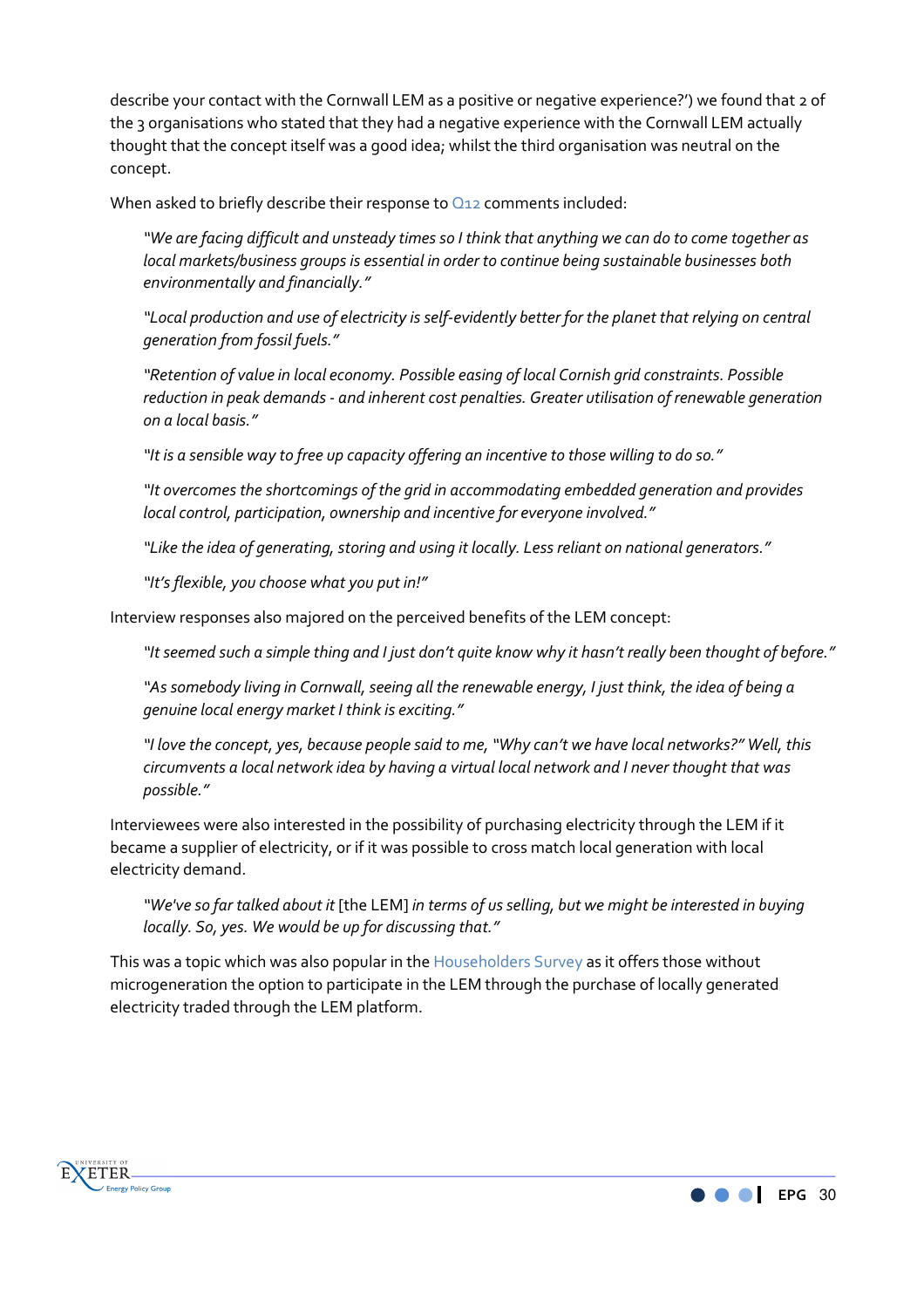describe your contact with the Cornwall LEM as a positive or negative experience?') we found that 2 of the 3 organisations who stated that they had a negative experience with the Cornwall LEM actually thought that the concept itself was a good idea; whilst the third organisation was neutral on the concept.

When asked to briefly describe their response to Q12 comments included:

*"We are facing difficult and unsteady times so I think that anything we can do to come together as local markets/business groups is essential in order to continue being sustainable businesses both environmentally and financially."* 

*"Local production and use of electricity is self-evidently better for the planet that relying on central generation from fossil fuels."* 

*"Retention of value in local economy. Possible easing of local Cornish grid constraints. Possible reduction in peak demands - and inherent cost penalties. Greater utilisation of renewable generation on a local basis."* 

*"It is a sensible way to free up capacity offering an incentive to those willing to do so."* 

*"It overcomes the shortcomings of the grid in accommodating embedded generation and provides local control, participation, ownership and incentive for everyone involved."* 

*"Like the idea of generating, storing and using it locally. Less reliant on national generators."* 

*"It's flexible, you choose what you put in!"* 

Interview responses also majored on the perceived benefits of the LEM concept:

*"It seemed such a simple thing and I just don't quite know why it hasn't really been thought of before."* 

*"As somebody living in Cornwall, seeing all the renewable energy, I just think, the idea of being a genuine local energy market I think is exciting."* 

*"I love the concept, yes, because people said to me, "Why can't we have local networks?" Well, this circumvents a local network idea by having a virtual local network and I never thought that was possible."* 

Interviewees were also interested in the possibility of purchasing electricity through the LEM if it became a supplier of electricity, or if it was possible to cross match local generation with local electricity demand.

*"We've so far talked about it* [the LEM] *in terms of us selling, but we might be interested in buying locally. So, yes. We would be up for discussing that."* 

This was a topic which was also popular in the Householders Survey as it offers those without microgeneration the option to participate in the LEM through the purchase of locally generated electricity traded through the LEM platform.



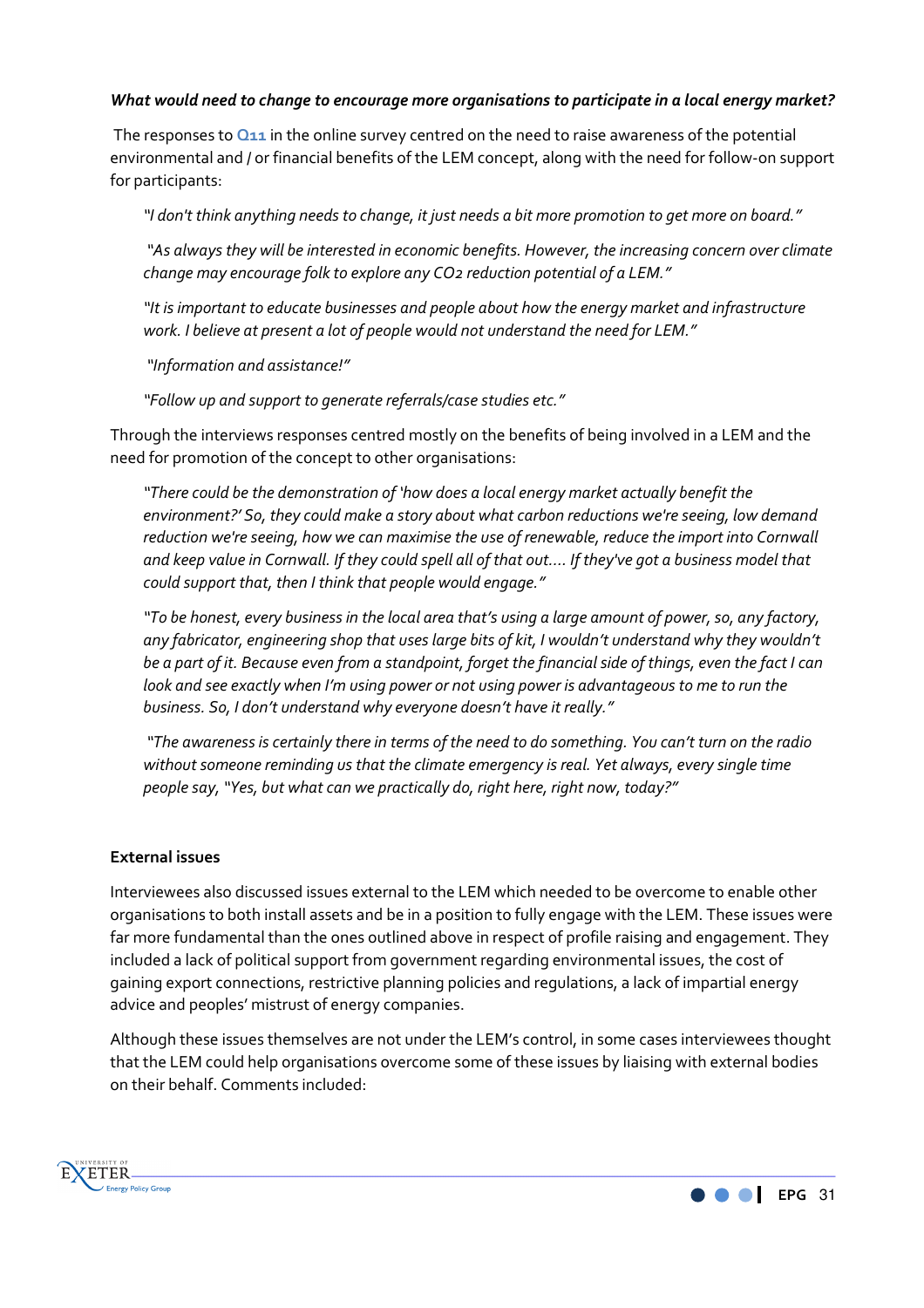#### *What would need to change to encourage more organisations to participate in a local energy market?*

 The responses to **Q11** in the online survey centred on the need to raise awareness of the potential environmental and / or financial benefits of the LEM concept, along with the need for follow-on support for participants:

*"I don't think anything needs to change, it just needs a bit more promotion to get more on board."* 

 *"As always they will be interested in economic benefits. However, the increasing concern over climate change may encourage folk to explore any CO2 reduction potential of a LEM."* 

*"It is important to educate businesses and people about how the energy market and infrastructure work. I believe at present a lot of people would not understand the need for LEM."* 

 *"Information and assistance!"* 

*"Follow up and support to generate referrals/case studies etc."* 

Through the interviews responses centred mostly on the benefits of being involved in a LEM and the need for promotion of the concept to other organisations:

*"There could be the demonstration of 'how does a local energy market actually benefit the environment?' So, they could make a story about what carbon reductions we're seeing, low demand reduction we're seeing, how we can maximise the use of renewable, reduce the import into Cornwall and keep value in Cornwall. If they could spell all of that out…. If they've got a business model that could support that, then I think that people would engage."* 

*"To be honest, every business in the local area that's using a large amount of power, so, any factory, any fabricator, engineering shop that uses large bits of kit, I wouldn't understand why they wouldn't be a part of it. Because even from a standpoint, forget the financial side of things, even the fact I can look and see exactly when I'm using power or not using power is advantageous to me to run the business. So, I don't understand why everyone doesn't have it really."* 

 *"The awareness is certainly there in terms of the need to do something. You can't turn on the radio without someone reminding us that the climate emergency is real. Yet always, every single time people say, "Yes, but what can we practically do, right here, right now, today?"* 

#### **External issues**

Interviewees also discussed issues external to the LEM which needed to be overcome to enable other organisations to both install assets and be in a position to fully engage with the LEM. These issues were far more fundamental than the ones outlined above in respect of profile raising and engagement. They included a lack of political support from government regarding environmental issues, the cost of gaining export connections, restrictive planning policies and regulations, a lack of impartial energy advice and peoples' mistrust of energy companies.

Although these issues themselves are not under the LEM's control, in some cases interviewees thought that the LEM could help organisations overcome some of these issues by liaising with external bodies on their behalf. Comments included:



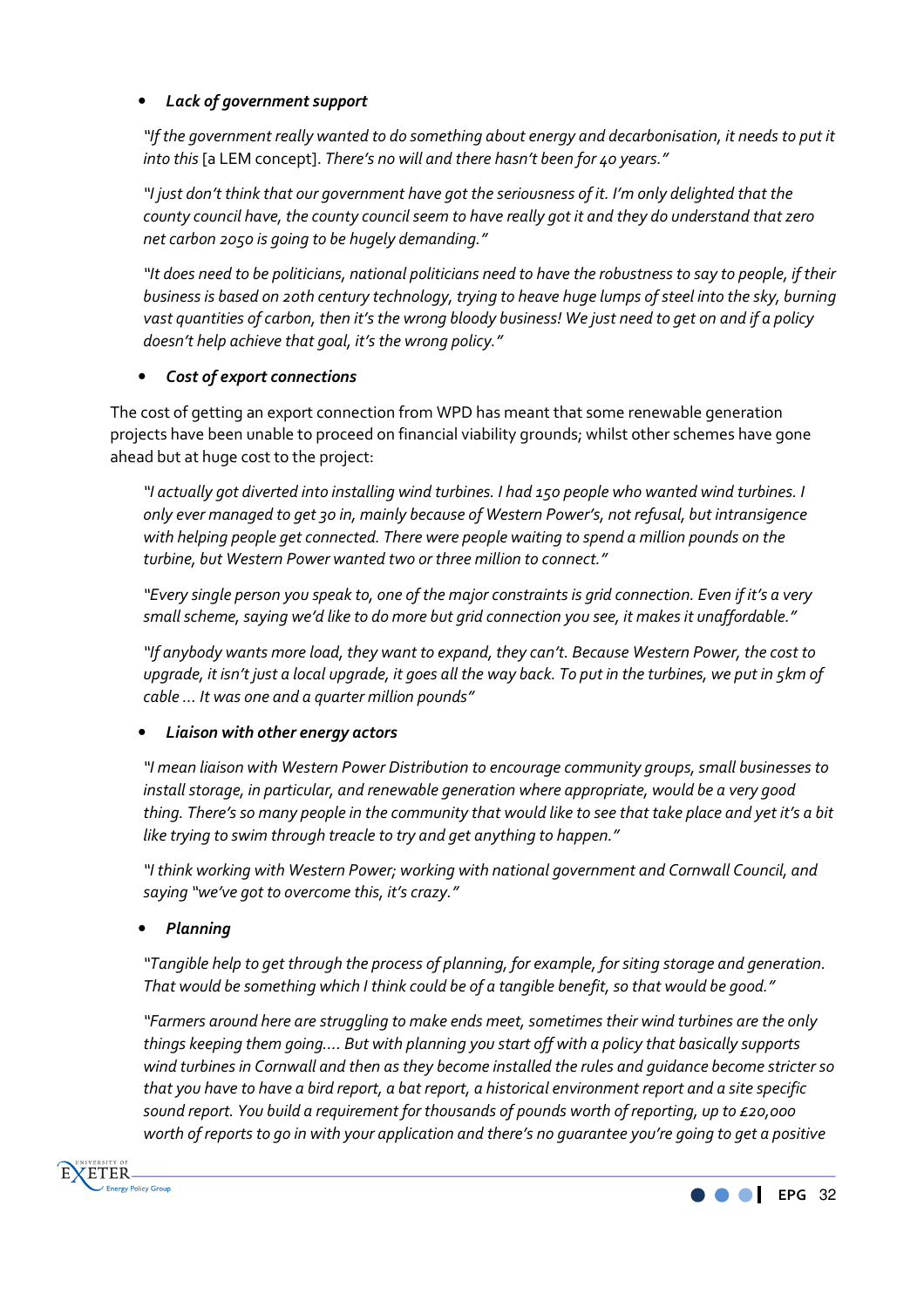# • *Lack of government support*

*"If the government really wanted to do something about energy and decarbonisation, it needs to put it into this* [a LEM concept]. *There's no will and there hasn't been for 40 years."* 

*"I just don't think that our government have got the seriousness of it. I'm only delighted that the county council have, the county council seem to have really got it and they do understand that zero net carbon 2050 is going to be hugely demanding."* 

*"It does need to be politicians, national politicians need to have the robustness to say to people, if their business is based on 20th century technology, trying to heave huge lumps of steel into the sky, burning vast quantities of carbon, then it's the wrong bloody business! We just need to get on and if a policy doesn't help achieve that goal, it's the wrong policy."* 

# • *Cost of export connections*

The cost of getting an export connection from WPD has meant that some renewable generation projects have been unable to proceed on financial viability grounds; whilst other schemes have gone ahead but at huge cost to the project:

*"I actually got diverted into installing wind turbines. I had 150 people who wanted wind turbines. I only ever managed to get 30 in, mainly because of Western Power's, not refusal, but intransigence with helping people get connected. There were people waiting to spend a million pounds on the turbine, but Western Power wanted two or three million to connect."* 

*"Every single person you speak to, one of the major constraints is grid connection. Even if it's a very small scheme, saying we'd like to do more but grid connection you see, it makes it unaffordable."* 

*"If anybody wants more load, they want to expand, they can't. Because Western Power, the cost to upgrade, it isn't just a local upgrade, it goes all the way back. To put in the turbines, we put in 5km of cable … It was one and a quarter million pounds"* 

# • *Liaison with other energy actors*

*"I mean liaison with Western Power Distribution to encourage community groups, small businesses to install storage, in particular, and renewable generation where appropriate, would be a very good thing. There's so many people in the community that would like to see that take place and yet it's a bit like trying to swim through treacle to try and get anything to happen."* 

*"I think working with Western Power; working with national government and Cornwall Council, and saying "we've got to overcome this, it's crazy."* 

# • *Planning*

*"Tangible help to get through the process of planning, for example, for siting storage and generation. That would be something which I think could be of a tangible benefit, so that would be good."* 

*"Farmers around here are struggling to make ends meet, sometimes their wind turbines are the only things keeping them going…. But with planning you start off with a policy that basically supports wind turbines in Cornwall and then as they become installed the rules and guidance become stricter so that you have to have a bird report, a bat report, a historical environment report and a site specific sound report. You build a requirement for thousands of pounds worth of reporting, up to £20,000 worth of reports to go in with your application and there's no guarantee you're going to get a positive* 



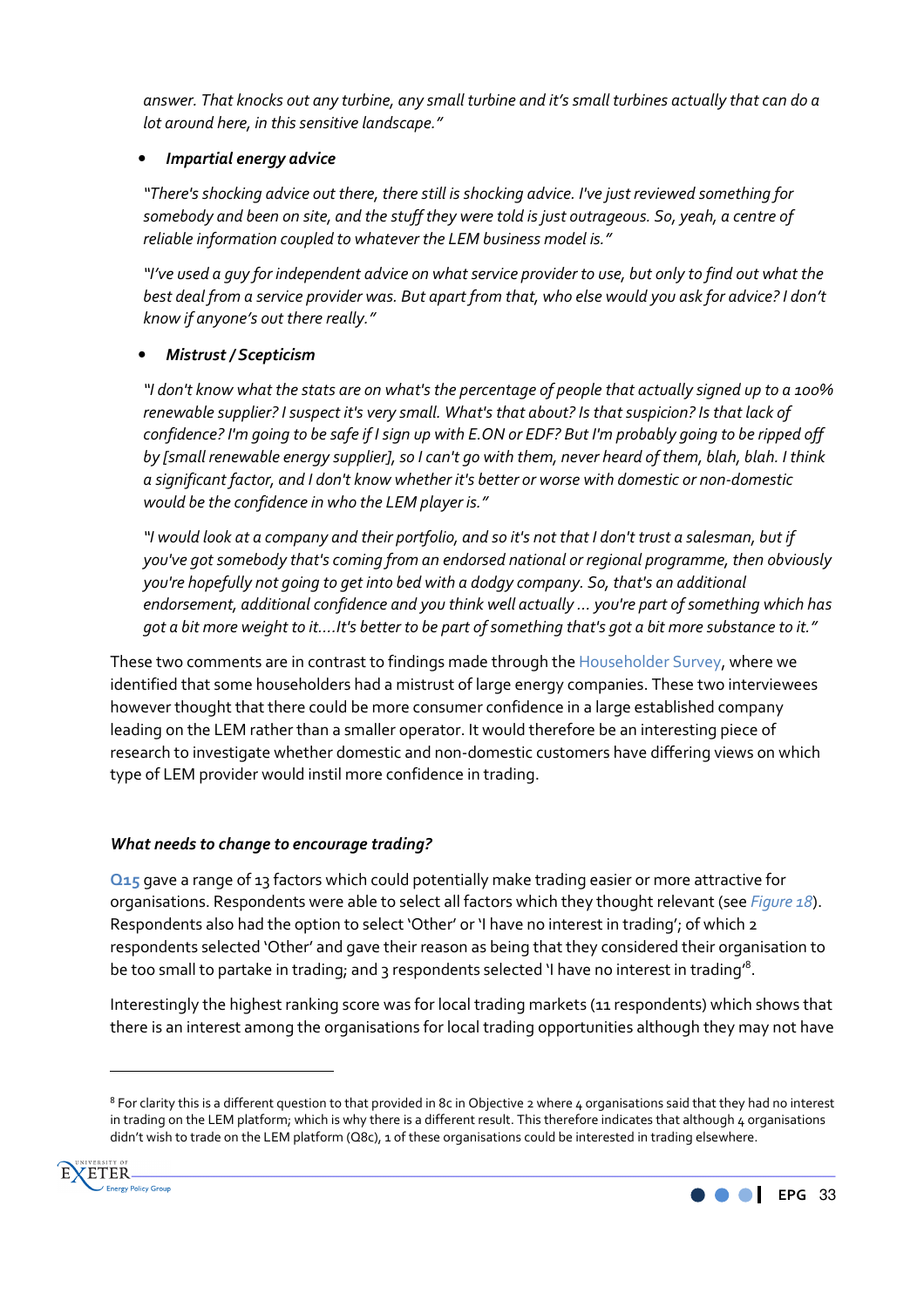*answer. That knocks out any turbine, any small turbine and it's small turbines actually that can do a lot around here, in this sensitive landscape."* 

### • *Impartial energy advice*

*"There's shocking advice out there, there still is shocking advice. I've just reviewed something for somebody and been on site, and the stuff they were told is just outrageous. So, yeah, a centre of reliable information coupled to whatever the LEM business model is."* 

*"I've used a guy for independent advice on what service provider to use, but only to find out what the best deal from a service provider was. But apart from that, who else would you ask for advice? I don't know if anyone's out there really."* 

# • *Mistrust / Scepticism*

*"I don't know what the stats are on what's the percentage of people that actually signed up to a 100% renewable supplier? I suspect it's very small. What's that about? Is that suspicion? Is that lack of confidence? I'm going to be safe if I sign up with E.ON or EDF? But I'm probably going to be ripped off by [small renewable energy supplier], so I can't go with them, never heard of them, blah, blah. I think a significant factor, and I don't know whether it's better or worse with domestic or non-domestic would be the confidence in who the LEM player is."* 

*"I would look at a company and their portfolio, and so it's not that I don't trust a salesman, but if you've got somebody that's coming from an endorsed national or regional programme, then obviously you're hopefully not going to get into bed with a dodgy company. So, that's an additional endorsement, additional confidence and you think well actually … you're part of something which has got a bit more weight to it….It's better to be part of something that's got a bit more substance to it."* 

These two comments are in contrast to findings made through the Householder Survey, where we identified that some householders had a mistrust of large energy companies. These two interviewees however thought that there could be more consumer confidence in a large established company leading on the LEM rather than a smaller operator. It would therefore be an interesting piece of research to investigate whether domestic and non-domestic customers have differing views on which type of LEM provider would instil more confidence in trading.

# *What needs to change to encourage trading?*

**Q15** gave a range of 13 factors which could potentially make trading easier or more attractive for organisations. Respondents were able to select all factors which they thought relevant (see *Figure 18*). Respondents also had the option to select 'Other' or 'I have no interest in trading'; of which 2 respondents selected 'Other' and gave their reason as being that they considered their organisation to be too small to partake in trading; and 3 respondents selected 'I have no interest in trading'<sup>8</sup>.

Interestingly the highest ranking score was for local trading markets (11 respondents) which shows that there is an interest among the organisations for local trading opportunities although they may not have

 $^8$  For clarity this is a different question to that provided in 8c in Objective 2 where 4 organisations said that they had no interest in trading on the LEM platform; which is why there is a different result. This therefore indicates that although 4 organisations didn't wish to trade on the LEM platform (Q8c), 1 of these organisations could be interested in trading elsewhere.



 $\overline{\phantom{a}}$ 

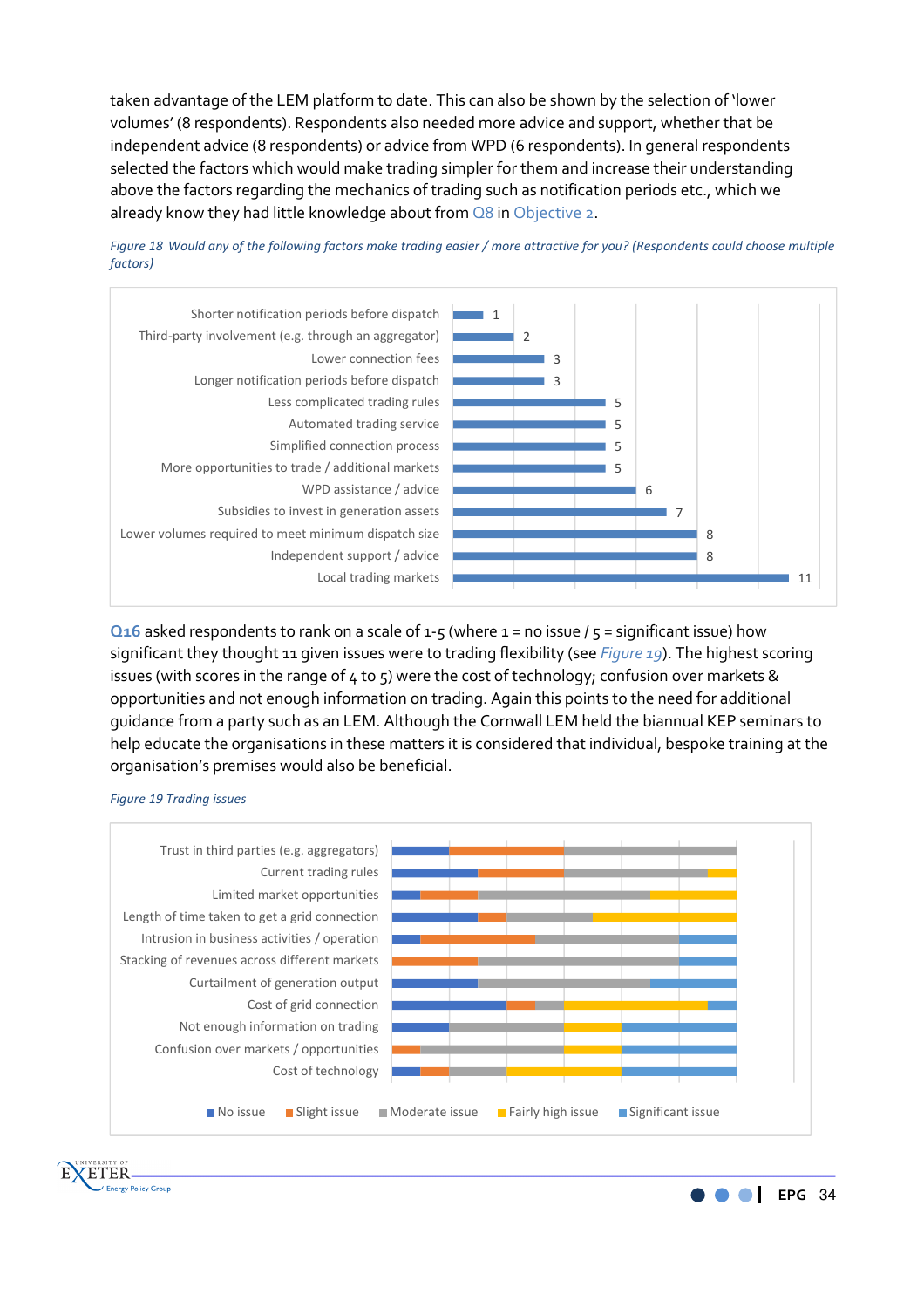taken advantage of the LEM platform to date. This can also be shown by the selection of 'lower volumes' (8 respondents). Respondents also needed more advice and support, whether that be independent advice (8 respondents) or advice from WPD (6 respondents). In general respondents selected the factors which would make trading simpler for them and increase their understanding above the factors regarding the mechanics of trading such as notification periods etc., which we already know they had little knowledge about from Q8 in Objective 2.





**Q16** asked respondents to rank on a scale of 1-5 (where 1 = no issue /  $5$  = significant issue) how significant they thought 11 given issues were to trading flexibility (see *Figure 19*). The highest scoring issues (with scores in the range of  $4$  to  $5$ ) were the cost of technology; confusion over markets & opportunities and not enough information on trading. Again this points to the need for additional guidance from a party such as an LEM. Although the Cornwall LEM held the biannual KEP seminars to help educate the organisations in these matters it is considered that individual, bespoke training at the organisation's premises would also be beneficial.





**ZETER Energy Policy Group** 

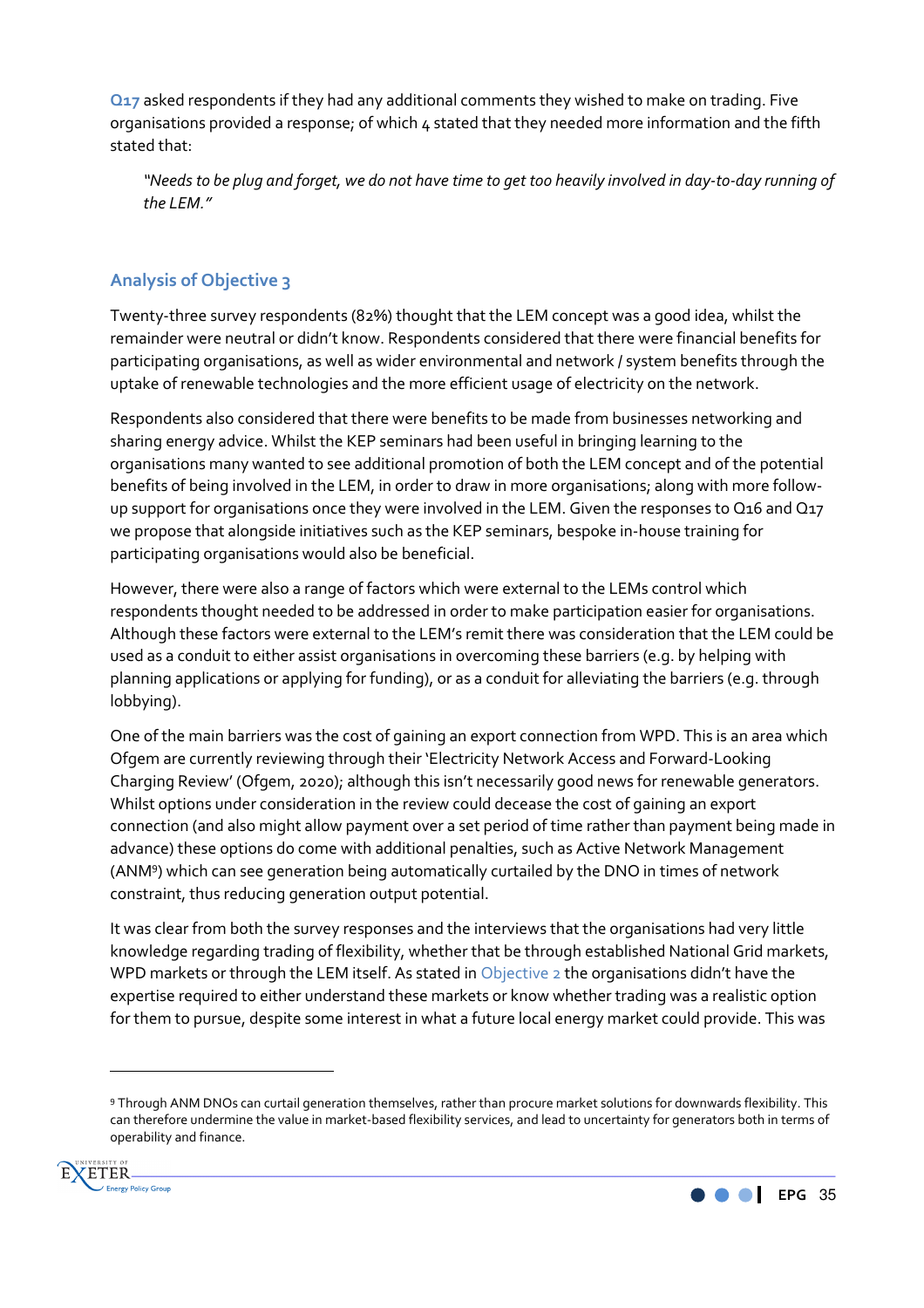**Q17** asked respondents if they had any additional comments they wished to make on trading. Five organisations provided a response; of which 4 stated that they needed more information and the fifth stated that:

*"Needs to be plug and forget, we do not have time to get too heavily involved in day-to-day running of the LEM."* 

# **Analysis of Objective 3**

Twenty-three survey respondents (82%) thought that the LEM concept was a good idea, whilst the remainder were neutral or didn't know. Respondents considered that there were financial benefits for participating organisations, as well as wider environmental and network / system benefits through the uptake of renewable technologies and the more efficient usage of electricity on the network.

Respondents also considered that there were benefits to be made from businesses networking and sharing energy advice. Whilst the KEP seminars had been useful in bringing learning to the organisations many wanted to see additional promotion of both the LEM concept and of the potential benefits of being involved in the LEM, in order to draw in more organisations; along with more followup support for organisations once they were involved in the LEM. Given the responses to Q16 and Q17 we propose that alongside initiatives such as the KEP seminars, bespoke in-house training for participating organisations would also be beneficial.

However, there were also a range of factors which were external to the LEMs control which respondents thought needed to be addressed in order to make participation easier for organisations. Although these factors were external to the LEM's remit there was consideration that the LEM could be used as a conduit to either assist organisations in overcoming these barriers (e.g. by helping with planning applications or applying for funding), or as a conduit for alleviating the barriers (e.g. through lobbying).

One of the main barriers was the cost of gaining an export connection from WPD. This is an area which Ofgem are currently reviewing through their 'Electricity Network Access and Forward-Looking Charging Review' (Ofgem, 2020); although this isn't necessarily good news for renewable generators. Whilst options under consideration in the review could decease the cost of gaining an export connection (and also might allow payment over a set period of time rather than payment being made in advance) these options do come with additional penalties, such as Active Network Management (ANM<sup>9</sup> ) which can see generation being automatically curtailed by the DNO in times of network constraint, thus reducing generation output potential.

It was clear from both the survey responses and the interviews that the organisations had very little knowledge regarding trading of flexibility, whether that be through established National Grid markets, WPD markets or through the LEM itself. As stated in Objective 2 the organisations didn't have the expertise required to either understand these markets or know whether trading was a realistic option for them to pursue, despite some interest in what a future local energy market could provide. This was

<sup>9</sup> Through ANM DNOs can curtail generation themselves, rather than procure market solutions for downwards flexibility. This can therefore undermine the value in market-based flexibility services, and lead to uncertainty for generators both in terms of operability and finance.



 $\overline{\phantom{a}}$ 

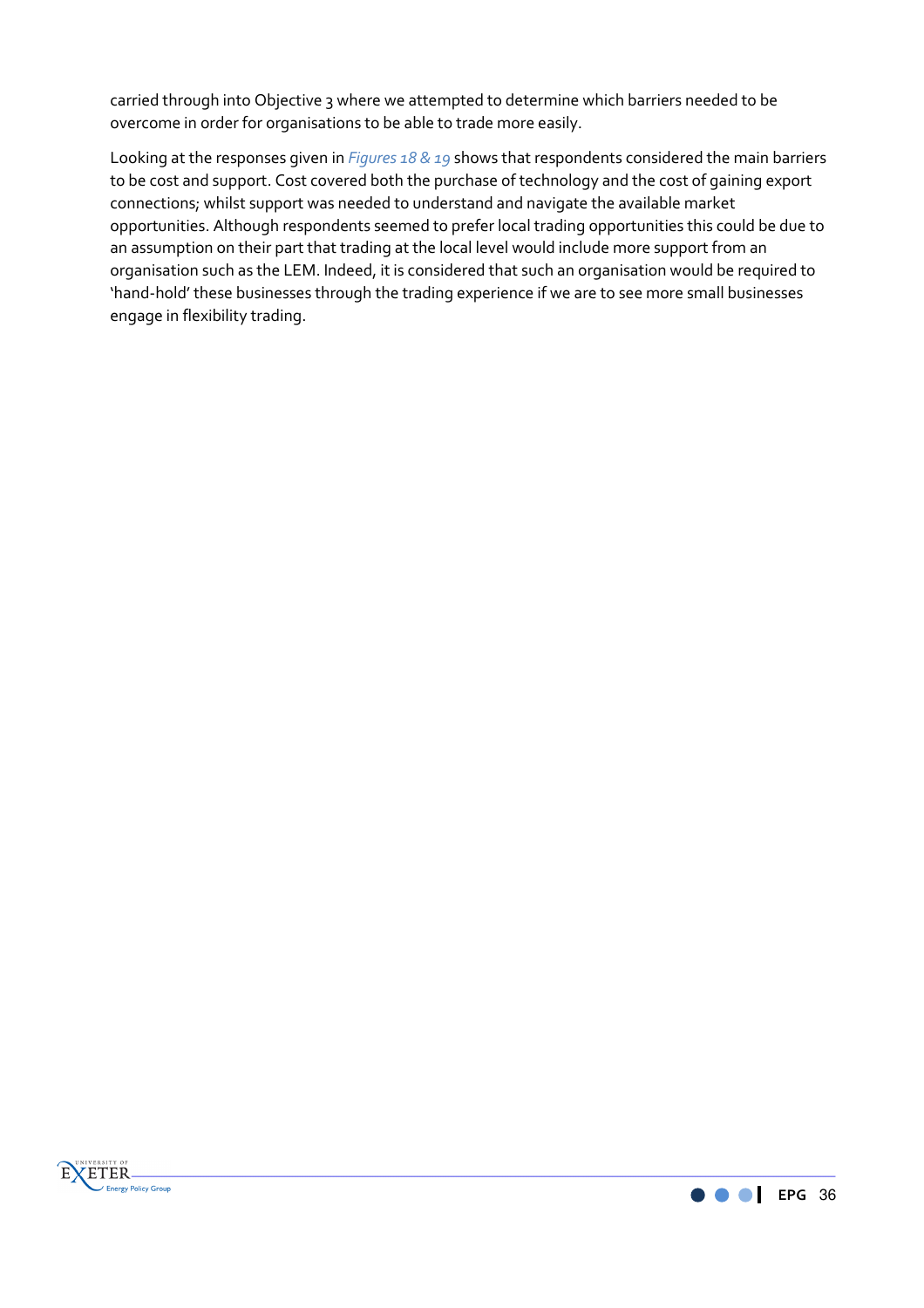carried through into Objective 3 where we attempted to determine which barriers needed to be overcome in order for organisations to be able to trade more easily.

Looking at the responses given in *Figures 18 & 19* shows that respondents considered the main barriers to be cost and support. Cost covered both the purchase of technology and the cost of gaining export connections; whilst support was needed to understand and navigate the available market opportunities. Although respondents seemed to prefer local trading opportunities this could be due to an assumption on their part that trading at the local level would include more support from an organisation such as the LEM. Indeed, it is considered that such an organisation would be required to 'hand-hold' these businesses through the trading experience if we are to see more small businesses engage in flexibility trading.



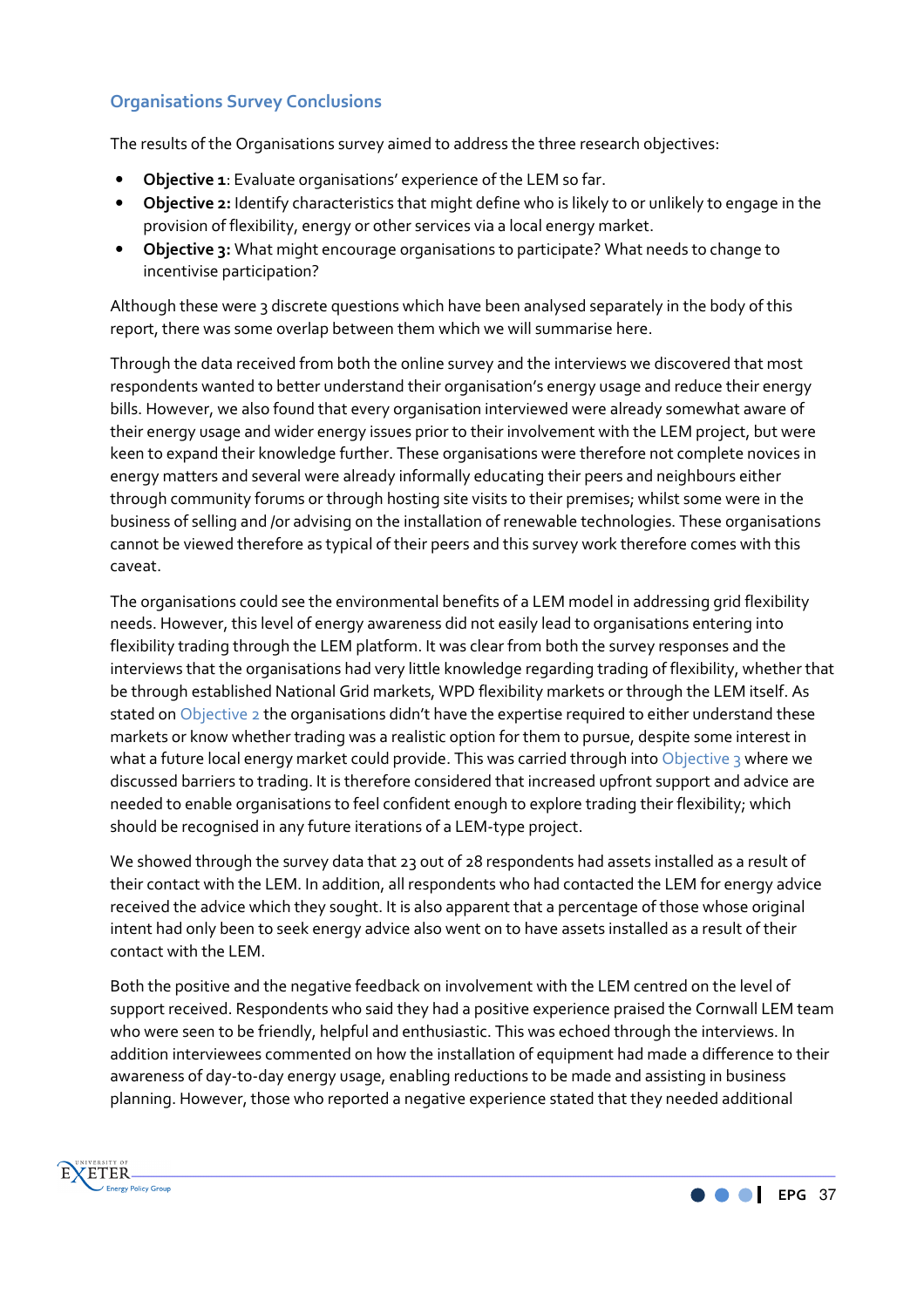# **Organisations Survey Conclusions**

The results of the Organisations survey aimed to address the three research objectives:

- **Objective 1**: Evaluate organisations' experience of the LEM so far.
- **Objective 2:** Identify characteristics that might define who is likely to or unlikely to engage in the provision of flexibility, energy or other services via a local energy market.
- **Objective 3:** What might encourage organisations to participate? What needs to change to incentivise participation?

Although these were 3 discrete questions which have been analysed separately in the body of this report, there was some overlap between them which we will summarise here.

Through the data received from both the online survey and the interviews we discovered that most respondents wanted to better understand their organisation's energy usage and reduce their energy bills. However, we also found that every organisation interviewed were already somewhat aware of their energy usage and wider energy issues prior to their involvement with the LEM project, but were keen to expand their knowledge further. These organisations were therefore not complete novices in energy matters and several were already informally educating their peers and neighbours either through community forums or through hosting site visits to their premises; whilst some were in the business of selling and /or advising on the installation of renewable technologies. These organisations cannot be viewed therefore as typical of their peers and this survey work therefore comes with this caveat.

The organisations could see the environmental benefits of a LEM model in addressing grid flexibility needs. However, this level of energy awareness did not easily lead to organisations entering into flexibility trading through the LEM platform. It was clear from both the survey responses and the interviews that the organisations had very little knowledge regarding trading of flexibility, whether that be through established National Grid markets, WPD flexibility markets or through the LEM itself. As stated on Objective 2 the organisations didn't have the expertise required to either understand these markets or know whether trading was a realistic option for them to pursue, despite some interest in what a future local energy market could provide. This was carried through into Objective 3 where we discussed barriers to trading. It is therefore considered that increased upfront support and advice are needed to enable organisations to feel confident enough to explore trading their flexibility; which should be recognised in any future iterations of a LEM-type project.

We showed through the survey data that 23 out of 28 respondents had assets installed as a result of their contact with the LEM. In addition, all respondents who had contacted the LEM for energy advice received the advice which they sought. It is also apparent that a percentage of those whose original intent had only been to seek energy advice also went on to have assets installed as a result of their contact with the LEM.

Both the positive and the negative feedback on involvement with the LEM centred on the level of support received. Respondents who said they had a positive experience praised the Cornwall LEM team who were seen to be friendly, helpful and enthusiastic. This was echoed through the interviews. In addition interviewees commented on how the installation of equipment had made a difference to their awareness of day-to-day energy usage, enabling reductions to be made and assisting in business planning. However, those who reported a negative experience stated that they needed additional



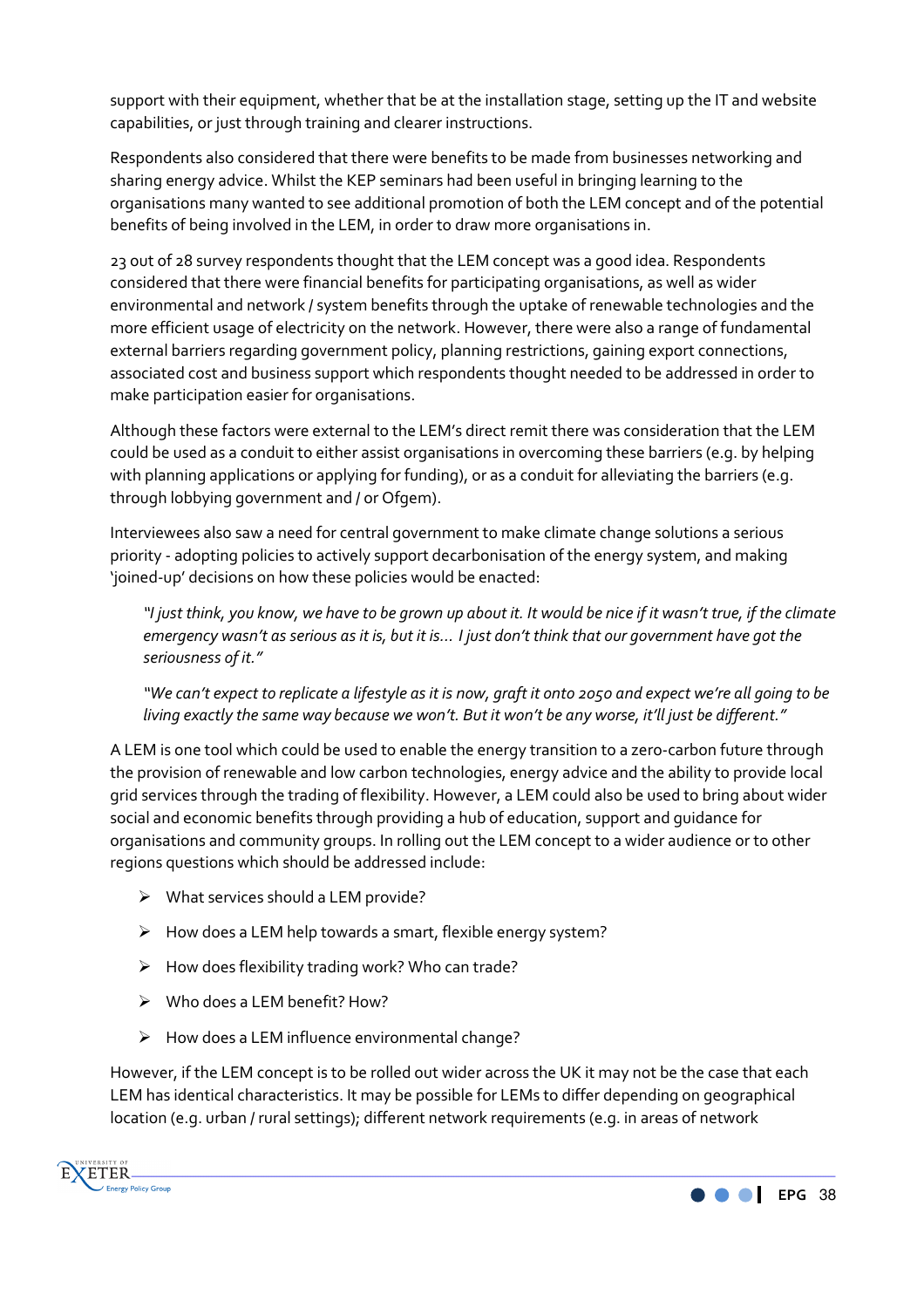support with their equipment, whether that be at the installation stage, setting up the IT and website capabilities, or just through training and clearer instructions.

Respondents also considered that there were benefits to be made from businesses networking and sharing energy advice. Whilst the KEP seminars had been useful in bringing learning to the organisations many wanted to see additional promotion of both the LEM concept and of the potential benefits of being involved in the LEM, in order to draw more organisations in.

23 out of 28 survey respondents thought that the LEM concept was a good idea. Respondents considered that there were financial benefits for participating organisations, as well as wider environmental and network / system benefits through the uptake of renewable technologies and the more efficient usage of electricity on the network. However, there were also a range of fundamental external barriers regarding government policy, planning restrictions, gaining export connections, associated cost and business support which respondents thought needed to be addressed in order to make participation easier for organisations.

Although these factors were external to the LEM's direct remit there was consideration that the LEM could be used as a conduit to either assist organisations in overcoming these barriers (e.g. by helping with planning applications or applying for funding), or as a conduit for alleviating the barriers (e.g. through lobbying government and / or Ofgem).

Interviewees also saw a need for central government to make climate change solutions a serious priority - adopting policies to actively support decarbonisation of the energy system, and making 'joined-up' decisions on how these policies would be enacted:

*"I just think, you know, we have to be grown up about it. It would be nice if it wasn't true, if the climate emergency wasn't as serious as it is, but it is… I just don't think that our government have got the seriousness of it."* 

*"We can't expect to replicate a lifestyle as it is now, graft it onto 2050 and expect we're all going to be living exactly the same way because we won't. But it won't be any worse, it'll just be different."* 

A LEM is one tool which could be used to enable the energy transition to a zero-carbon future through the provision of renewable and low carbon technologies, energy advice and the ability to provide local grid services through the trading of flexibility. However, a LEM could also be used to bring about wider social and economic benefits through providing a hub of education, support and guidance for organisations and community groups. In rolling out the LEM concept to a wider audience or to other regions questions which should be addressed include:

- $\triangleright$  What services should a LEM provide?
- $\triangleright$  How does a LEM help towards a smart, flexible energy system?
- $\triangleright$  How does flexibility trading work? Who can trade?
- $\triangleright$  Who does a LEM benefit? How?
- $\triangleright$  How does a LEM influence environmental change?

However, if the LEM concept is to be rolled out wider across the UK it may not be the case that each LEM has identical characteristics. It may be possible for LEMs to differ depending on geographical location (e.g. urban / rural settings); different network requirements (e.g. in areas of network



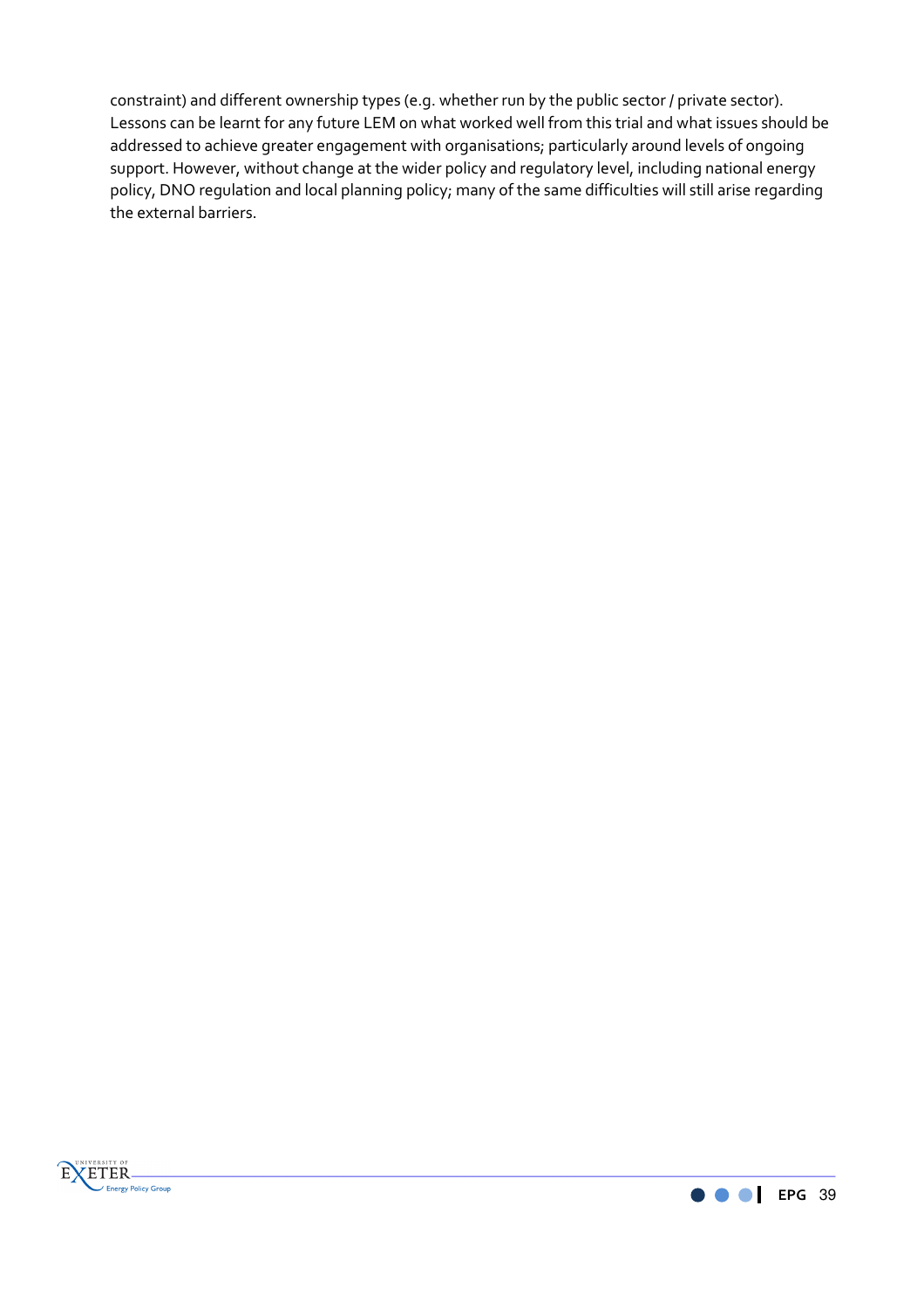constraint) and different ownership types (e.g. whether run by the public sector / private sector). Lessons can be learnt for any future LEM on what worked well from this trial and what issues should be addressed to achieve greater engagement with organisations; particularly around levels of ongoing support. However, without change at the wider policy and regulatory level, including national energy policy, DNO regulation and local planning policy; many of the same difficulties will still arise regarding the external barriers.



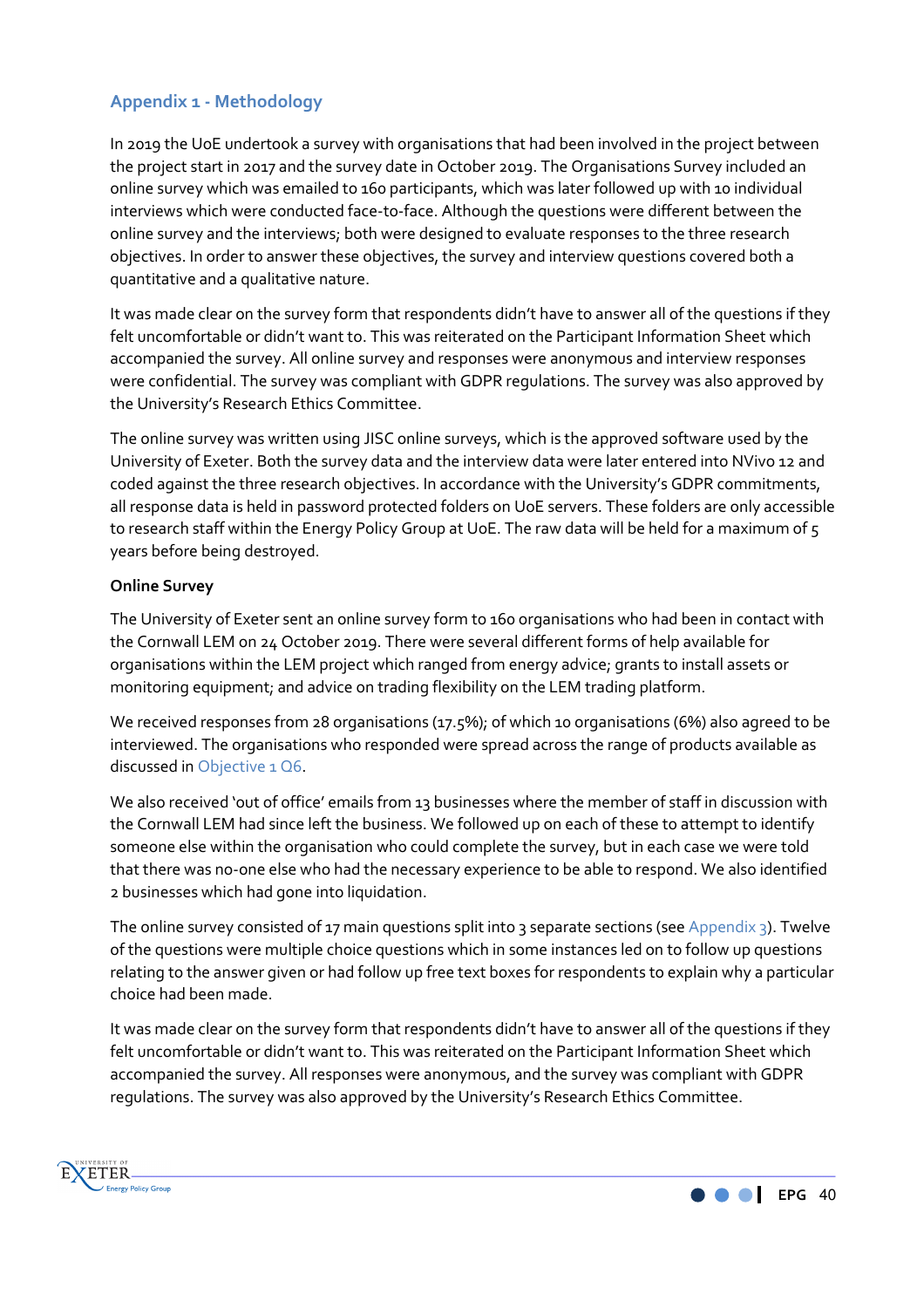# **Appendix 1 - Methodology**

In 2019 the UoE undertook a survey with organisations that had been involved in the project between the project start in 2017 and the survey date in October 2019. The Organisations Survey included an online survey which was emailed to 160 participants, which was later followed up with 10 individual interviews which were conducted face-to-face. Although the questions were different between the online survey and the interviews; both were designed to evaluate responses to the three research objectives. In order to answer these objectives, the survey and interview questions covered both a quantitative and a qualitative nature.

It was made clear on the survey form that respondents didn't have to answer all of the questions if they felt uncomfortable or didn't want to. This was reiterated on the Participant Information Sheet which accompanied the survey. All online survey and responses were anonymous and interview responses were confidential. The survey was compliant with GDPR regulations. The survey was also approved by the University's Research Ethics Committee.

The online survey was written using JISC online surveys, which is the approved software used by the University of Exeter. Both the survey data and the interview data were later entered into NVivo 12 and coded against the three research objectives. In accordance with the University's GDPR commitments, all response data is held in password protected folders on UoE servers. These folders are only accessible to research staff within the Energy Policy Group at UoE. The raw data will be held for a maximum of 5 years before being destroyed.

#### **Online Survey**

The University of Exeter sent an online survey form to 160 organisations who had been in contact with the Cornwall LEM on 24 October 2019. There were several different forms of help available for organisations within the LEM project which ranged from energy advice; grants to install assets or monitoring equipment; and advice on trading flexibility on the LEM trading platform.

We received responses from 28 organisations (17.5%); of which 10 organisations (6%) also agreed to be interviewed. The organisations who responded were spread across the range of products available as discussed in Objective 1 Q6.

We also received 'out of office' emails from 13 businesses where the member of staff in discussion with the Cornwall LEM had since left the business. We followed up on each of these to attempt to identify someone else within the organisation who could complete the survey, but in each case we were told that there was no-one else who had the necessary experience to be able to respond. We also identified 2 businesses which had gone into liquidation.

The online survey consisted of 17 main questions split into 3 separate sections (see Appendix 3). Twelve of the questions were multiple choice questions which in some instances led on to follow up questions relating to the answer given or had follow up free text boxes for respondents to explain why a particular choice had been made.

It was made clear on the survey form that respondents didn't have to answer all of the questions if they felt uncomfortable or didn't want to. This was reiterated on the Participant Information Sheet which accompanied the survey. All responses were anonymous, and the survey was compliant with GDPR regulations. The survey was also approved by the University's Research Ethics Committee.



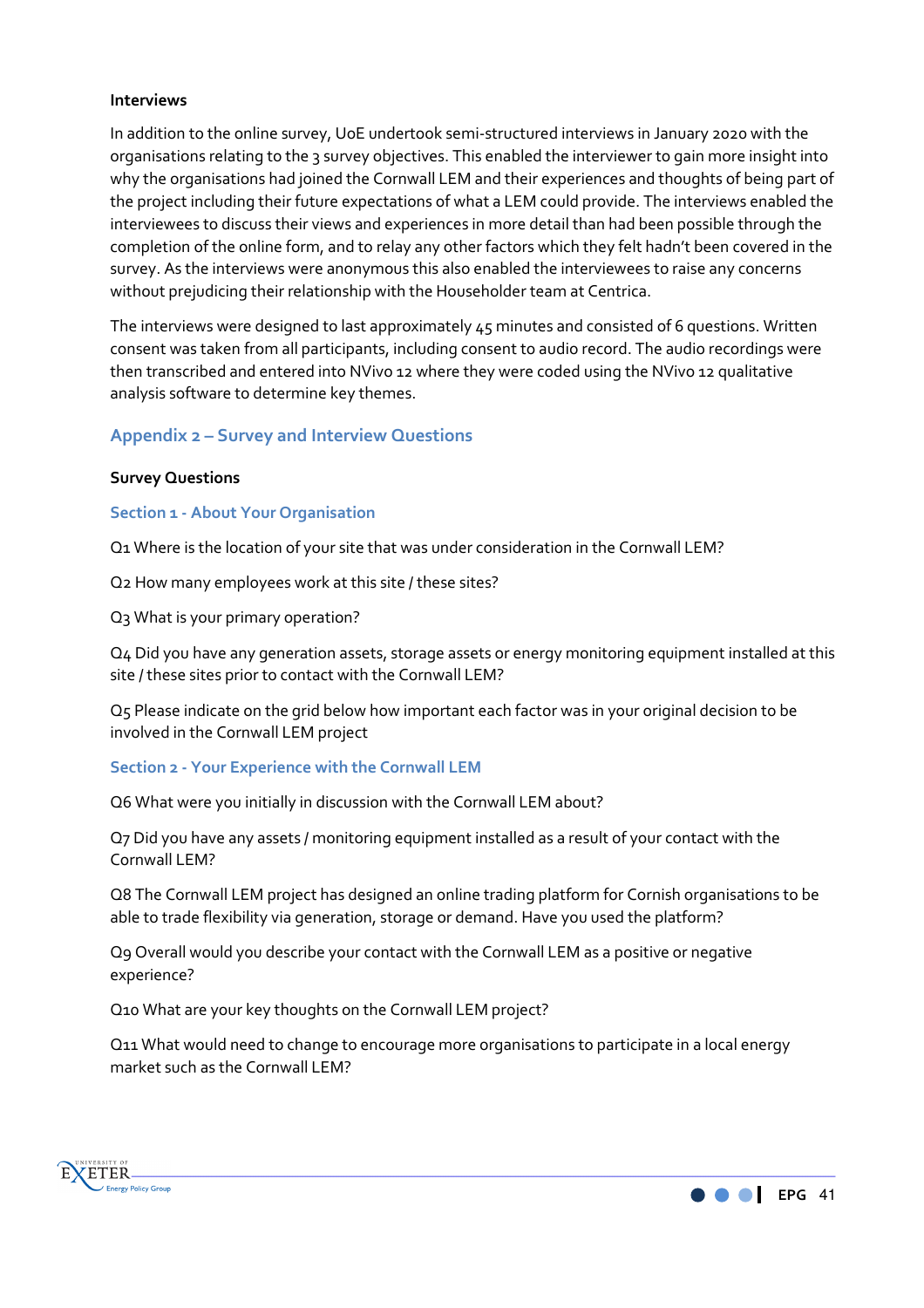#### **Interviews**

In addition to the online survey, UoE undertook semi-structured interviews in January 2020 with the organisations relating to the 3 survey objectives. This enabled the interviewer to gain more insight into why the organisations had joined the Cornwall LEM and their experiences and thoughts of being part of the project including their future expectations of what a LEM could provide. The interviews enabled the interviewees to discuss their views and experiences in more detail than had been possible through the completion of the online form, and to relay any other factors which they felt hadn't been covered in the survey. As the interviews were anonymous this also enabled the interviewees to raise any concerns without prejudicing their relationship with the Householder team at Centrica.

The interviews were designed to last approximately 45 minutes and consisted of 6 questions. Written consent was taken from all participants, including consent to audio record. The audio recordings were then transcribed and entered into NVivo 12 where they were coded using the NVivo 12 qualitative analysis software to determine key themes.

# **Appendix 2 – Survey and Interview Questions**

#### **Survey Questions**

#### **Section 1 - About Your Organisation**

Q1 Where is the location of your site that was under consideration in the Cornwall LEM?

Q2 How many employees work at this site / these sites?

Q3 What is your primary operation?

Q4 Did you have any generation assets, storage assets or energy monitoring equipment installed at this site / these sites prior to contact with the Cornwall LEM?

Q5 Please indicate on the grid below how important each factor was in your original decision to be involved in the Cornwall LEM project

#### **Section 2 - Your Experience with the Cornwall LEM**

Q6 What were you initially in discussion with the Cornwall LEM about?

Q7 Did you have any assets / monitoring equipment installed as a result of your contact with the Cornwall LEM?

Q8 The Cornwall LEM project has designed an online trading platform for Cornish organisations to be able to trade flexibility via generation, storage or demand. Have you used the platform?

Q9 Overall would you describe your contact with the Cornwall LEM as a positive or negative experience?

Q10 What are your key thoughts on the Cornwall LEM project?

Q11 What would need to change to encourage more organisations to participate in a local energy market such as the Cornwall LEM?



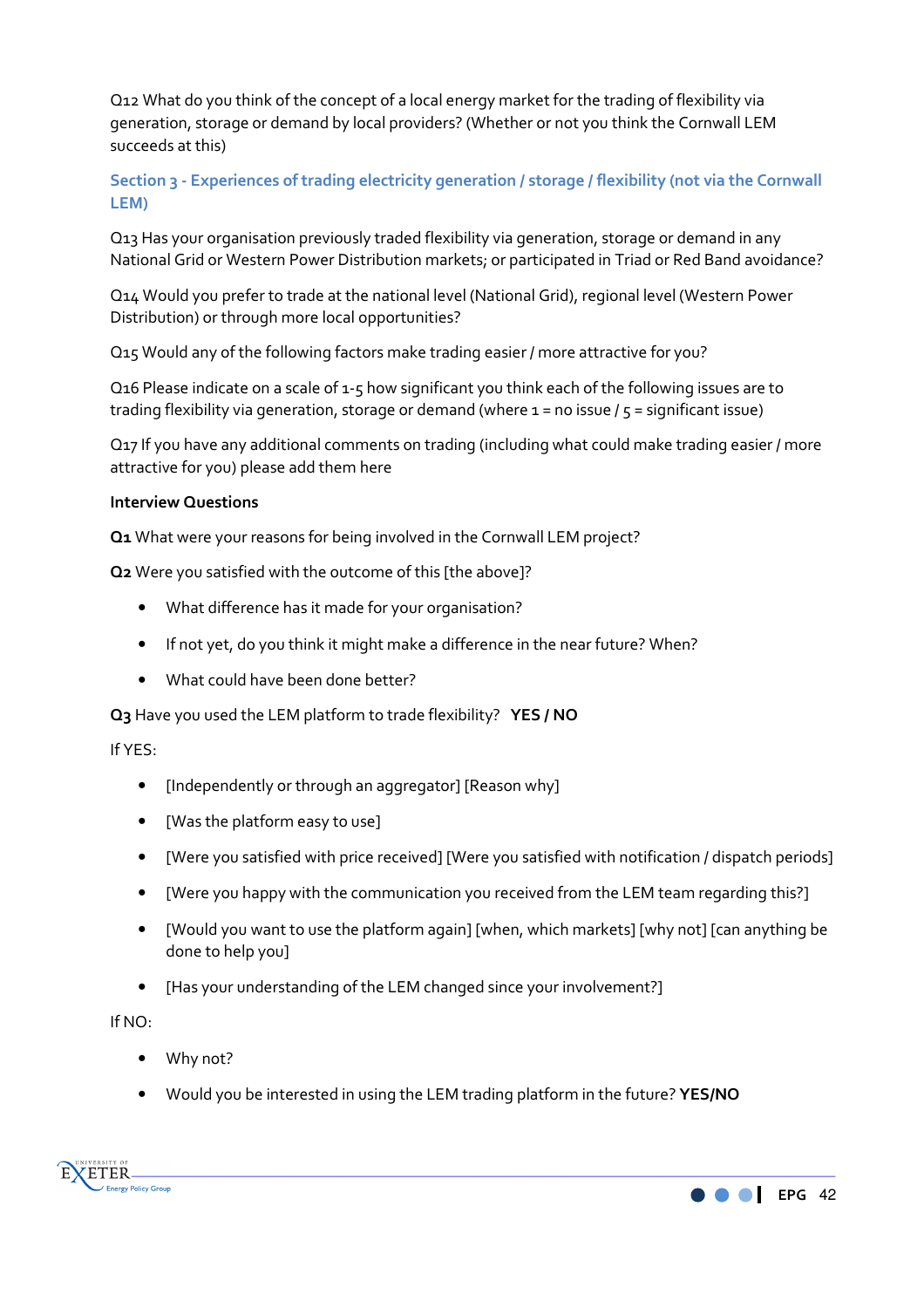Q12 What do you think of the concept of a local energy market for the trading of flexibility via generation, storage or demand by local providers? (Whether or not you think the Cornwall LEM succeeds at this)

**Section 3 - Experiences of trading electricity generation / storage / flexibility (not via the Cornwall LEM)** 

Q13 Has your organisation previously traded flexibility via generation, storage or demand in any National Grid or Western Power Distribution markets; or participated in Triad or Red Band avoidance?

Q14 Would you prefer to trade at the national level (National Grid), regional level (Western Power Distribution) or through more local opportunities?

Q15 Would any of the following factors make trading easier / more attractive for you?

Q16 Please indicate on a scale of 1-5 how significant you think each of the following issues are to trading flexibility via generation, storage or demand (where 1 = no issue / 5 = significant issue)

Q17 If you have any additional comments on trading (including what could make trading easier / more attractive for you) please add them here

#### **Interview Questions**

**Q1** What were your reasons for being involved in the Cornwall LEM project?

**Q2** Were you satisfied with the outcome of this [the above]?

- What difference has it made for your organisation?
- If not yet, do you think it might make a difference in the near future? When?
- What could have been done better?

**Q3** Have you used the LEM platform to trade flexibility? **YES / NO** 

#### If YES:

- [Independently or through an aggregator] [Reason why]
- [Was the platform easy to use]
- [Were you satisfied with price received] [Were you satisfied with notification / dispatch periods]
- [Were you happy with the communication you received from the LEM team regarding this?]
- [Would you want to use the platform again] [when, which markets] [why not] [can anything be done to help you]
- [Has your understanding of the LEM changed since your involvement?]

#### If NO:

- Why not?
- Would you be interested in using the LEM trading platform in the future? **YES/NO**



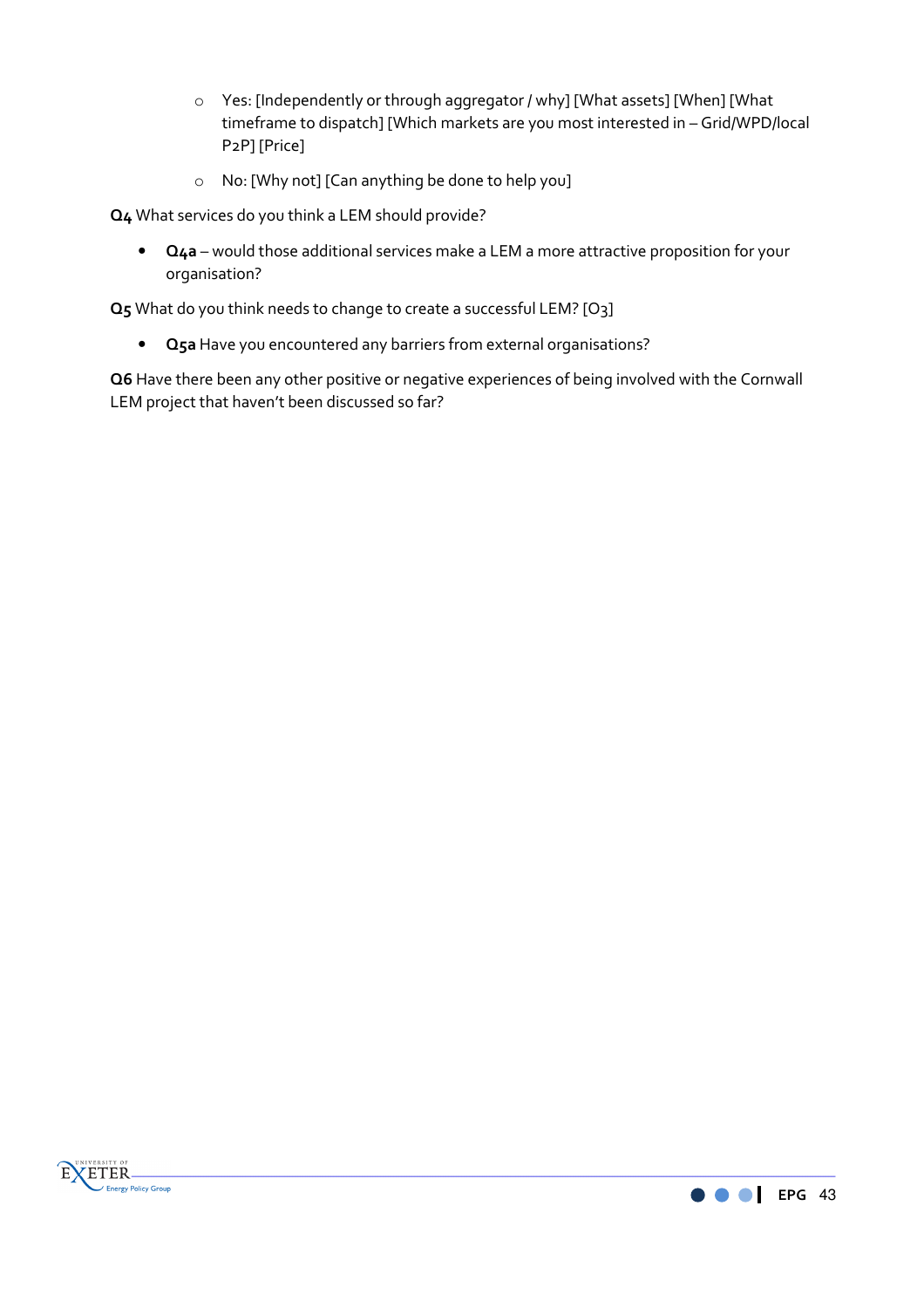- o Yes: [Independently or through aggregator / why] [What assets] [When] [What timeframe to dispatch] [Which markets are you most interested in – Grid/WPD/local P2P] [Price]
- o No: [Why not] [Can anything be done to help you]

**Q4** What services do you think a LEM should provide?

• **Q4a** – would those additional services make a LEM a more attractive proposition for your organisation?

**Q5** What do you think needs to change to create a successful LEM? [O3]

• **Q5a** Have you encountered any barriers from external organisations?

**Q6** Have there been any other positive or negative experiences of being involved with the Cornwall LEM project that haven't been discussed so far?